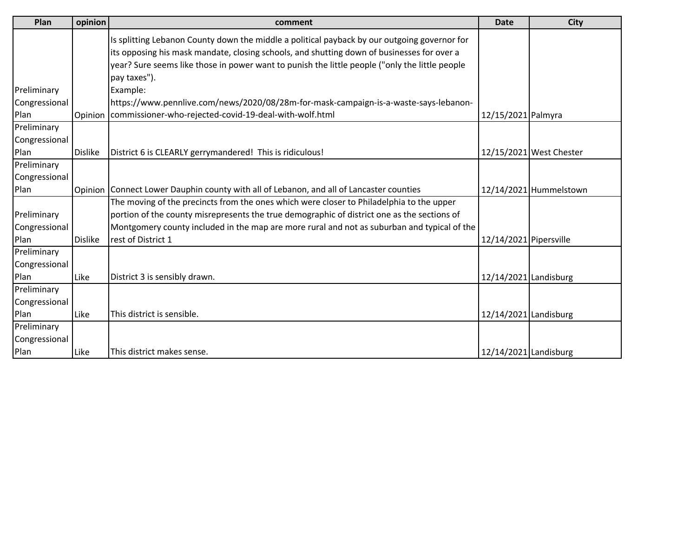| Plan          | opinion        | comment                                                                                                                                                                                                                                                                                                      | <b>Date</b>            | <b>City</b>             |
|---------------|----------------|--------------------------------------------------------------------------------------------------------------------------------------------------------------------------------------------------------------------------------------------------------------------------------------------------------------|------------------------|-------------------------|
|               |                | Is splitting Lebanon County down the middle a political payback by our outgoing governor for<br>its opposing his mask mandate, closing schools, and shutting down of businesses for over a<br>year? Sure seems like those in power want to punish the little people ("only the little people<br>pay taxes"). |                        |                         |
| Preliminary   |                | Example:                                                                                                                                                                                                                                                                                                     |                        |                         |
| Congressional |                | https://www.pennlive.com/news/2020/08/28m-for-mask-campaign-is-a-waste-says-lebanon-                                                                                                                                                                                                                         |                        |                         |
| Plan          |                | Opinion commissioner-who-rejected-covid-19-deal-with-wolf.html                                                                                                                                                                                                                                               | 12/15/2021 Palmyra     |                         |
| Preliminary   |                |                                                                                                                                                                                                                                                                                                              |                        |                         |
| Congressional |                |                                                                                                                                                                                                                                                                                                              |                        |                         |
| Plan          | <b>Dislike</b> | District 6 is CLEARLY gerrymandered! This is ridiculous!                                                                                                                                                                                                                                                     |                        | 12/15/2021 West Chester |
| Preliminary   |                |                                                                                                                                                                                                                                                                                                              |                        |                         |
| Congressional |                |                                                                                                                                                                                                                                                                                                              |                        |                         |
| Plan          |                | Opinion Connect Lower Dauphin county with all of Lebanon, and all of Lancaster counties                                                                                                                                                                                                                      |                        | 12/14/2021 Hummelstown  |
|               |                | The moving of the precincts from the ones which were closer to Philadelphia to the upper                                                                                                                                                                                                                     |                        |                         |
| Preliminary   |                | portion of the county misrepresents the true demographic of district one as the sections of                                                                                                                                                                                                                  |                        |                         |
| Congressional |                | Montgomery county included in the map are more rural and not as suburban and typical of the                                                                                                                                                                                                                  |                        |                         |
| Plan          | <b>Dislike</b> | rest of District 1                                                                                                                                                                                                                                                                                           | 12/14/2021 Pipersville |                         |
| Preliminary   |                |                                                                                                                                                                                                                                                                                                              |                        |                         |
| Congressional |                |                                                                                                                                                                                                                                                                                                              |                        |                         |
| Plan          | Like           | District 3 is sensibly drawn.                                                                                                                                                                                                                                                                                | 12/14/2021 Landisburg  |                         |
| Preliminary   |                |                                                                                                                                                                                                                                                                                                              |                        |                         |
| Congressional |                |                                                                                                                                                                                                                                                                                                              |                        |                         |
| Plan          | Like           | This district is sensible.                                                                                                                                                                                                                                                                                   | 12/14/2021 Landisburg  |                         |
| Preliminary   |                |                                                                                                                                                                                                                                                                                                              |                        |                         |
| Congressional |                |                                                                                                                                                                                                                                                                                                              |                        |                         |
| Plan          | Like           | This district makes sense.                                                                                                                                                                                                                                                                                   | 12/14/2021 Landisburg  |                         |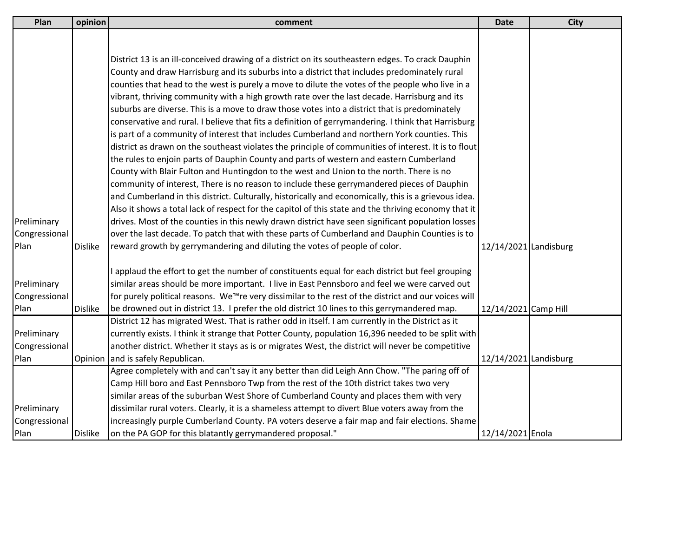| Plan          | opinion        | comment                                                                                              | <b>Date</b>           | <b>City</b> |
|---------------|----------------|------------------------------------------------------------------------------------------------------|-----------------------|-------------|
|               |                |                                                                                                      |                       |             |
|               |                |                                                                                                      |                       |             |
|               |                | District 13 is an ill-conceived drawing of a district on its southeastern edges. To crack Dauphin    |                       |             |
|               |                | County and draw Harrisburg and its suburbs into a district that includes predominately rural         |                       |             |
|               |                | counties that head to the west is purely a move to dilute the votes of the people who live in a      |                       |             |
|               |                | vibrant, thriving community with a high growth rate over the last decade. Harrisburg and its         |                       |             |
|               |                | suburbs are diverse. This is a move to draw those votes into a district that is predominately        |                       |             |
|               |                | conservative and rural. I believe that fits a definition of gerrymandering. I think that Harrisburg  |                       |             |
|               |                | is part of a community of interest that includes Cumberland and northern York counties. This         |                       |             |
|               |                | district as drawn on the southeast violates the principle of communities of interest. It is to flout |                       |             |
|               |                | the rules to enjoin parts of Dauphin County and parts of western and eastern Cumberland              |                       |             |
|               |                | County with Blair Fulton and Huntingdon to the west and Union to the north. There is no              |                       |             |
|               |                | community of interest, There is no reason to include these gerrymandered pieces of Dauphin           |                       |             |
|               |                | and Cumberland in this district. Culturally, historically and economically, this is a grievous idea. |                       |             |
|               |                | Also it shows a total lack of respect for the capitol of this state and the thriving economy that it |                       |             |
| Preliminary   |                | drives. Most of the counties in this newly drawn district have seen significant population losses    |                       |             |
| Congressional |                | over the last decade. To patch that with these parts of Cumberland and Dauphin Counties is to        |                       |             |
| Plan          | <b>Dislike</b> | reward growth by gerrymandering and diluting the votes of people of color.                           | 12/14/2021 Landisburg |             |
|               |                |                                                                                                      |                       |             |
|               |                | I applaud the effort to get the number of constituents equal for each district but feel grouping     |                       |             |
| Preliminary   |                | similar areas should be more important. I live in East Pennsboro and feel we were carved out         |                       |             |
| Congressional |                | for purely political reasons. We™re very dissimilar to the rest of the district and our voices will  |                       |             |
| Plan          | <b>Dislike</b> | be drowned out in district 13. I prefer the old district 10 lines to this gerrymandered map.         | 12/14/2021 Camp Hill  |             |
|               |                | District 12 has migrated West. That is rather odd in itself. I am currently in the District as it    |                       |             |
| Preliminary   |                | currently exists. I think it strange that Potter County, population 16,396 needed to be split with   |                       |             |
| Congressional |                | another district. Whether it stays as is or migrates West, the district will never be competitive    |                       |             |
| Plan          | Opinion        | and is safely Republican.                                                                            | 12/14/2021 Landisburg |             |
|               |                | Agree completely with and can't say it any better than did Leigh Ann Chow. "The paring off of        |                       |             |
|               |                | Camp Hill boro and East Pennsboro Twp from the rest of the 10th district takes two very              |                       |             |
|               |                | similar areas of the suburban West Shore of Cumberland County and places them with very              |                       |             |
| Preliminary   |                | dissimilar rural voters. Clearly, it is a shameless attempt to divert Blue voters away from the      |                       |             |
| Congressional |                | increasingly purple Cumberland County. PA voters deserve a fair map and fair elections. Shame        |                       |             |
| Plan          | <b>Dislike</b> | on the PA GOP for this blatantly gerrymandered proposal."                                            | 12/14/2021 Enola      |             |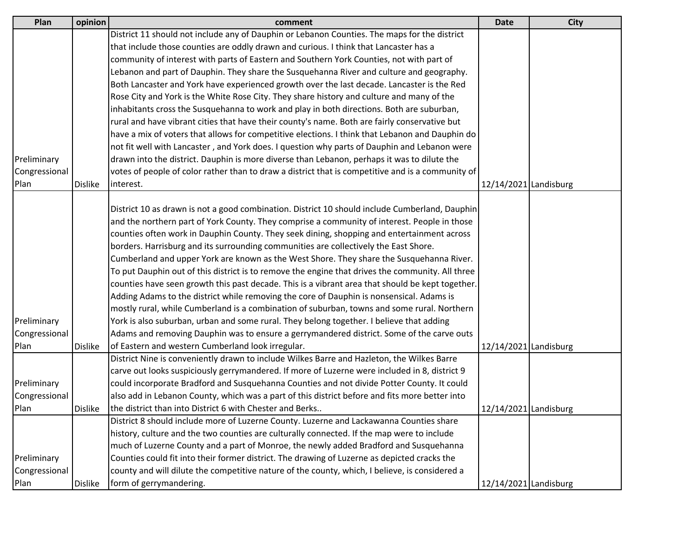| Plan          | opinion        | comment                                                                                           | <b>Date</b>           | <b>City</b> |
|---------------|----------------|---------------------------------------------------------------------------------------------------|-----------------------|-------------|
|               |                | District 11 should not include any of Dauphin or Lebanon Counties. The maps for the district      |                       |             |
|               |                | that include those counties are oddly drawn and curious. I think that Lancaster has a             |                       |             |
|               |                | community of interest with parts of Eastern and Southern York Counties, not with part of          |                       |             |
|               |                | Lebanon and part of Dauphin. They share the Susquehanna River and culture and geography.          |                       |             |
|               |                | Both Lancaster and York have experienced growth over the last decade. Lancaster is the Red        |                       |             |
|               |                | Rose City and York is the White Rose City. They share history and culture and many of the         |                       |             |
|               |                | inhabitants cross the Susquehanna to work and play in both directions. Both are suburban,         |                       |             |
|               |                | rural and have vibrant cities that have their county's name. Both are fairly conservative but     |                       |             |
|               |                | have a mix of voters that allows for competitive elections. I think that Lebanon and Dauphin do   |                       |             |
|               |                | not fit well with Lancaster, and York does. I question why parts of Dauphin and Lebanon were      |                       |             |
| Preliminary   |                | drawn into the district. Dauphin is more diverse than Lebanon, perhaps it was to dilute the       |                       |             |
| Congressional |                | votes of people of color rather than to draw a district that is competitive and is a community of |                       |             |
| Plan          | <b>Dislike</b> | interest.                                                                                         | 12/14/2021 Landisburg |             |
|               |                |                                                                                                   |                       |             |
|               |                | District 10 as drawn is not a good combination. District 10 should include Cumberland, Dauphin    |                       |             |
|               |                | and the northern part of York County. They comprise a community of interest. People in those      |                       |             |
|               |                | counties often work in Dauphin County. They seek dining, shopping and entertainment across        |                       |             |
|               |                | borders. Harrisburg and its surrounding communities are collectively the East Shore.              |                       |             |
|               |                | Cumberland and upper York are known as the West Shore. They share the Susquehanna River.          |                       |             |
|               |                | To put Dauphin out of this district is to remove the engine that drives the community. All three  |                       |             |
|               |                | counties have seen growth this past decade. This is a vibrant area that should be kept together.  |                       |             |
|               |                | Adding Adams to the district while removing the core of Dauphin is nonsensical. Adams is          |                       |             |
|               |                | mostly rural, while Cumberland is a combination of suburban, towns and some rural. Northern       |                       |             |
| Preliminary   |                | York is also suburban, urban and some rural. They belong together. I believe that adding          |                       |             |
| Congressional |                | Adams and removing Dauphin was to ensure a gerrymandered district. Some of the carve outs         |                       |             |
| Plan          | <b>Dislike</b> | of Eastern and western Cumberland look irregular.                                                 | 12/14/2021 Landisburg |             |
|               |                | District Nine is conveniently drawn to include Wilkes Barre and Hazleton, the Wilkes Barre        |                       |             |
|               |                | carve out looks suspiciously gerrymandered. If more of Luzerne were included in 8, district 9     |                       |             |
| Preliminary   |                | could incorporate Bradford and Susquehanna Counties and not divide Potter County. It could        |                       |             |
| Congressional |                | also add in Lebanon County, which was a part of this district before and fits more better into    |                       |             |
| Plan          | <b>Dislike</b> | the district than into District 6 with Chester and Berks                                          | 12/14/2021 Landisburg |             |
|               |                | District 8 should include more of Luzerne County. Luzerne and Lackawanna Counties share           |                       |             |
|               |                | history, culture and the two counties are culturally connected. If the map were to include        |                       |             |
|               |                | much of Luzerne County and a part of Monroe, the newly added Bradford and Susquehanna             |                       |             |
| Preliminary   |                | Counties could fit into their former district. The drawing of Luzerne as depicted cracks the      |                       |             |
| Congressional |                | county and will dilute the competitive nature of the county, which, I believe, is considered a    |                       |             |
| Plan          | <b>Dislike</b> | form of gerrymandering.                                                                           | 12/14/2021 Landisburg |             |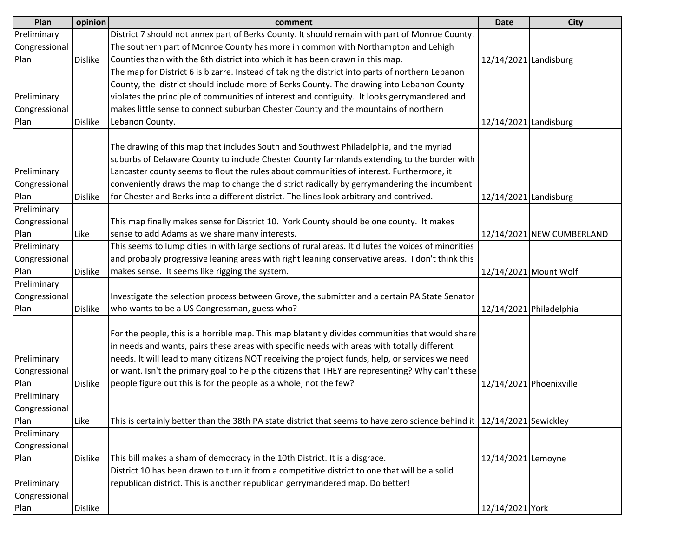| Plan                                 | opinion        | comment                                                                                                                                                                                                                                                                                                                                                                                                                                                                    | <b>Date</b>           | <b>City</b>               |
|--------------------------------------|----------------|----------------------------------------------------------------------------------------------------------------------------------------------------------------------------------------------------------------------------------------------------------------------------------------------------------------------------------------------------------------------------------------------------------------------------------------------------------------------------|-----------------------|---------------------------|
| Preliminary                          |                | District 7 should not annex part of Berks County. It should remain with part of Monroe County.                                                                                                                                                                                                                                                                                                                                                                             |                       |                           |
| Congressional                        |                | The southern part of Monroe County has more in common with Northampton and Lehigh                                                                                                                                                                                                                                                                                                                                                                                          |                       |                           |
| Plan                                 | <b>Dislike</b> | Counties than with the 8th district into which it has been drawn in this map.                                                                                                                                                                                                                                                                                                                                                                                              | 12/14/2021 Landisburg |                           |
|                                      |                | The map for District 6 is bizarre. Instead of taking the district into parts of northern Lebanon                                                                                                                                                                                                                                                                                                                                                                           |                       |                           |
|                                      |                | County, the district should include more of Berks County. The drawing into Lebanon County                                                                                                                                                                                                                                                                                                                                                                                  |                       |                           |
| Preliminary                          |                | violates the principle of communities of interest and contiguity. It looks gerrymandered and                                                                                                                                                                                                                                                                                                                                                                               |                       |                           |
| Congressional                        |                | makes little sense to connect suburban Chester County and the mountains of northern                                                                                                                                                                                                                                                                                                                                                                                        |                       |                           |
| Plan                                 | <b>Dislike</b> | Lebanon County.                                                                                                                                                                                                                                                                                                                                                                                                                                                            | 12/14/2021 Landisburg |                           |
| Preliminary<br>Congressional         |                | The drawing of this map that includes South and Southwest Philadelphia, and the myriad<br>suburbs of Delaware County to include Chester County farmlands extending to the border with<br>Lancaster county seems to flout the rules about communities of interest. Furthermore, it<br>conveniently draws the map to change the district radically by gerrymandering the incumbent                                                                                           |                       |                           |
| Plan                                 | <b>Dislike</b> | for Chester and Berks into a different district. The lines look arbitrary and contrived.                                                                                                                                                                                                                                                                                                                                                                                   | 12/14/2021 Landisburg |                           |
| Preliminary<br>Congressional<br>Plan | Like           | This map finally makes sense for District 10. York County should be one county. It makes<br>sense to add Adams as we share many interests.                                                                                                                                                                                                                                                                                                                                 |                       | 12/14/2021 NEW CUMBERLAND |
| Preliminary                          |                | This seems to lump cities in with large sections of rural areas. It dilutes the voices of minorities                                                                                                                                                                                                                                                                                                                                                                       |                       |                           |
| Congressional                        |                | and probably progressive leaning areas with right leaning conservative areas. I don't think this                                                                                                                                                                                                                                                                                                                                                                           |                       |                           |
| Plan                                 | <b>Dislike</b> | makes sense. It seems like rigging the system.                                                                                                                                                                                                                                                                                                                                                                                                                             |                       | 12/14/2021 Mount Wolf     |
| Preliminary                          |                |                                                                                                                                                                                                                                                                                                                                                                                                                                                                            |                       |                           |
| Congressional<br>Plan                | Dislike        | Investigate the selection process between Grove, the submitter and a certain PA State Senator<br>who wants to be a US Congressman, guess who?                                                                                                                                                                                                                                                                                                                              |                       | 12/14/2021 Philadelphia   |
| Preliminary<br>Congressional<br>Plan | <b>Dislike</b> | For the people, this is a horrible map. This map blatantly divides communities that would share<br>in needs and wants, pairs these areas with specific needs with areas with totally different<br>needs. It will lead to many citizens NOT receiving the project funds, help, or services we need<br>or want. Isn't the primary goal to help the citizens that THEY are representing? Why can't these<br>people figure out this is for the people as a whole, not the few? |                       | 12/14/2021 Phoenixville   |
| Preliminary                          |                |                                                                                                                                                                                                                                                                                                                                                                                                                                                                            |                       |                           |
| Congressional                        |                |                                                                                                                                                                                                                                                                                                                                                                                                                                                                            |                       |                           |
| Plan                                 | Like           | This is certainly better than the 38th PA state district that seems to have zero science behind it   12/14/2021 Sewickley                                                                                                                                                                                                                                                                                                                                                  |                       |                           |
| Preliminary<br>Congressional         |                | This bill makes a sham of democracy in the 10th District. It is a disgrace.                                                                                                                                                                                                                                                                                                                                                                                                |                       |                           |
| Plan                                 | <b>Dislike</b> | District 10 has been drawn to turn it from a competitive district to one that will be a solid                                                                                                                                                                                                                                                                                                                                                                              | 12/14/2021 Lemoyne    |                           |
| Preliminary<br>Congressional         |                | republican district. This is another republican gerrymandered map. Do better!                                                                                                                                                                                                                                                                                                                                                                                              |                       |                           |
| Plan                                 | <b>Dislike</b> |                                                                                                                                                                                                                                                                                                                                                                                                                                                                            | 12/14/2021 York       |                           |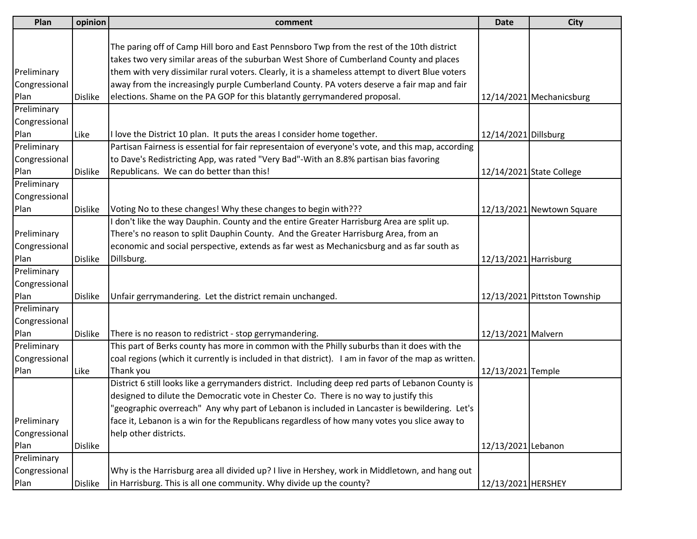| Plan          | opinion        | comment                                                                                              | <b>Date</b>             | <b>City</b>                  |
|---------------|----------------|------------------------------------------------------------------------------------------------------|-------------------------|------------------------------|
|               |                |                                                                                                      |                         |                              |
|               |                | The paring off of Camp Hill boro and East Pennsboro Twp from the rest of the 10th district           |                         |                              |
|               |                | takes two very similar areas of the suburban West Shore of Cumberland County and places              |                         |                              |
| Preliminary   |                | them with very dissimilar rural voters. Clearly, it is a shameless attempt to divert Blue voters     |                         |                              |
| Congressional |                | away from the increasingly purple Cumberland County. PA voters deserve a fair map and fair           |                         |                              |
| Plan          | <b>Dislike</b> | elections. Shame on the PA GOP for this blatantly gerrymandered proposal.                            |                         | 12/14/2021 Mechanicsburg     |
| Preliminary   |                |                                                                                                      |                         |                              |
| Congressional |                |                                                                                                      |                         |                              |
| Plan          | Like           | love the District 10 plan. It puts the areas I consider home together.                               | 12/14/2021 Dillsburg    |                              |
| Preliminary   |                | Partisan Fairness is essential for fair representaion of everyone's vote, and this map, according    |                         |                              |
| Congressional |                | to Dave's Redistricting App, was rated "Very Bad"-With an 8.8% partisan bias favoring                |                         |                              |
| Plan          | <b>Dislike</b> | Republicans. We can do better than this!                                                             |                         | 12/14/2021 State College     |
| Preliminary   |                |                                                                                                      |                         |                              |
| Congressional |                |                                                                                                      |                         |                              |
| Plan          | <b>Dislike</b> | Voting No to these changes! Why these changes to begin with???                                       |                         | 12/13/2021 Newtown Square    |
|               |                | don't like the way Dauphin. County and the entire Greater Harrisburg Area are split up.              |                         |                              |
| Preliminary   |                | There's no reason to split Dauphin County. And the Greater Harrisburg Area, from an                  |                         |                              |
| Congressional |                | economic and social perspective, extends as far west as Mechanicsburg and as far south as            |                         |                              |
| Plan          | <b>Dislike</b> | Dillsburg.                                                                                           | $12/13/2021$ Harrisburg |                              |
| Preliminary   |                |                                                                                                      |                         |                              |
| Congressional |                |                                                                                                      |                         |                              |
| Plan          | <b>Dislike</b> | Unfair gerrymandering. Let the district remain unchanged.                                            |                         | 12/13/2021 Pittston Township |
| Preliminary   |                |                                                                                                      |                         |                              |
| Congressional |                |                                                                                                      |                         |                              |
| Plan          | <b>Dislike</b> | There is no reason to redistrict - stop gerrymandering.                                              | 12/13/2021 Malvern      |                              |
| Preliminary   |                | This part of Berks county has more in common with the Philly suburbs than it does with the           |                         |                              |
| Congressional |                | coal regions (which it currently is included in that district). I am in favor of the map as written. |                         |                              |
| Plan          | Like           | Thank you                                                                                            | 12/13/2021 Temple       |                              |
|               |                | District 6 still looks like a gerrymanders district. Including deep red parts of Lebanon County is   |                         |                              |
|               |                | designed to dilute the Democratic vote in Chester Co. There is no way to justify this                |                         |                              |
|               |                | "geographic overreach" Any why part of Lebanon is included in Lancaster is bewildering. Let's        |                         |                              |
| Preliminary   |                | face it, Lebanon is a win for the Republicans regardless of how many votes you slice away to         |                         |                              |
| Congressional |                | help other districts.                                                                                |                         |                              |
| Plan          | <b>Dislike</b> |                                                                                                      | 12/13/2021 Lebanon      |                              |
| Preliminary   |                |                                                                                                      |                         |                              |
| Congressional |                | Why is the Harrisburg area all divided up? I live in Hershey, work in Middletown, and hang out       |                         |                              |
| Plan          | <b>Dislike</b> | in Harrisburg. This is all one community. Why divide up the county?                                  | 12/13/2021 HERSHEY      |                              |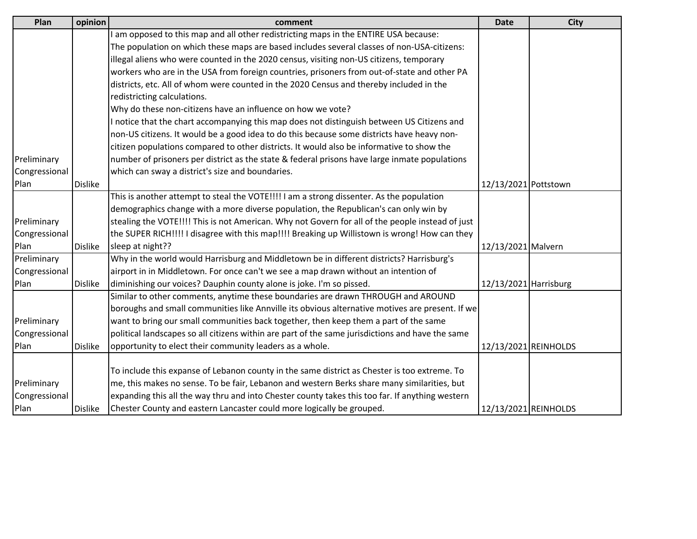| Plan          | opinion        | comment                                                                                          | <b>Date</b>           | <b>City</b> |
|---------------|----------------|--------------------------------------------------------------------------------------------------|-----------------------|-------------|
|               |                | am opposed to this map and all other redistricting maps in the ENTIRE USA because:               |                       |             |
|               |                | The population on which these maps are based includes several classes of non-USA-citizens:       |                       |             |
|               |                | illegal aliens who were counted in the 2020 census, visiting non-US citizens, temporary          |                       |             |
|               |                | workers who are in the USA from foreign countries, prisoners from out-of-state and other PA      |                       |             |
|               |                | districts, etc. All of whom were counted in the 2020 Census and thereby included in the          |                       |             |
|               |                | redistricting calculations.                                                                      |                       |             |
|               |                | Why do these non-citizens have an influence on how we vote?                                      |                       |             |
|               |                | I notice that the chart accompanying this map does not distinguish between US Citizens and       |                       |             |
|               |                | non-US citizens. It would be a good idea to do this because some districts have heavy non-       |                       |             |
|               |                | citizen populations compared to other districts. It would also be informative to show the        |                       |             |
| Preliminary   |                | number of prisoners per district as the state & federal prisons have large inmate populations    |                       |             |
| Congressional |                | which can sway a district's size and boundaries.                                                 |                       |             |
| Plan          | <b>Dislike</b> |                                                                                                  | 12/13/2021 Pottstown  |             |
|               |                | This is another attempt to steal the VOTE!!!! I am a strong dissenter. As the population         |                       |             |
|               |                | demographics change with a more diverse population, the Republican's can only win by             |                       |             |
| Preliminary   |                | stealing the VOTE!!!! This is not American. Why not Govern for all of the people instead of just |                       |             |
| Congressional |                | the SUPER RICH!!!! I disagree with this map!!!! Breaking up Willistown is wrong! How can they    |                       |             |
| Plan          | <b>Dislike</b> | sleep at night??                                                                                 | 12/13/2021 Malvern    |             |
| Preliminary   |                | Why in the world would Harrisburg and Middletown be in different districts? Harrisburg's         |                       |             |
| Congressional |                | airport in in Middletown. For once can't we see a map drawn without an intention of              |                       |             |
| Plan          | <b>Dislike</b> | diminishing our voices? Dauphin county alone is joke. I'm so pissed.                             | 12/13/2021 Harrisburg |             |
|               |                | Similar to other comments, anytime these boundaries are drawn THROUGH and AROUND                 |                       |             |
|               |                | boroughs and small communities like Annville its obvious alternative motives are present. If we  |                       |             |
| Preliminary   |                | want to bring our small communities back together, then keep them a part of the same             |                       |             |
| Congressional |                | political landscapes so all citizens within are part of the same jurisdictions and have the same |                       |             |
| Plan          | <b>Dislike</b> | opportunity to elect their community leaders as a whole.                                         | 12/13/2021 REINHOLDS  |             |
|               |                |                                                                                                  |                       |             |
|               |                | To include this expanse of Lebanon county in the same district as Chester is too extreme. To     |                       |             |
| Preliminary   |                | me, this makes no sense. To be fair, Lebanon and western Berks share many similarities, but      |                       |             |
| Congressional |                | expanding this all the way thru and into Chester county takes this too far. If anything western  |                       |             |
| Plan          | Dislike        | Chester County and eastern Lancaster could more logically be grouped.                            | 12/13/2021 REINHOLDS  |             |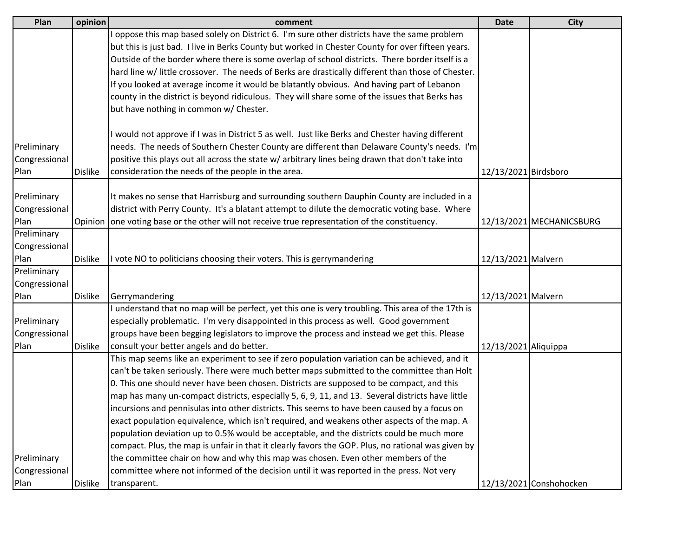| Plan          | opinion        | comment                                                                                            | <b>Date</b>          | <b>City</b>              |
|---------------|----------------|----------------------------------------------------------------------------------------------------|----------------------|--------------------------|
|               |                | oppose this map based solely on District 6. I'm sure other districts have the same problem         |                      |                          |
|               |                | but this is just bad. I live in Berks County but worked in Chester County for over fifteen years.  |                      |                          |
|               |                | Outside of the border where there is some overlap of school districts. There border itself is a    |                      |                          |
|               |                | hard line w/ little crossover. The needs of Berks are drastically different than those of Chester. |                      |                          |
|               |                | If you looked at average income it would be blatantly obvious. And having part of Lebanon          |                      |                          |
|               |                | county in the district is beyond ridiculous. They will share some of the issues that Berks has     |                      |                          |
|               |                | but have nothing in common w/ Chester.                                                             |                      |                          |
|               |                | would not approve if I was in District 5 as well. Just like Berks and Chester having different     |                      |                          |
| Preliminary   |                | needs. The needs of Southern Chester County are different than Delaware County's needs. I'm        |                      |                          |
| Congressional |                | positive this plays out all across the state w/ arbitrary lines being drawn that don't take into   |                      |                          |
| Plan          | <b>Dislike</b> | consideration the needs of the people in the area.                                                 | 12/13/2021 Birdsboro |                          |
|               |                |                                                                                                    |                      |                          |
| Preliminary   |                | It makes no sense that Harrisburg and surrounding southern Dauphin County are included in a        |                      |                          |
| Congressional |                | district with Perry County. It's a blatant attempt to dilute the democratic voting base. Where     |                      |                          |
| Plan          | Opinion        | one voting base or the other will not receive true representation of the constituency.             |                      | 12/13/2021 MECHANICSBURG |
| Preliminary   |                |                                                                                                    |                      |                          |
| Congressional |                |                                                                                                    |                      |                          |
| Plan          | <b>Dislike</b> | I vote NO to politicians choosing their voters. This is gerrymandering                             | 12/13/2021 Malvern   |                          |
| Preliminary   |                |                                                                                                    |                      |                          |
| Congressional |                |                                                                                                    |                      |                          |
| Plan          | <b>Dislike</b> | Gerrymandering                                                                                     | 12/13/2021 Malvern   |                          |
|               |                | I understand that no map will be perfect, yet this one is very troubling. This area of the 17th is |                      |                          |
| Preliminary   |                | especially problematic. I'm very disappointed in this process as well. Good government             |                      |                          |
| Congressional |                | groups have been begging legislators to improve the process and instead we get this. Please        |                      |                          |
| Plan          | <b>Dislike</b> | consult your better angels and do better.                                                          | 12/13/2021 Aliquippa |                          |
|               |                | This map seems like an experiment to see if zero population variation can be achieved, and it      |                      |                          |
|               |                | can't be taken seriously. There were much better maps submitted to the committee than Holt         |                      |                          |
|               |                | 0. This one should never have been chosen. Districts are supposed to be compact, and this          |                      |                          |
|               |                | map has many un-compact districts, especially 5, 6, 9, 11, and 13. Several districts have little   |                      |                          |
|               |                | incursions and pennisulas into other districts. This seems to have been caused by a focus on       |                      |                          |
|               |                | exact population equivalence, which isn't required, and weakens other aspects of the map. A        |                      |                          |
|               |                | population deviation up to 0.5% would be acceptable, and the districts could be much more          |                      |                          |
|               |                | compact. Plus, the map is unfair in that it clearly favors the GOP. Plus, no rational was given by |                      |                          |
| Preliminary   |                | the committee chair on how and why this map was chosen. Even other members of the                  |                      |                          |
| Congressional |                | committee where not informed of the decision until it was reported in the press. Not very          |                      |                          |
| Plan          | <b>Dislike</b> | transparent.                                                                                       |                      | 12/13/2021 Conshohocken  |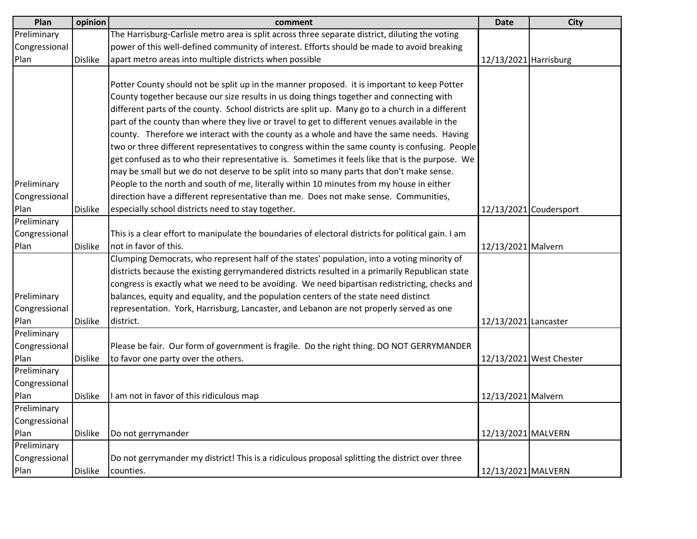| Plan                                 | opinion        | comment                                                                                                                                                                                                                                                                                                                                                                                                                                                                                                                                                                                                                                                                                                                                                                                                                                                                               | <b>Date</b>           | <b>City</b>             |
|--------------------------------------|----------------|---------------------------------------------------------------------------------------------------------------------------------------------------------------------------------------------------------------------------------------------------------------------------------------------------------------------------------------------------------------------------------------------------------------------------------------------------------------------------------------------------------------------------------------------------------------------------------------------------------------------------------------------------------------------------------------------------------------------------------------------------------------------------------------------------------------------------------------------------------------------------------------|-----------------------|-------------------------|
| Preliminary                          |                | The Harrisburg-Carlisle metro area is split across three separate district, diluting the voting                                                                                                                                                                                                                                                                                                                                                                                                                                                                                                                                                                                                                                                                                                                                                                                       |                       |                         |
| Congressional                        |                | power of this well-defined community of interest. Efforts should be made to avoid breaking                                                                                                                                                                                                                                                                                                                                                                                                                                                                                                                                                                                                                                                                                                                                                                                            |                       |                         |
| Plan                                 | <b>Dislike</b> | apart metro areas into multiple districts when possible                                                                                                                                                                                                                                                                                                                                                                                                                                                                                                                                                                                                                                                                                                                                                                                                                               | 12/13/2021 Harrisburg |                         |
| Preliminary                          |                | Potter County should not be split up in the manner proposed. it is important to keep Potter<br>County together because our size results in us doing things together and connecting with<br>different parts of the county. School districts are split up. Many go to a church in a different<br>part of the county than where they live or travel to get to different venues available in the<br>county. Therefore we interact with the county as a whole and have the same needs. Having<br>two or three different representatives to congress within the same county is confusing. People<br>get confused as to who their representative is. Sometimes it feels like that is the purpose. We<br>may be small but we do not deserve to be split into so many parts that don't make sense.<br>People to the north and south of me, literally within 10 minutes from my house in either |                       |                         |
| Congressional                        |                | direction have a different representative than me. Does not make sense. Communities,                                                                                                                                                                                                                                                                                                                                                                                                                                                                                                                                                                                                                                                                                                                                                                                                  |                       |                         |
| Plan                                 | <b>Dislike</b> | especially school districts need to stay together.                                                                                                                                                                                                                                                                                                                                                                                                                                                                                                                                                                                                                                                                                                                                                                                                                                    |                       | 12/13/2021 Coudersport  |
| Preliminary                          |                |                                                                                                                                                                                                                                                                                                                                                                                                                                                                                                                                                                                                                                                                                                                                                                                                                                                                                       |                       |                         |
| Congressional                        |                | This is a clear effort to manipulate the boundaries of electoral districts for political gain. I am                                                                                                                                                                                                                                                                                                                                                                                                                                                                                                                                                                                                                                                                                                                                                                                   |                       |                         |
| Plan                                 | <b>Dislike</b> | not in favor of this.                                                                                                                                                                                                                                                                                                                                                                                                                                                                                                                                                                                                                                                                                                                                                                                                                                                                 | 12/13/2021 Malvern    |                         |
| Preliminary<br>Congressional<br>Plan | <b>Dislike</b> | Clumping Democrats, who represent half of the states' population, into a voting minority of<br>districts because the existing gerrymandered districts resulted in a primarily Republican state<br>congress is exactly what we need to be avoiding. We need bipartisan redistricting, checks and<br>balances, equity and equality, and the population centers of the state need distinct<br>representation. York, Harrisburg, Lancaster, and Lebanon are not properly served as one<br>district.                                                                                                                                                                                                                                                                                                                                                                                       | 12/13/2021 Lancaster  |                         |
| Preliminary                          |                |                                                                                                                                                                                                                                                                                                                                                                                                                                                                                                                                                                                                                                                                                                                                                                                                                                                                                       |                       |                         |
| Congressional<br>Plan                | <b>Dislike</b> | Please be fair. Our form of government is fragile. Do the right thing. DO NOT GERRYMANDER<br>to favor one party over the others.                                                                                                                                                                                                                                                                                                                                                                                                                                                                                                                                                                                                                                                                                                                                                      |                       | 12/13/2021 West Chester |
| Preliminary<br>Congressional<br>Plan | <b>Dislike</b> | I am not in favor of this ridiculous map                                                                                                                                                                                                                                                                                                                                                                                                                                                                                                                                                                                                                                                                                                                                                                                                                                              |                       |                         |
| Preliminary                          |                |                                                                                                                                                                                                                                                                                                                                                                                                                                                                                                                                                                                                                                                                                                                                                                                                                                                                                       | 12/13/2021 Malvern    |                         |
| Congressional                        |                |                                                                                                                                                                                                                                                                                                                                                                                                                                                                                                                                                                                                                                                                                                                                                                                                                                                                                       |                       |                         |
| Plan                                 | <b>Dislike</b> | Do not gerrymander                                                                                                                                                                                                                                                                                                                                                                                                                                                                                                                                                                                                                                                                                                                                                                                                                                                                    | 12/13/2021 MALVERN    |                         |
| Preliminary<br>Congressional<br>Plan | <b>Dislike</b> | Do not gerrymander my district! This is a ridiculous proposal splitting the district over three<br>counties.                                                                                                                                                                                                                                                                                                                                                                                                                                                                                                                                                                                                                                                                                                                                                                          | 12/13/2021 MALVERN    |                         |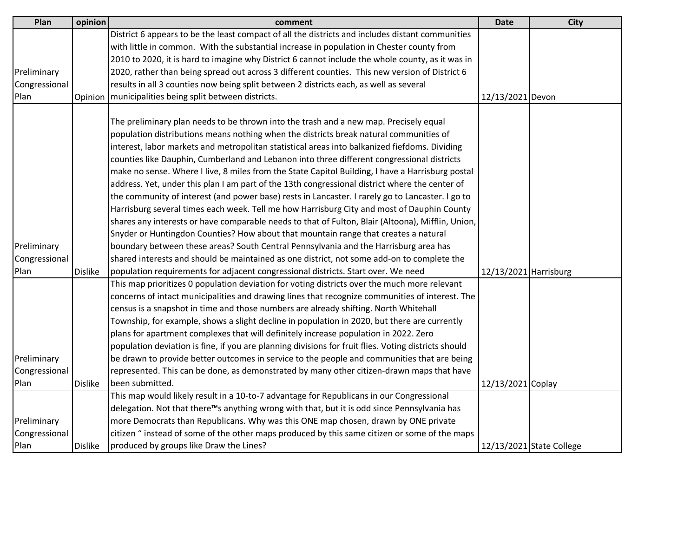| Plan          | opinion        | comment                                                                                              | <b>Date</b>           | <b>City</b>              |
|---------------|----------------|------------------------------------------------------------------------------------------------------|-----------------------|--------------------------|
|               |                | District 6 appears to be the least compact of all the districts and includes distant communities     |                       |                          |
|               |                | with little in common. With the substantial increase in population in Chester county from            |                       |                          |
|               |                | 2010 to 2020, it is hard to imagine why District 6 cannot include the whole county, as it was in     |                       |                          |
| Preliminary   |                | 2020, rather than being spread out across 3 different counties. This new version of District 6       |                       |                          |
| Congressional |                | results in all 3 counties now being split between 2 districts each, as well as several               |                       |                          |
| Plan          | Opinion        | municipalities being split between districts.                                                        | 12/13/2021 Devon      |                          |
|               |                |                                                                                                      |                       |                          |
|               |                | The preliminary plan needs to be thrown into the trash and a new map. Precisely equal                |                       |                          |
|               |                | population distributions means nothing when the districts break natural communities of               |                       |                          |
|               |                | interest, labor markets and metropolitan statistical areas into balkanized fiefdoms. Dividing        |                       |                          |
|               |                | counties like Dauphin, Cumberland and Lebanon into three different congressional districts           |                       |                          |
|               |                | make no sense. Where I live, 8 miles from the State Capitol Building, I have a Harrisburg postal     |                       |                          |
|               |                | address. Yet, under this plan I am part of the 13th congressional district where the center of       |                       |                          |
|               |                | the community of interest (and power base) rests in Lancaster. I rarely go to Lancaster. I go to     |                       |                          |
|               |                | Harrisburg several times each week. Tell me how Harrisburg City and most of Dauphin County           |                       |                          |
|               |                | shares any interests or have comparable needs to that of Fulton, Blair (Altoona), Mifflin, Union,    |                       |                          |
|               |                | Snyder or Huntingdon Counties? How about that mountain range that creates a natural                  |                       |                          |
| Preliminary   |                | boundary between these areas? South Central Pennsylvania and the Harrisburg area has                 |                       |                          |
| Congressional |                | shared interests and should be maintained as one district, not some add-on to complete the           |                       |                          |
| Plan          | Dislike        | population requirements for adjacent congressional districts. Start over. We need                    | 12/13/2021 Harrisburg |                          |
|               |                | This map prioritizes 0 population deviation for voting districts over the much more relevant         |                       |                          |
|               |                | concerns of intact municipalities and drawing lines that recognize communities of interest. The      |                       |                          |
|               |                | census is a snapshot in time and those numbers are already shifting. North Whitehall                 |                       |                          |
|               |                | Township, for example, shows a slight decline in population in 2020, but there are currently         |                       |                          |
|               |                | plans for apartment complexes that will definitely increase population in 2022. Zero                 |                       |                          |
|               |                | population deviation is fine, if you are planning divisions for fruit flies. Voting districts should |                       |                          |
| Preliminary   |                | be drawn to provide better outcomes in service to the people and communities that are being          |                       |                          |
| Congressional |                | represented. This can be done, as demonstrated by many other citizen-drawn maps that have            |                       |                          |
| Plan          | <b>Dislike</b> | been submitted.                                                                                      | 12/13/2021 Coplay     |                          |
|               |                | This map would likely result in a 10-to-7 advantage for Republicans in our Congressional             |                       |                          |
|               |                | delegation. Not that there™s anything wrong with that, but it is odd since Pennsylvania has          |                       |                          |
| Preliminary   |                | more Democrats than Republicans. Why was this ONE map chosen, drawn by ONE private                   |                       |                          |
| Congressional |                | citizen " instead of some of the other maps produced by this same citizen or some of the maps        |                       |                          |
| Plan          | <b>Dislike</b> | produced by groups like Draw the Lines?                                                              |                       | 12/13/2021 State College |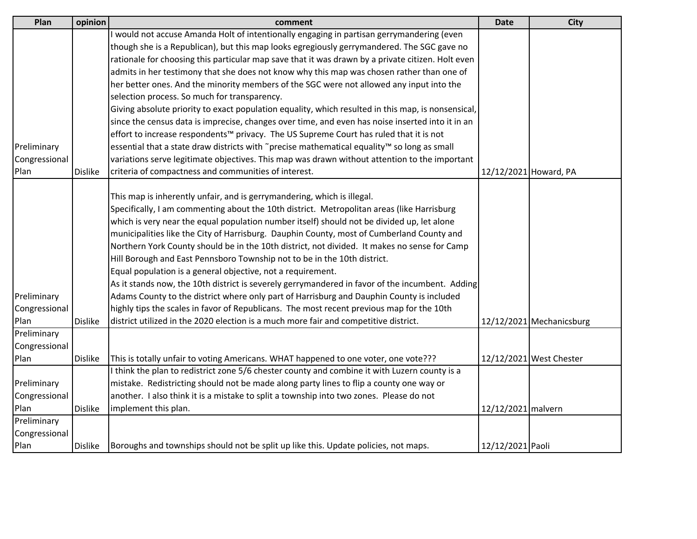| Plan          | opinion        | comment                                                                                            | <b>Date</b>           | City                     |
|---------------|----------------|----------------------------------------------------------------------------------------------------|-----------------------|--------------------------|
|               |                | would not accuse Amanda Holt of intentionally engaging in partisan gerrymandering (even            |                       |                          |
|               |                | though she is a Republican), but this map looks egregiously gerrymandered. The SGC gave no         |                       |                          |
|               |                | rationale for choosing this particular map save that it was drawn by a private citizen. Holt even  |                       |                          |
|               |                | admits in her testimony that she does not know why this map was chosen rather than one of          |                       |                          |
|               |                | her better ones. And the minority members of the SGC were not allowed any input into the           |                       |                          |
|               |                | selection process. So much for transparency.                                                       |                       |                          |
|               |                | Giving absolute priority to exact population equality, which resulted in this map, is nonsensical, |                       |                          |
|               |                | since the census data is imprecise, changes over time, and even has noise inserted into it in an   |                       |                          |
|               |                | effort to increase respondents™ privacy. The US Supreme Court has ruled that it is not             |                       |                          |
| Preliminary   |                | essential that a state draw districts with ~precise mathematical equality™ so long as small        |                       |                          |
| Congressional |                | variations serve legitimate objectives. This map was drawn without attention to the important      |                       |                          |
| Plan          | <b>Dislike</b> | criteria of compactness and communities of interest.                                               | 12/12/2021 Howard, PA |                          |
|               |                |                                                                                                    |                       |                          |
|               |                | This map is inherently unfair, and is gerrymandering, which is illegal.                            |                       |                          |
|               |                | Specifically, I am commenting about the 10th district. Metropolitan areas (like Harrisburg         |                       |                          |
|               |                | which is very near the equal population number itself) should not be divided up, let alone         |                       |                          |
|               |                | municipalities like the City of Harrisburg. Dauphin County, most of Cumberland County and          |                       |                          |
|               |                | Northern York County should be in the 10th district, not divided. It makes no sense for Camp       |                       |                          |
|               |                | Hill Borough and East Pennsboro Township not to be in the 10th district.                           |                       |                          |
|               |                | Equal population is a general objective, not a requirement.                                        |                       |                          |
|               |                | As it stands now, the 10th district is severely gerrymandered in favor of the incumbent. Adding    |                       |                          |
| Preliminary   |                | Adams County to the district where only part of Harrisburg and Dauphin County is included          |                       |                          |
| Congressional |                | highly tips the scales in favor of Republicans. The most recent previous map for the 10th          |                       |                          |
| Plan          | <b>Dislike</b> | district utilized in the 2020 election is a much more fair and competitive district.               |                       | 12/12/2021 Mechanicsburg |
| Preliminary   |                |                                                                                                    |                       |                          |
| Congressional |                |                                                                                                    |                       |                          |
| Plan          | Dislike        | This is totally unfair to voting Americans. WHAT happened to one voter, one vote???                |                       | 12/12/2021 West Chester  |
|               |                | I think the plan to redistrict zone 5/6 chester county and combine it with Luzern county is a      |                       |                          |
| Preliminary   |                | mistake. Redistricting should not be made along party lines to flip a county one way or            |                       |                          |
| Congressional |                | another. I also think it is a mistake to split a township into two zones. Please do not            |                       |                          |
| Plan          | <b>Dislike</b> | implement this plan.                                                                               | 12/12/2021 malvern    |                          |
| Preliminary   |                |                                                                                                    |                       |                          |
| Congressional |                |                                                                                                    |                       |                          |
| Plan          | <b>Dislike</b> | Boroughs and townships should not be split up like this. Update policies, not maps.                | 12/12/2021 Paoli      |                          |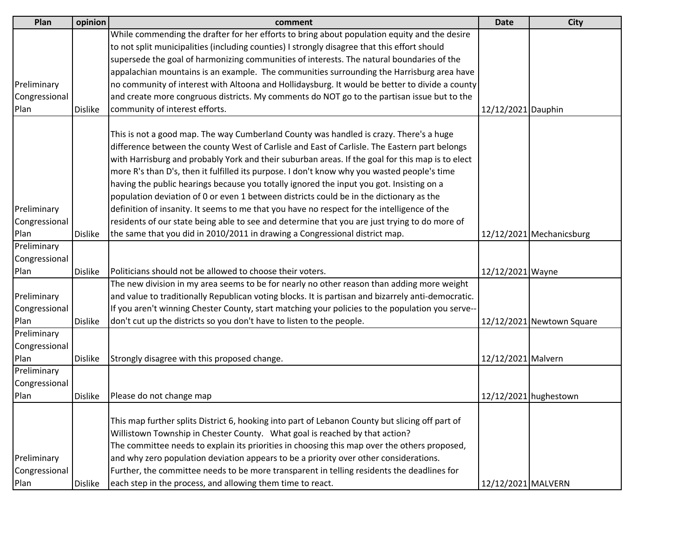| Plan          | opinion        | comment                                                                                            | <b>Date</b>        | <b>City</b>               |
|---------------|----------------|----------------------------------------------------------------------------------------------------|--------------------|---------------------------|
|               |                | While commending the drafter for her efforts to bring about population equity and the desire       |                    |                           |
|               |                | to not split municipalities (including counties) I strongly disagree that this effort should       |                    |                           |
|               |                | supersede the goal of harmonizing communities of interests. The natural boundaries of the          |                    |                           |
|               |                | appalachian mountains is an example. The communities surrounding the Harrisburg area have          |                    |                           |
| Preliminary   |                | no community of interest with Altoona and Hollidaysburg. It would be better to divide a county     |                    |                           |
| Congressional |                | and create more congruous districts. My comments do NOT go to the partisan issue but to the        |                    |                           |
| Plan          | <b>Dislike</b> | community of interest efforts.                                                                     | 12/12/2021 Dauphin |                           |
|               |                |                                                                                                    |                    |                           |
|               |                | This is not a good map. The way Cumberland County was handled is crazy. There's a huge             |                    |                           |
|               |                | difference between the county West of Carlisle and East of Carlisle. The Eastern part belongs      |                    |                           |
|               |                | with Harrisburg and probably York and their suburban areas. If the goal for this map is to elect   |                    |                           |
|               |                | more R's than D's, then it fulfilled its purpose. I don't know why you wasted people's time        |                    |                           |
|               |                | having the public hearings because you totally ignored the input you got. Insisting on a           |                    |                           |
|               |                | population deviation of 0 or even 1 between districts could be in the dictionary as the            |                    |                           |
| Preliminary   |                | definition of insanity. It seems to me that you have no respect for the intelligence of the        |                    |                           |
| Congressional |                | residents of our state being able to see and determine that you are just trying to do more of      |                    |                           |
| Plan          | <b>Dislike</b> | the same that you did in 2010/2011 in drawing a Congressional district map.                        |                    | 12/12/2021 Mechanicsburg  |
| Preliminary   |                |                                                                                                    |                    |                           |
| Congressional |                |                                                                                                    |                    |                           |
| Plan          | <b>Dislike</b> | Politicians should not be allowed to choose their voters.                                          | 12/12/2021 Wayne   |                           |
|               |                | The new division in my area seems to be for nearly no other reason than adding more weight         |                    |                           |
| Preliminary   |                | and value to traditionally Republican voting blocks. It is partisan and bizarrely anti-democratic. |                    |                           |
| Congressional |                | If you aren't winning Chester County, start matching your policies to the population you serve--   |                    |                           |
| Plan          | <b>Dislike</b> | don't cut up the districts so you don't have to listen to the people.                              |                    | 12/12/2021 Newtown Square |
| Preliminary   |                |                                                                                                    |                    |                           |
| Congressional |                |                                                                                                    |                    |                           |
| Plan          | <b>Dislike</b> | Strongly disagree with this proposed change.                                                       | 12/12/2021 Malvern |                           |
| Preliminary   |                |                                                                                                    |                    |                           |
| Congressional |                |                                                                                                    |                    |                           |
| Plan          | <b>Dislike</b> | Please do not change map                                                                           |                    | 12/12/2021 hughestown     |
|               |                |                                                                                                    |                    |                           |
|               |                | This map further splits District 6, hooking into part of Lebanon County but slicing off part of    |                    |                           |
|               |                | Willistown Township in Chester County. What goal is reached by that action?                        |                    |                           |
|               |                | The committee needs to explain its priorities in choosing this map over the others proposed,       |                    |                           |
| Preliminary   |                | and why zero population deviation appears to be a priority over other considerations.              |                    |                           |
| Congressional |                | Further, the committee needs to be more transparent in telling residents the deadlines for         |                    |                           |
| Plan          | <b>Dislike</b> | each step in the process, and allowing them time to react.                                         | 12/12/2021 MALVERN |                           |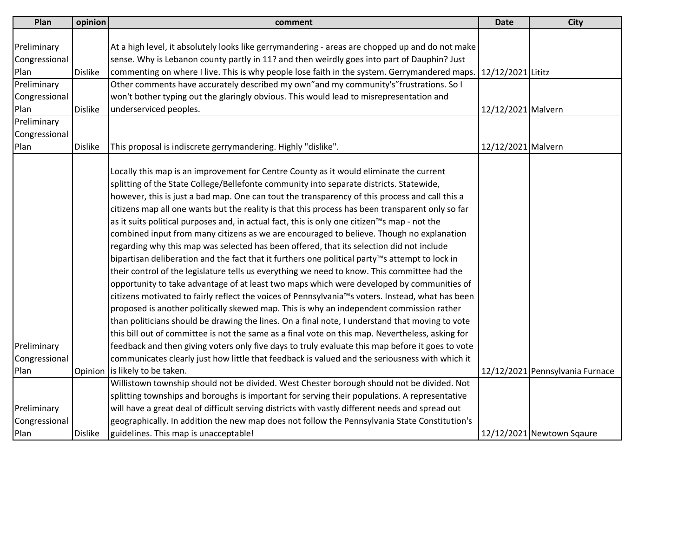| Plan          | opinion        | comment                                                                                                        | <b>Date</b>        | <b>City</b>                     |
|---------------|----------------|----------------------------------------------------------------------------------------------------------------|--------------------|---------------------------------|
|               |                |                                                                                                                |                    |                                 |
| Preliminary   |                | At a high level, it absolutely looks like gerrymandering - areas are chopped up and do not make                |                    |                                 |
| Congressional |                | sense. Why is Lebanon county partly in 11? and then weirdly goes into part of Dauphin? Just                    |                    |                                 |
| Plan          | <b>Dislike</b> | commenting on where I live. This is why people lose faith in the system. Gerrymandered maps. 12/12/2021 Lititz |                    |                                 |
| Preliminary   |                | Other comments have accurately described my own" and my community's" frustrations. So I                        |                    |                                 |
| Congressional |                | won't bother typing out the glaringly obvious. This would lead to misrepresentation and                        |                    |                                 |
| Plan          | <b>Dislike</b> | underserviced peoples.                                                                                         | 12/12/2021 Malvern |                                 |
| Preliminary   |                |                                                                                                                |                    |                                 |
| Congressional |                |                                                                                                                |                    |                                 |
| Plan          | <b>Dislike</b> | This proposal is indiscrete gerrymandering. Highly "dislike".                                                  | 12/12/2021 Malvern |                                 |
|               |                |                                                                                                                |                    |                                 |
|               |                | Locally this map is an improvement for Centre County as it would eliminate the current                         |                    |                                 |
|               |                | splitting of the State College/Bellefonte community into separate districts. Statewide,                        |                    |                                 |
|               |                | however, this is just a bad map. One can tout the transparency of this process and call this a                 |                    |                                 |
|               |                | citizens map all one wants but the reality is that this process has been transparent only so far               |                    |                                 |
|               |                | as it suits political purposes and, in actual fact, this is only one citizen™s map - not the                   |                    |                                 |
|               |                | combined input from many citizens as we are encouraged to believe. Though no explanation                       |                    |                                 |
|               |                | regarding why this map was selected has been offered, that its selection did not include                       |                    |                                 |
|               |                | bipartisan deliberation and the fact that it furthers one political party™s attempt to lock in                 |                    |                                 |
|               |                | their control of the legislature tells us everything we need to know. This committee had the                   |                    |                                 |
|               |                | opportunity to take advantage of at least two maps which were developed by communities of                      |                    |                                 |
|               |                | citizens motivated to fairly reflect the voices of Pennsylvania™s voters. Instead, what has been               |                    |                                 |
|               |                | proposed is another politically skewed map. This is why an independent commission rather                       |                    |                                 |
|               |                | than politicians should be drawing the lines. On a final note, I understand that moving to vote                |                    |                                 |
|               |                | this bill out of committee is not the same as a final vote on this map. Nevertheless, asking for               |                    |                                 |
| Preliminary   |                | feedback and then giving voters only five days to truly evaluate this map before it goes to vote               |                    |                                 |
| Congressional |                | communicates clearly just how little that feedback is valued and the seriousness with which it                 |                    |                                 |
| Plan          | Opinion        | is likely to be taken.                                                                                         |                    | 12/12/2021 Pennsylvania Furnace |
|               |                | Willistown township should not be divided. West Chester borough should not be divided. Not                     |                    |                                 |
|               |                | splitting townships and boroughs is important for serving their populations. A representative                  |                    |                                 |
| Preliminary   |                | will have a great deal of difficult serving districts with vastly different needs and spread out               |                    |                                 |
| Congressional |                | geographically. In addition the new map does not follow the Pennsylvania State Constitution's                  |                    |                                 |
| Plan          | <b>Dislike</b> | guidelines. This map is unacceptable!                                                                          |                    | 12/12/2021 Newtown Sqaure       |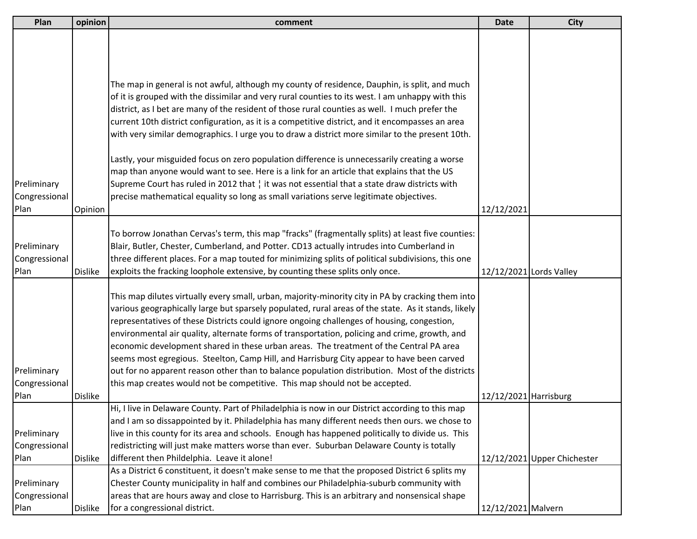| Plan                         | opinion        | comment                                                                                                                                        | <b>Date</b>             | <b>City</b>                 |
|------------------------------|----------------|------------------------------------------------------------------------------------------------------------------------------------------------|-------------------------|-----------------------------|
|                              |                |                                                                                                                                                |                         |                             |
|                              |                |                                                                                                                                                |                         |                             |
|                              |                |                                                                                                                                                |                         |                             |
|                              |                | The map in general is not awful, although my county of residence, Dauphin, is split, and much                                                  |                         |                             |
|                              |                | of it is grouped with the dissimilar and very rural counties to its west. I am unhappy with this                                               |                         |                             |
|                              |                | district, as I bet are many of the resident of those rural counties as well. I much prefer the                                                 |                         |                             |
|                              |                | current 10th district configuration, as it is a competitive district, and it encompasses an area                                               |                         |                             |
|                              |                | with very similar demographics. I urge you to draw a district more similar to the present 10th.                                                |                         |                             |
|                              |                | Lastly, your misguided focus on zero population difference is unnecessarily creating a worse                                                   |                         |                             |
|                              |                | map than anyone would want to see. Here is a link for an article that explains that the US                                                     |                         |                             |
| Preliminary                  |                | Supreme Court has ruled in 2012 that $\frac{1}{1}$ it was not essential that a state draw districts with                                       |                         |                             |
| Congressional                |                | precise mathematical equality so long as small variations serve legitimate objectives.                                                         |                         |                             |
| Plan                         | Opinion        |                                                                                                                                                | 12/12/2021              |                             |
|                              |                | To borrow Jonathan Cervas's term, this map "fracks" (fragmentally splits) at least five counties:                                              |                         |                             |
| Preliminary                  |                | Blair, Butler, Chester, Cumberland, and Potter. CD13 actually intrudes into Cumberland in                                                      |                         |                             |
| Congressional                |                | three different places. For a map touted for minimizing splits of political subdivisions, this one                                             |                         |                             |
| Plan                         | <b>Dislike</b> | exploits the fracking loophole extensive, by counting these splits only once.                                                                  | 12/12/2021 Lords Valley |                             |
|                              |                |                                                                                                                                                |                         |                             |
|                              |                | This map dilutes virtually every small, urban, majority-minority city in PA by cracking them into                                              |                         |                             |
|                              |                | various geographically large but sparsely populated, rural areas of the state. As it stands, likely                                            |                         |                             |
|                              |                | representatives of these Districts could ignore ongoing challenges of housing, congestion,                                                     |                         |                             |
|                              |                | environmental air quality, alternate forms of transportation, policing and crime, growth, and                                                  |                         |                             |
|                              |                | economic development shared in these urban areas. The treatment of the Central PA area                                                         |                         |                             |
|                              |                | seems most egregious. Steelton, Camp Hill, and Harrisburg City appear to have been carved                                                      |                         |                             |
| Preliminary                  |                | out for no apparent reason other than to balance population distribution. Most of the districts                                                |                         |                             |
| Congressional                |                | this map creates would not be competitive. This map should not be accepted.                                                                    |                         |                             |
| Plan                         | <b>Dislike</b> |                                                                                                                                                | 12/12/2021 Harrisburg   |                             |
|                              |                | Hi, I live in Delaware County. Part of Philadelphia is now in our District according to this map                                               |                         |                             |
|                              |                | and I am so dissappointed by it. Philadelphia has many different needs then ours. we chose to                                                  |                         |                             |
| Preliminary                  |                | live in this county for its area and schools. Enough has happened politically to divide us. This                                               |                         |                             |
| Congressional                |                | redistricting will just make matters worse than ever. Suburban Delaware County is totally                                                      |                         |                             |
| Plan                         | Dislike        | different then Phildelphia. Leave it alone!<br>As a District 6 constituent, it doesn't make sense to me that the proposed District 6 splits my |                         | 12/12/2021 Upper Chichester |
|                              |                | Chester County municipality in half and combines our Philadelphia-suburb community with                                                        |                         |                             |
| Preliminary<br>Congressional |                | areas that are hours away and close to Harrisburg. This is an arbitrary and nonsensical shape                                                  |                         |                             |
| Plan                         | Dislike        | for a congressional district.                                                                                                                  | 12/12/2021 Malvern      |                             |
|                              |                |                                                                                                                                                |                         |                             |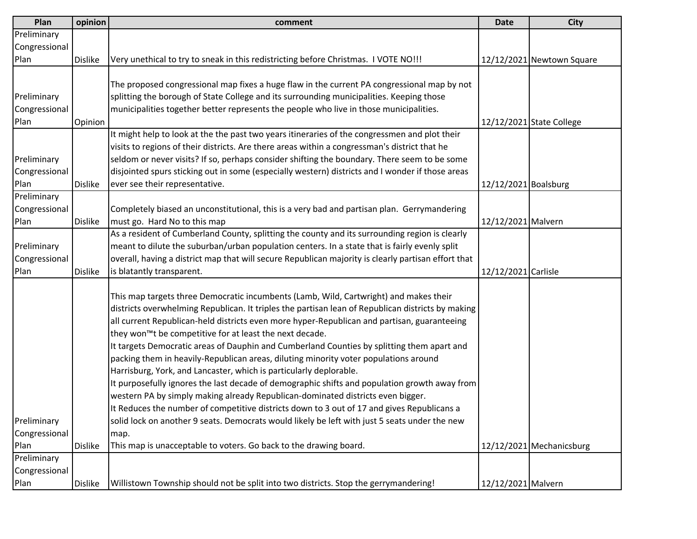| Plan          | opinion        | comment                                                                                             | <b>Date</b>          | <b>City</b>               |
|---------------|----------------|-----------------------------------------------------------------------------------------------------|----------------------|---------------------------|
| Preliminary   |                |                                                                                                     |                      |                           |
| Congressional |                |                                                                                                     |                      |                           |
| Plan          | <b>Dislike</b> | Very unethical to try to sneak in this redistricting before Christmas. I VOTE NO!!!                 |                      | 12/12/2021 Newtown Square |
|               |                |                                                                                                     |                      |                           |
|               |                | The proposed congressional map fixes a huge flaw in the current PA congressional map by not         |                      |                           |
| Preliminary   |                | splitting the borough of State College and its surrounding municipalities. Keeping those            |                      |                           |
| Congressional |                | municipalities together better represents the people who live in those municipalities.              |                      |                           |
| Plan          | Opinion        |                                                                                                     |                      | 12/12/2021 State College  |
|               |                | It might help to look at the the past two years itineraries of the congressmen and plot their       |                      |                           |
|               |                | visits to regions of their districts. Are there areas within a congressman's district that he       |                      |                           |
| Preliminary   |                | seldom or never visits? If so, perhaps consider shifting the boundary. There seem to be some        |                      |                           |
| Congressional |                | disjointed spurs sticking out in some (especially western) districts and I wonder if those areas    |                      |                           |
| Plan          | <b>Dislike</b> | ever see their representative.                                                                      | 12/12/2021 Boalsburg |                           |
| Preliminary   |                |                                                                                                     |                      |                           |
| Congressional |                | Completely biased an unconstitutional, this is a very bad and partisan plan. Gerrymandering         |                      |                           |
| Plan          | <b>Dislike</b> | must go. Hard No to this map                                                                        | 12/12/2021 Malvern   |                           |
|               |                | As a resident of Cumberland County, splitting the county and its surrounding region is clearly      |                      |                           |
| Preliminary   |                | meant to dilute the suburban/urban population centers. In a state that is fairly evenly split       |                      |                           |
| Congressional |                | overall, having a district map that will secure Republican majority is clearly partisan effort that |                      |                           |
| Plan          | <b>Dislike</b> | is blatantly transparent.                                                                           | 12/12/2021 Carlisle  |                           |
|               |                |                                                                                                     |                      |                           |
|               |                | This map targets three Democratic incumbents (Lamb, Wild, Cartwright) and makes their               |                      |                           |
|               |                | districts overwhelming Republican. It triples the partisan lean of Republican districts by making   |                      |                           |
|               |                | all current Republican-held districts even more hyper-Republican and partisan, guaranteeing         |                      |                           |
|               |                | they won <sup>™</sup> t be competitive for at least the next decade.                                |                      |                           |
|               |                | It targets Democratic areas of Dauphin and Cumberland Counties by splitting them apart and          |                      |                           |
|               |                | packing them in heavily-Republican areas, diluting minority voter populations around                |                      |                           |
|               |                | Harrisburg, York, and Lancaster, which is particularly deplorable.                                  |                      |                           |
|               |                | It purposefully ignores the last decade of demographic shifts and population growth away from       |                      |                           |
|               |                | western PA by simply making already Republican-dominated districts even bigger.                     |                      |                           |
|               |                | It Reduces the number of competitive districts down to 3 out of 17 and gives Republicans a          |                      |                           |
| Preliminary   |                | solid lock on another 9 seats. Democrats would likely be left with just 5 seats under the new       |                      |                           |
| Congressional |                | map.                                                                                                |                      |                           |
| Plan          | <b>Dislike</b> | This map is unacceptable to voters. Go back to the drawing board.                                   |                      | 12/12/2021 Mechanicsburg  |
| Preliminary   |                |                                                                                                     |                      |                           |
| Congressional |                |                                                                                                     |                      |                           |
| Plan          | <b>Dislike</b> | Willistown Township should not be split into two districts. Stop the gerrymandering!                | 12/12/2021 Malvern   |                           |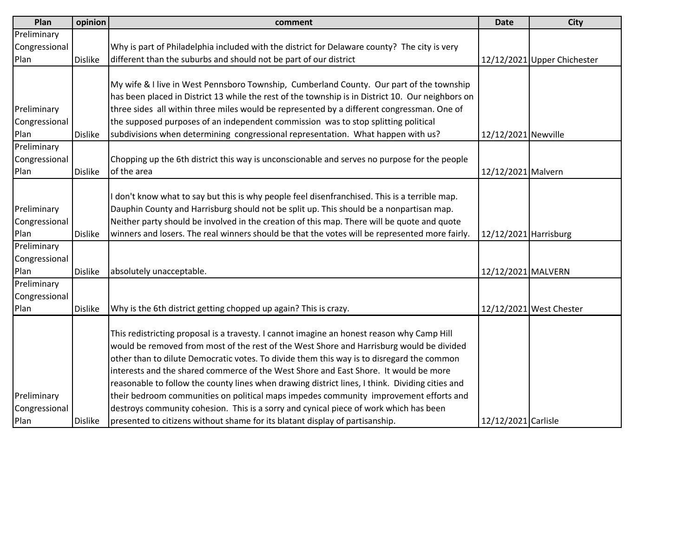| Plan          | opinion        | comment                                                                                           | <b>Date</b>           | <b>City</b>                 |
|---------------|----------------|---------------------------------------------------------------------------------------------------|-----------------------|-----------------------------|
| Preliminary   |                |                                                                                                   |                       |                             |
| Congressional |                | Why is part of Philadelphia included with the district for Delaware county? The city is very      |                       |                             |
| Plan          | <b>Dislike</b> | different than the suburbs and should not be part of our district                                 |                       | 12/12/2021 Upper Chichester |
|               |                |                                                                                                   |                       |                             |
|               |                | My wife & I live in West Pennsboro Township, Cumberland County. Our part of the township          |                       |                             |
|               |                | has been placed in District 13 while the rest of the township is in District 10. Our neighbors on |                       |                             |
| Preliminary   |                | three sides all within three miles would be represented by a different congressman. One of        |                       |                             |
| Congressional |                | the supposed purposes of an independent commission was to stop splitting political                |                       |                             |
| Plan          | <b>Dislike</b> | subdivisions when determining congressional representation. What happen with us?                  | 12/12/2021 Newville   |                             |
| Preliminary   |                |                                                                                                   |                       |                             |
| Congressional |                | Chopping up the 6th district this way is unconscionable and serves no purpose for the people      |                       |                             |
| Plan          | <b>Dislike</b> | of the area                                                                                       | 12/12/2021 Malvern    |                             |
|               |                | I don't know what to say but this is why people feel disenfranchised. This is a terrible map.     |                       |                             |
| Preliminary   |                | Dauphin County and Harrisburg should not be split up. This should be a nonpartisan map.           |                       |                             |
| Congressional |                | Neither party should be involved in the creation of this map. There will be quote and quote       |                       |                             |
| Plan          | <b>Dislike</b> | winners and losers. The real winners should be that the votes will be represented more fairly.    | 12/12/2021 Harrisburg |                             |
| Preliminary   |                |                                                                                                   |                       |                             |
| Congressional |                |                                                                                                   |                       |                             |
| Plan          | <b>Dislike</b> | absolutely unacceptable.                                                                          | 12/12/2021 MALVERN    |                             |
| Preliminary   |                |                                                                                                   |                       |                             |
| Congressional |                |                                                                                                   |                       |                             |
| Plan          | <b>Dislike</b> | Why is the 6th district getting chopped up again? This is crazy.                                  |                       | 12/12/2021 West Chester     |
|               |                |                                                                                                   |                       |                             |
|               |                | This redistricting proposal is a travesty. I cannot imagine an honest reason why Camp Hill        |                       |                             |
|               |                | would be removed from most of the rest of the West Shore and Harrisburg would be divided          |                       |                             |
|               |                | other than to dilute Democratic votes. To divide them this way is to disregard the common         |                       |                             |
|               |                | interests and the shared commerce of the West Shore and East Shore. It would be more              |                       |                             |
|               |                | reasonable to follow the county lines when drawing district lines, I think. Dividing cities and   |                       |                             |
| Preliminary   |                | their bedroom communities on political maps impedes community improvement efforts and             |                       |                             |
| Congressional |                | destroys community cohesion. This is a sorry and cynical piece of work which has been             |                       |                             |
| Plan          | <b>Dislike</b> | presented to citizens without shame for its blatant display of partisanship.                      | 12/12/2021 Carlisle   |                             |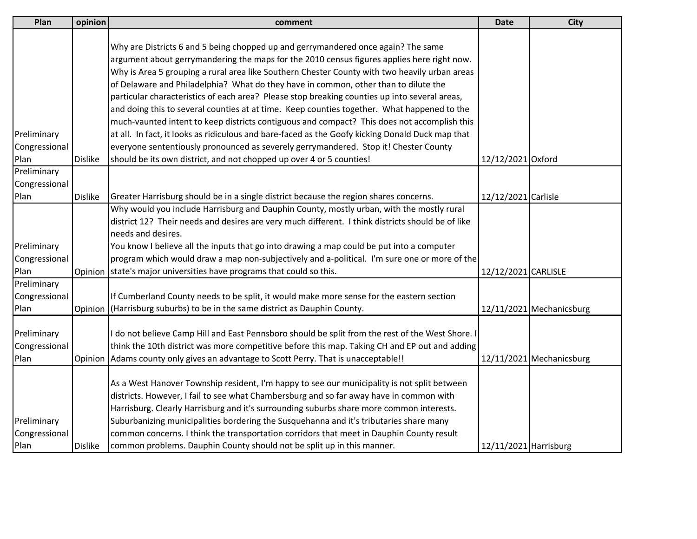| Plan          | opinion        | comment                                                                                           | <b>Date</b>           | <b>City</b>              |
|---------------|----------------|---------------------------------------------------------------------------------------------------|-----------------------|--------------------------|
|               |                |                                                                                                   |                       |                          |
|               |                | Why are Districts 6 and 5 being chopped up and gerrymandered once again? The same                 |                       |                          |
|               |                | argument about gerrymandering the maps for the 2010 census figures applies here right now.        |                       |                          |
|               |                | Why is Area 5 grouping a rural area like Southern Chester County with two heavily urban areas     |                       |                          |
|               |                | of Delaware and Philadelphia? What do they have in common, other than to dilute the               |                       |                          |
|               |                | particular characteristics of each area? Please stop breaking counties up into several areas,     |                       |                          |
|               |                | and doing this to several counties at at time. Keep counties together. What happened to the       |                       |                          |
|               |                | much-vaunted intent to keep districts contiguous and compact? This does not accomplish this       |                       |                          |
| Preliminary   |                | at all. In fact, it looks as ridiculous and bare-faced as the Goofy kicking Donald Duck map that  |                       |                          |
| Congressional |                | everyone sententiously pronounced as severely gerrymandered. Stop it! Chester County              |                       |                          |
| Plan          | <b>Dislike</b> | should be its own district, and not chopped up over 4 or 5 counties!                              | 12/12/2021 Oxford     |                          |
| Preliminary   |                |                                                                                                   |                       |                          |
| Congressional |                |                                                                                                   |                       |                          |
| Plan          | <b>Dislike</b> | Greater Harrisburg should be in a single district because the region shares concerns.             | 12/12/2021 Carlisle   |                          |
|               |                | Why would you include Harrisburg and Dauphin County, mostly urban, with the mostly rural          |                       |                          |
|               |                | district 12? Their needs and desires are very much different. I think districts should be of like |                       |                          |
|               |                | needs and desires.                                                                                |                       |                          |
| Preliminary   |                | You know I believe all the inputs that go into drawing a map could be put into a computer         |                       |                          |
| Congressional |                | program which would draw a map non-subjectively and a-political. I'm sure one or more of the      |                       |                          |
| Plan          | Opinion        | state's major universities have programs that could so this.                                      | 12/12/2021 CARLISLE   |                          |
| Preliminary   |                |                                                                                                   |                       |                          |
| Congressional |                | If Cumberland County needs to be split, it would make more sense for the eastern section          |                       |                          |
| Plan          |                | Opinion (Harrisburg suburbs) to be in the same district as Dauphin County.                        |                       | 12/11/2021 Mechanicsburg |
|               |                |                                                                                                   |                       |                          |
| Preliminary   |                | I do not believe Camp Hill and East Pennsboro should be split from the rest of the West Shore. I  |                       |                          |
| Congressional |                | think the 10th district was more competitive before this map. Taking CH and EP out and adding     |                       |                          |
| Plan          |                | Opinion Adams county only gives an advantage to Scott Perry. That is unacceptable!!               |                       | 12/11/2021 Mechanicsburg |
|               |                |                                                                                                   |                       |                          |
|               |                | As a West Hanover Township resident, I'm happy to see our municipality is not split between       |                       |                          |
|               |                | districts. However, I fail to see what Chambersburg and so far away have in common with           |                       |                          |
|               |                | Harrisburg. Clearly Harrisburg and it's surrounding suburbs share more common interests.          |                       |                          |
| Preliminary   |                | Suburbanizing municipalities bordering the Susquehanna and it's tributaries share many            |                       |                          |
| Congressional |                | common concerns. I think the transportation corridors that meet in Dauphin County result          |                       |                          |
| Plan          | <b>Dislike</b> | common problems. Dauphin County should not be split up in this manner.                            | 12/11/2021 Harrisburg |                          |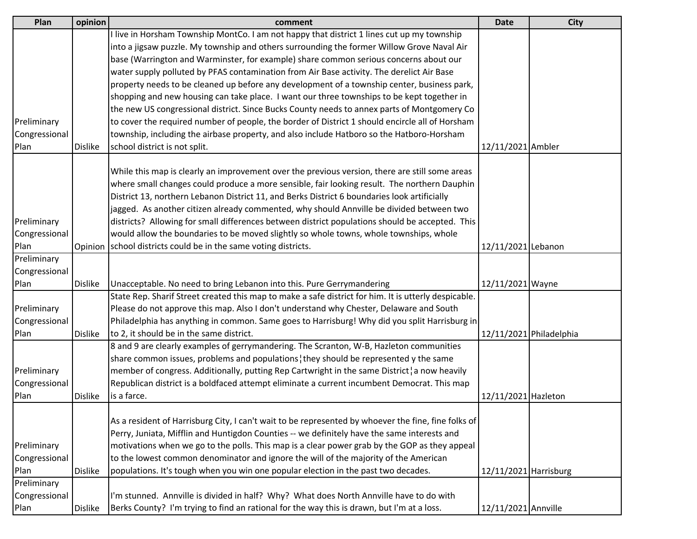| I live in Horsham Township MontCo. I am not happy that district 1 lines cut up my township<br>into a jigsaw puzzle. My township and others surrounding the former Willow Grove Naval Air<br>base (Warrington and Warminster, for example) share common serious concerns about our<br>water supply polluted by PFAS contamination from Air Base activity. The derelict Air Base<br>property needs to be cleaned up before any development of a township center, business park,<br>shopping and new housing can take place. I want our three townships to be kept together in<br>the new US congressional district. Since Bucks County needs to annex parts of Montgomery Co<br>to cover the required number of people, the border of District 1 should encircle all of Horsham<br>township, including the airbase property, and also include Hatboro so the Hatboro-Horsham<br>school district is not split.<br>12/11/2021 Ambler<br><b>Dislike</b><br>While this map is clearly an improvement over the previous version, there are still some areas<br>where small changes could produce a more sensible, fair looking result. The northern Dauphin<br>District 13, northern Lebanon District 11, and Berks District 6 boundaries look artificially<br>jagged. As another citizen already commented, why should Annville be divided between two<br>districts? Allowing for small differences between district populations should be accepted. This<br>would allow the boundaries to be moved slightly so whole towns, whole townships, whole<br>school districts could be in the same voting districts.<br>12/11/2021 Lebanon<br>Opinion<br>Unacceptable. No need to bring Lebanon into this. Pure Gerrymandering<br>12/11/2021 Wayne<br><b>Dislike</b><br>State Rep. Sharif Street created this map to make a safe district for him. It is utterly despicable.<br>Please do not approve this map. Also I don't understand why Chester, Delaware and South<br>Preliminary<br>Philadelphia has anything in common. Same goes to Harrisburg! Why did you split Harrisburg in | Plan                | opinion        | comment                                  | <b>Date</b> | <b>City</b> |
|-----------------------------------------------------------------------------------------------------------------------------------------------------------------------------------------------------------------------------------------------------------------------------------------------------------------------------------------------------------------------------------------------------------------------------------------------------------------------------------------------------------------------------------------------------------------------------------------------------------------------------------------------------------------------------------------------------------------------------------------------------------------------------------------------------------------------------------------------------------------------------------------------------------------------------------------------------------------------------------------------------------------------------------------------------------------------------------------------------------------------------------------------------------------------------------------------------------------------------------------------------------------------------------------------------------------------------------------------------------------------------------------------------------------------------------------------------------------------------------------------------------------------------------------------------------------------------------------------------------------------------------------------------------------------------------------------------------------------------------------------------------------------------------------------------------------------------------------------------------------------------------------------------------------------------------------------------------------------------------------------------------------------------------------------------------------------------|---------------------|----------------|------------------------------------------|-------------|-------------|
|                                                                                                                                                                                                                                                                                                                                                                                                                                                                                                                                                                                                                                                                                                                                                                                                                                                                                                                                                                                                                                                                                                                                                                                                                                                                                                                                                                                                                                                                                                                                                                                                                                                                                                                                                                                                                                                                                                                                                                                                                                                                             |                     |                |                                          |             |             |
|                                                                                                                                                                                                                                                                                                                                                                                                                                                                                                                                                                                                                                                                                                                                                                                                                                                                                                                                                                                                                                                                                                                                                                                                                                                                                                                                                                                                                                                                                                                                                                                                                                                                                                                                                                                                                                                                                                                                                                                                                                                                             |                     |                |                                          |             |             |
|                                                                                                                                                                                                                                                                                                                                                                                                                                                                                                                                                                                                                                                                                                                                                                                                                                                                                                                                                                                                                                                                                                                                                                                                                                                                                                                                                                                                                                                                                                                                                                                                                                                                                                                                                                                                                                                                                                                                                                                                                                                                             |                     |                |                                          |             |             |
|                                                                                                                                                                                                                                                                                                                                                                                                                                                                                                                                                                                                                                                                                                                                                                                                                                                                                                                                                                                                                                                                                                                                                                                                                                                                                                                                                                                                                                                                                                                                                                                                                                                                                                                                                                                                                                                                                                                                                                                                                                                                             |                     |                |                                          |             |             |
|                                                                                                                                                                                                                                                                                                                                                                                                                                                                                                                                                                                                                                                                                                                                                                                                                                                                                                                                                                                                                                                                                                                                                                                                                                                                                                                                                                                                                                                                                                                                                                                                                                                                                                                                                                                                                                                                                                                                                                                                                                                                             |                     |                |                                          |             |             |
|                                                                                                                                                                                                                                                                                                                                                                                                                                                                                                                                                                                                                                                                                                                                                                                                                                                                                                                                                                                                                                                                                                                                                                                                                                                                                                                                                                                                                                                                                                                                                                                                                                                                                                                                                                                                                                                                                                                                                                                                                                                                             |                     |                |                                          |             |             |
|                                                                                                                                                                                                                                                                                                                                                                                                                                                                                                                                                                                                                                                                                                                                                                                                                                                                                                                                                                                                                                                                                                                                                                                                                                                                                                                                                                                                                                                                                                                                                                                                                                                                                                                                                                                                                                                                                                                                                                                                                                                                             |                     |                |                                          |             |             |
|                                                                                                                                                                                                                                                                                                                                                                                                                                                                                                                                                                                                                                                                                                                                                                                                                                                                                                                                                                                                                                                                                                                                                                                                                                                                                                                                                                                                                                                                                                                                                                                                                                                                                                                                                                                                                                                                                                                                                                                                                                                                             | Preliminary         |                |                                          |             |             |
|                                                                                                                                                                                                                                                                                                                                                                                                                                                                                                                                                                                                                                                                                                                                                                                                                                                                                                                                                                                                                                                                                                                                                                                                                                                                                                                                                                                                                                                                                                                                                                                                                                                                                                                                                                                                                                                                                                                                                                                                                                                                             | Congressional       |                |                                          |             |             |
|                                                                                                                                                                                                                                                                                                                                                                                                                                                                                                                                                                                                                                                                                                                                                                                                                                                                                                                                                                                                                                                                                                                                                                                                                                                                                                                                                                                                                                                                                                                                                                                                                                                                                                                                                                                                                                                                                                                                                                                                                                                                             | Plan                |                |                                          |             |             |
|                                                                                                                                                                                                                                                                                                                                                                                                                                                                                                                                                                                                                                                                                                                                                                                                                                                                                                                                                                                                                                                                                                                                                                                                                                                                                                                                                                                                                                                                                                                                                                                                                                                                                                                                                                                                                                                                                                                                                                                                                                                                             |                     |                |                                          |             |             |
|                                                                                                                                                                                                                                                                                                                                                                                                                                                                                                                                                                                                                                                                                                                                                                                                                                                                                                                                                                                                                                                                                                                                                                                                                                                                                                                                                                                                                                                                                                                                                                                                                                                                                                                                                                                                                                                                                                                                                                                                                                                                             |                     |                |                                          |             |             |
|                                                                                                                                                                                                                                                                                                                                                                                                                                                                                                                                                                                                                                                                                                                                                                                                                                                                                                                                                                                                                                                                                                                                                                                                                                                                                                                                                                                                                                                                                                                                                                                                                                                                                                                                                                                                                                                                                                                                                                                                                                                                             |                     |                |                                          |             |             |
|                                                                                                                                                                                                                                                                                                                                                                                                                                                                                                                                                                                                                                                                                                                                                                                                                                                                                                                                                                                                                                                                                                                                                                                                                                                                                                                                                                                                                                                                                                                                                                                                                                                                                                                                                                                                                                                                                                                                                                                                                                                                             |                     |                |                                          |             |             |
|                                                                                                                                                                                                                                                                                                                                                                                                                                                                                                                                                                                                                                                                                                                                                                                                                                                                                                                                                                                                                                                                                                                                                                                                                                                                                                                                                                                                                                                                                                                                                                                                                                                                                                                                                                                                                                                                                                                                                                                                                                                                             |                     |                |                                          |             |             |
|                                                                                                                                                                                                                                                                                                                                                                                                                                                                                                                                                                                                                                                                                                                                                                                                                                                                                                                                                                                                                                                                                                                                                                                                                                                                                                                                                                                                                                                                                                                                                                                                                                                                                                                                                                                                                                                                                                                                                                                                                                                                             | Preliminary         |                |                                          |             |             |
|                                                                                                                                                                                                                                                                                                                                                                                                                                                                                                                                                                                                                                                                                                                                                                                                                                                                                                                                                                                                                                                                                                                                                                                                                                                                                                                                                                                                                                                                                                                                                                                                                                                                                                                                                                                                                                                                                                                                                                                                                                                                             | Congressional       |                |                                          |             |             |
|                                                                                                                                                                                                                                                                                                                                                                                                                                                                                                                                                                                                                                                                                                                                                                                                                                                                                                                                                                                                                                                                                                                                                                                                                                                                                                                                                                                                                                                                                                                                                                                                                                                                                                                                                                                                                                                                                                                                                                                                                                                                             | Plan                |                |                                          |             |             |
|                                                                                                                                                                                                                                                                                                                                                                                                                                                                                                                                                                                                                                                                                                                                                                                                                                                                                                                                                                                                                                                                                                                                                                                                                                                                                                                                                                                                                                                                                                                                                                                                                                                                                                                                                                                                                                                                                                                                                                                                                                                                             | Preliminary         |                |                                          |             |             |
|                                                                                                                                                                                                                                                                                                                                                                                                                                                                                                                                                                                                                                                                                                                                                                                                                                                                                                                                                                                                                                                                                                                                                                                                                                                                                                                                                                                                                                                                                                                                                                                                                                                                                                                                                                                                                                                                                                                                                                                                                                                                             | Congressional       |                |                                          |             |             |
|                                                                                                                                                                                                                                                                                                                                                                                                                                                                                                                                                                                                                                                                                                                                                                                                                                                                                                                                                                                                                                                                                                                                                                                                                                                                                                                                                                                                                                                                                                                                                                                                                                                                                                                                                                                                                                                                                                                                                                                                                                                                             | Plan                |                |                                          |             |             |
|                                                                                                                                                                                                                                                                                                                                                                                                                                                                                                                                                                                                                                                                                                                                                                                                                                                                                                                                                                                                                                                                                                                                                                                                                                                                                                                                                                                                                                                                                                                                                                                                                                                                                                                                                                                                                                                                                                                                                                                                                                                                             |                     |                |                                          |             |             |
|                                                                                                                                                                                                                                                                                                                                                                                                                                                                                                                                                                                                                                                                                                                                                                                                                                                                                                                                                                                                                                                                                                                                                                                                                                                                                                                                                                                                                                                                                                                                                                                                                                                                                                                                                                                                                                                                                                                                                                                                                                                                             |                     |                |                                          |             |             |
|                                                                                                                                                                                                                                                                                                                                                                                                                                                                                                                                                                                                                                                                                                                                                                                                                                                                                                                                                                                                                                                                                                                                                                                                                                                                                                                                                                                                                                                                                                                                                                                                                                                                                                                                                                                                                                                                                                                                                                                                                                                                             | Congressional       |                |                                          |             |             |
| 12/11/2021 Philadelphia                                                                                                                                                                                                                                                                                                                                                                                                                                                                                                                                                                                                                                                                                                                                                                                                                                                                                                                                                                                                                                                                                                                                                                                                                                                                                                                                                                                                                                                                                                                                                                                                                                                                                                                                                                                                                                                                                                                                                                                                                                                     | Plan                | <b>Dislike</b> | to 2, it should be in the same district. |             |             |
| 8 and 9 are clearly examples of gerrymandering. The Scranton, W-B, Hazleton communities                                                                                                                                                                                                                                                                                                                                                                                                                                                                                                                                                                                                                                                                                                                                                                                                                                                                                                                                                                                                                                                                                                                                                                                                                                                                                                                                                                                                                                                                                                                                                                                                                                                                                                                                                                                                                                                                                                                                                                                     |                     |                |                                          |             |             |
| share common issues, problems and populations they should be represented y the same                                                                                                                                                                                                                                                                                                                                                                                                                                                                                                                                                                                                                                                                                                                                                                                                                                                                                                                                                                                                                                                                                                                                                                                                                                                                                                                                                                                                                                                                                                                                                                                                                                                                                                                                                                                                                                                                                                                                                                                         |                     |                |                                          |             |             |
| member of congress. Additionally, putting Rep Cartwright in the same District¦a now heavily                                                                                                                                                                                                                                                                                                                                                                                                                                                                                                                                                                                                                                                                                                                                                                                                                                                                                                                                                                                                                                                                                                                                                                                                                                                                                                                                                                                                                                                                                                                                                                                                                                                                                                                                                                                                                                                                                                                                                                                 | Preliminary         |                |                                          |             |             |
| Republican district is a boldfaced attempt eliminate a current incumbent Democrat. This map                                                                                                                                                                                                                                                                                                                                                                                                                                                                                                                                                                                                                                                                                                                                                                                                                                                                                                                                                                                                                                                                                                                                                                                                                                                                                                                                                                                                                                                                                                                                                                                                                                                                                                                                                                                                                                                                                                                                                                                 | Congressional       |                |                                          |             |             |
| is a farce.<br>12/11/2021 Hazleton<br><b>Dislike</b>                                                                                                                                                                                                                                                                                                                                                                                                                                                                                                                                                                                                                                                                                                                                                                                                                                                                                                                                                                                                                                                                                                                                                                                                                                                                                                                                                                                                                                                                                                                                                                                                                                                                                                                                                                                                                                                                                                                                                                                                                        | Plan                |                |                                          |             |             |
|                                                                                                                                                                                                                                                                                                                                                                                                                                                                                                                                                                                                                                                                                                                                                                                                                                                                                                                                                                                                                                                                                                                                                                                                                                                                                                                                                                                                                                                                                                                                                                                                                                                                                                                                                                                                                                                                                                                                                                                                                                                                             |                     |                |                                          |             |             |
| As a resident of Harrisburg City, I can't wait to be represented by whoever the fine, fine folks of                                                                                                                                                                                                                                                                                                                                                                                                                                                                                                                                                                                                                                                                                                                                                                                                                                                                                                                                                                                                                                                                                                                                                                                                                                                                                                                                                                                                                                                                                                                                                                                                                                                                                                                                                                                                                                                                                                                                                                         |                     |                |                                          |             |             |
| Perry, Juniata, Mifflin and Huntigdon Counties -- we definitely have the same interests and                                                                                                                                                                                                                                                                                                                                                                                                                                                                                                                                                                                                                                                                                                                                                                                                                                                                                                                                                                                                                                                                                                                                                                                                                                                                                                                                                                                                                                                                                                                                                                                                                                                                                                                                                                                                                                                                                                                                                                                 |                     |                |                                          |             |             |
| motivations when we go to the polls. This map is a clear power grab by the GOP as they appeal                                                                                                                                                                                                                                                                                                                                                                                                                                                                                                                                                                                                                                                                                                                                                                                                                                                                                                                                                                                                                                                                                                                                                                                                                                                                                                                                                                                                                                                                                                                                                                                                                                                                                                                                                                                                                                                                                                                                                                               | Preliminary         |                |                                          |             |             |
| to the lowest common denominator and ignore the will of the majority of the American                                                                                                                                                                                                                                                                                                                                                                                                                                                                                                                                                                                                                                                                                                                                                                                                                                                                                                                                                                                                                                                                                                                                                                                                                                                                                                                                                                                                                                                                                                                                                                                                                                                                                                                                                                                                                                                                                                                                                                                        | Congressional       |                |                                          |             |             |
| populations. It's tough when you win one popular election in the past two decades.<br>12/11/2021 Harrisburg<br><b>Dislike</b>                                                                                                                                                                                                                                                                                                                                                                                                                                                                                                                                                                                                                                                                                                                                                                                                                                                                                                                                                                                                                                                                                                                                                                                                                                                                                                                                                                                                                                                                                                                                                                                                                                                                                                                                                                                                                                                                                                                                               | Plan<br>Preliminary |                |                                          |             |             |
| I'm stunned. Annville is divided in half? Why? What does North Annville have to do with                                                                                                                                                                                                                                                                                                                                                                                                                                                                                                                                                                                                                                                                                                                                                                                                                                                                                                                                                                                                                                                                                                                                                                                                                                                                                                                                                                                                                                                                                                                                                                                                                                                                                                                                                                                                                                                                                                                                                                                     | Congressional       |                |                                          |             |             |
| Berks County? I'm trying to find an rational for the way this is drawn, but I'm at a loss.<br>12/11/2021 Annville<br><b>Dislike</b>                                                                                                                                                                                                                                                                                                                                                                                                                                                                                                                                                                                                                                                                                                                                                                                                                                                                                                                                                                                                                                                                                                                                                                                                                                                                                                                                                                                                                                                                                                                                                                                                                                                                                                                                                                                                                                                                                                                                         | Plan                |                |                                          |             |             |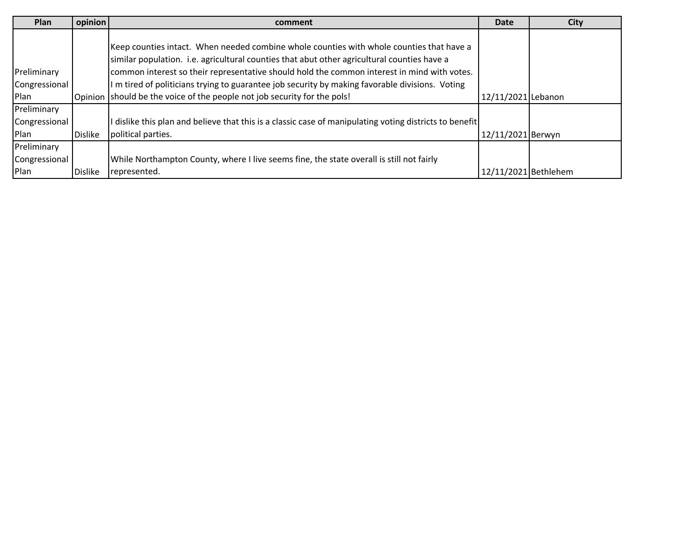| <b>Plan</b>   | opinion        | comment                                                                                                                                                                                 | <b>Date</b>          | <b>City</b> |
|---------------|----------------|-----------------------------------------------------------------------------------------------------------------------------------------------------------------------------------------|----------------------|-------------|
|               |                | Keep counties intact. When needed combine whole counties with whole counties that have a<br>similar population. i.e. agricultural counties that abut other agricultural counties have a |                      |             |
| Preliminary   |                | common interest so their representative should hold the common interest in mind with votes.                                                                                             |                      |             |
| Congressional |                | m tired of politicians trying to guarantee job security by making favorable divisions. Voting                                                                                           |                      |             |
| Plan          |                | Opinion should be the voice of the people not job security for the pols!                                                                                                                | 12/11/2021 Lebanon   |             |
| Preliminary   |                |                                                                                                                                                                                         |                      |             |
| Congressional |                | dislike this plan and believe that this is a classic case of manipulating voting districts to benefit                                                                                   |                      |             |
| Plan          | <b>Dislike</b> | political parties.                                                                                                                                                                      | 12/11/2021 Berwyn    |             |
| Preliminary   |                |                                                                                                                                                                                         |                      |             |
| Congressional |                | While Northampton County, where I live seems fine, the state overall is still not fairly                                                                                                |                      |             |
| Plan          | <b>Dislike</b> | represented.                                                                                                                                                                            | 12/11/2021 Bethlehem |             |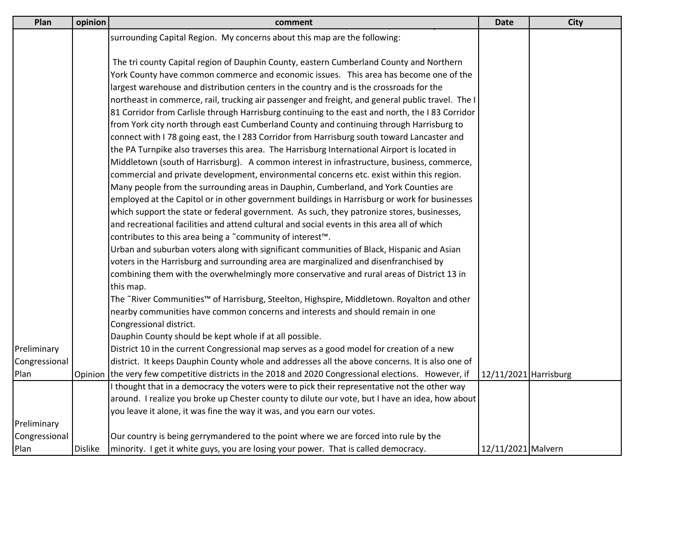| Plan          | opinion        | comment                                                                                              | <b>Date</b>           | <b>City</b> |
|---------------|----------------|------------------------------------------------------------------------------------------------------|-----------------------|-------------|
|               |                | surrounding Capital Region. My concerns about this map are the following:                            |                       |             |
|               |                |                                                                                                      |                       |             |
|               |                | The tri county Capital region of Dauphin County, eastern Cumberland County and Northern              |                       |             |
|               |                | York County have common commerce and economic issues. This area has become one of the                |                       |             |
|               |                | largest warehouse and distribution centers in the country and is the crossroads for the              |                       |             |
|               |                | northeast in commerce, rail, trucking air passenger and freight, and general public travel. The I    |                       |             |
|               |                | 81 Corridor from Carlisle through Harrisburg continuing to the east and north, the I 83 Corridor     |                       |             |
|               |                | from York city north through east Cumberland County and continuing through Harrisburg to             |                       |             |
|               |                | connect with I 78 going east, the I 283 Corridor from Harrisburg south toward Lancaster and          |                       |             |
|               |                | the PA Turnpike also traverses this area. The Harrisburg International Airport is located in         |                       |             |
|               |                | Middletown (south of Harrisburg). A common interest in infrastructure, business, commerce,           |                       |             |
|               |                | commercial and private development, environmental concerns etc. exist within this region.            |                       |             |
|               |                | Many people from the surrounding areas in Dauphin, Cumberland, and York Counties are                 |                       |             |
|               |                | employed at the Capitol or in other government buildings in Harrisburg or work for businesses        |                       |             |
|               |                | which support the state or federal government. As such, they patronize stores, businesses,           |                       |             |
|               |                | and recreational facilities and attend cultural and social events in this area all of which          |                       |             |
|               |                | contributes to this area being a ~community of interest™.                                            |                       |             |
|               |                | Urban and suburban voters along with significant communities of Black, Hispanic and Asian            |                       |             |
|               |                | voters in the Harrisburg and surrounding area are marginalized and disenfranchised by                |                       |             |
|               |                | combining them with the overwhelmingly more conservative and rural areas of District 13 in           |                       |             |
|               |                | this map.                                                                                            |                       |             |
|               |                | The ~River Communities™ of Harrisburg, Steelton, Highspire, Middletown. Royalton and other           |                       |             |
|               |                | nearby communities have common concerns and interests and should remain in one                       |                       |             |
|               |                | Congressional district.                                                                              |                       |             |
|               |                | Dauphin County should be kept whole if at all possible.                                              |                       |             |
| Preliminary   |                | District 10 in the current Congressional map serves as a good model for creation of a new            |                       |             |
| Congressional |                | district. It keeps Dauphin County whole and addresses all the above concerns. It is also one of      |                       |             |
| Plan          |                | Opinion the very few competitive districts in the 2018 and 2020 Congressional elections. However, if | 12/11/2021 Harrisburg |             |
|               |                | I thought that in a democracy the voters were to pick their representative not the other way         |                       |             |
|               |                | around. I realize you broke up Chester county to dilute our vote, but I have an idea, how about      |                       |             |
|               |                | you leave it alone, it was fine the way it was, and you earn our votes.                              |                       |             |
| Preliminary   |                |                                                                                                      |                       |             |
| Congressional |                | Our country is being gerrymandered to the point where we are forced into rule by the                 |                       |             |
| Plan          | <b>Dislike</b> | minority. I get it white guys, you are losing your power. That is called democracy.                  | 12/11/2021 Malvern    |             |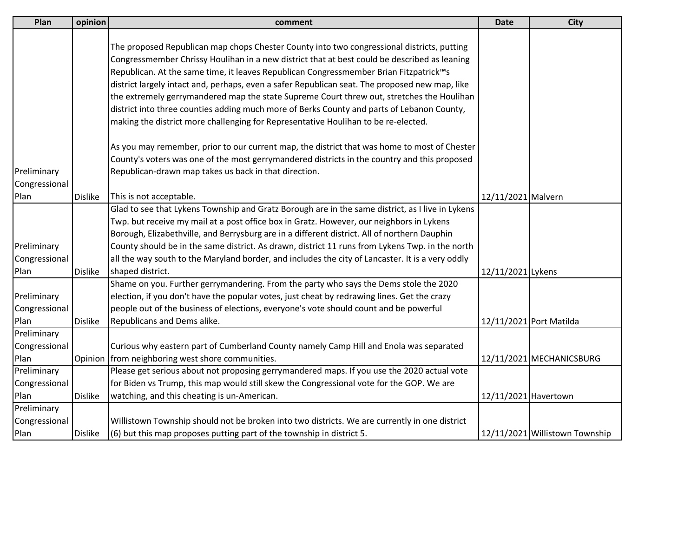| Plan          | opinion        | comment                                                                                          | <b>Date</b>          | <b>City</b>                    |
|---------------|----------------|--------------------------------------------------------------------------------------------------|----------------------|--------------------------------|
|               |                |                                                                                                  |                      |                                |
|               |                | The proposed Republican map chops Chester County into two congressional districts, putting       |                      |                                |
|               |                | Congressmember Chrissy Houlihan in a new district that at best could be described as leaning     |                      |                                |
|               |                | Republican. At the same time, it leaves Republican Congressmember Brian Fitzpatrick™s            |                      |                                |
|               |                | district largely intact and, perhaps, even a safer Republican seat. The proposed new map, like   |                      |                                |
|               |                | the extremely gerrymandered map the state Supreme Court threw out, stretches the Houlihan        |                      |                                |
|               |                | district into three counties adding much more of Berks County and parts of Lebanon County,       |                      |                                |
|               |                | making the district more challenging for Representative Houlihan to be re-elected.               |                      |                                |
|               |                | As you may remember, prior to our current map, the district that was home to most of Chester     |                      |                                |
|               |                | County's voters was one of the most gerrymandered districts in the country and this proposed     |                      |                                |
| Preliminary   |                | Republican-drawn map takes us back in that direction.                                            |                      |                                |
| Congressional |                |                                                                                                  |                      |                                |
| Plan          | <b>Dislike</b> | This is not acceptable.                                                                          | 12/11/2021 Malvern   |                                |
|               |                | Glad to see that Lykens Township and Gratz Borough are in the same district, as I live in Lykens |                      |                                |
|               |                | Twp. but receive my mail at a post office box in Gratz. However, our neighbors in Lykens         |                      |                                |
|               |                | Borough, Elizabethville, and Berrysburg are in a different district. All of northern Dauphin     |                      |                                |
| Preliminary   |                | County should be in the same district. As drawn, district 11 runs from Lykens Twp. in the north  |                      |                                |
| Congressional |                | all the way south to the Maryland border, and includes the city of Lancaster. It is a very oddly |                      |                                |
| Plan          | <b>Dislike</b> | shaped district.                                                                                 | 12/11/2021 Lykens    |                                |
|               |                | Shame on you. Further gerrymandering. From the party who says the Dems stole the 2020            |                      |                                |
| Preliminary   |                | election, if you don't have the popular votes, just cheat by redrawing lines. Get the crazy      |                      |                                |
| Congressional |                | people out of the business of elections, everyone's vote should count and be powerful            |                      |                                |
| Plan          | <b>Dislike</b> | Republicans and Dems alike.                                                                      |                      | 12/11/2021 Port Matilda        |
| Preliminary   |                |                                                                                                  |                      |                                |
| Congressional |                | Curious why eastern part of Cumberland County namely Camp Hill and Enola was separated           |                      |                                |
| Plan          |                | Opinion from neighboring west shore communities.                                                 |                      | 12/11/2021 MECHANICSBURG       |
| Preliminary   |                | Please get serious about not proposing gerrymandered maps. If you use the 2020 actual vote       |                      |                                |
| Congressional |                | for Biden vs Trump, this map would still skew the Congressional vote for the GOP. We are         |                      |                                |
| Plan          | <b>Dislike</b> | watching, and this cheating is un-American.                                                      | 12/11/2021 Havertown |                                |
| Preliminary   |                |                                                                                                  |                      |                                |
| Congressional |                | Willistown Township should not be broken into two districts. We are currently in one district    |                      |                                |
| Plan          | <b>Dislike</b> | (6) but this map proposes putting part of the township in district 5.                            |                      | 12/11/2021 Willistown Township |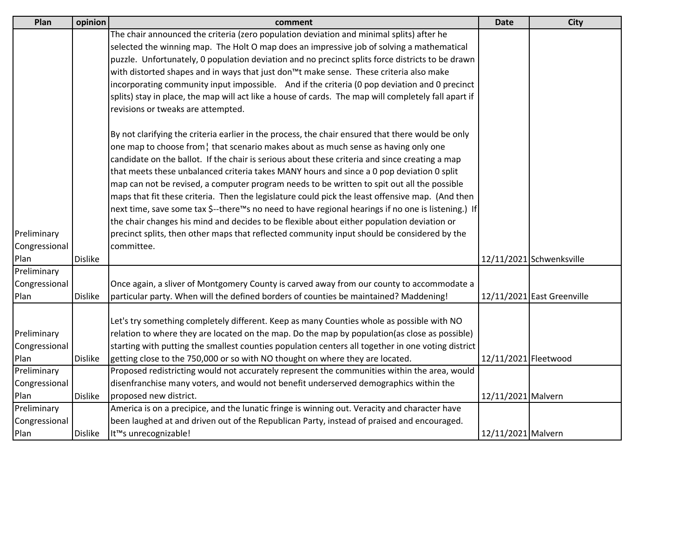| Plan          | opinion        | comment                                                                                              | <b>Date</b>          | <b>City</b>                |
|---------------|----------------|------------------------------------------------------------------------------------------------------|----------------------|----------------------------|
|               |                | The chair announced the criteria (zero population deviation and minimal splits) after he             |                      |                            |
|               |                | selected the winning map. The Holt O map does an impressive job of solving a mathematical            |                      |                            |
|               |                | puzzle. Unfortunately, 0 population deviation and no precinct splits force districts to be drawn     |                      |                            |
|               |                | with distorted shapes and in ways that just don™t make sense. These criteria also make               |                      |                            |
|               |                | incorporating community input impossible. And if the criteria (0 pop deviation and 0 precinct        |                      |                            |
|               |                | splits) stay in place, the map will act like a house of cards. The map will completely fall apart if |                      |                            |
|               |                | revisions or tweaks are attempted.                                                                   |                      |                            |
|               |                | By not clarifying the criteria earlier in the process, the chair ensured that there would be only    |                      |                            |
|               |                | one map to choose from <sup>1</sup> that scenario makes about as much sense as having only one       |                      |                            |
|               |                | candidate on the ballot. If the chair is serious about these criteria and since creating a map       |                      |                            |
|               |                | that meets these unbalanced criteria takes MANY hours and since a 0 pop deviation 0 split            |                      |                            |
|               |                | map can not be revised, a computer program needs to be written to spit out all the possible          |                      |                            |
|               |                | maps that fit these criteria. Then the legislature could pick the least offensive map. (And then     |                      |                            |
|               |                | next time, save some tax \$--there™s no need to have regional hearings if no one is listening.) If   |                      |                            |
|               |                | the chair changes his mind and decides to be flexible about either population deviation or           |                      |                            |
| Preliminary   |                | precinct splits, then other maps that reflected community input should be considered by the          |                      |                            |
| Congressional |                | committee.                                                                                           |                      |                            |
| Plan          | <b>Dislike</b> |                                                                                                      |                      | 12/11/2021 Schwenksville   |
| Preliminary   |                |                                                                                                      |                      |                            |
| Congressional |                | Once again, a sliver of Montgomery County is carved away from our county to accommodate a            |                      |                            |
| Plan          | <b>Dislike</b> | particular party. When will the defined borders of counties be maintained? Maddening!                |                      | 12/11/2021 East Greenville |
|               |                | Let's try something completely different. Keep as many Counties whole as possible with NO            |                      |                            |
| Preliminary   |                | relation to where they are located on the map. Do the map by population(as close as possible)        |                      |                            |
| Congressional |                | starting with putting the smallest counties population centers all together in one voting district   |                      |                            |
| Plan          | <b>Dislike</b> | getting close to the 750,000 or so with NO thought on where they are located.                        | 12/11/2021 Fleetwood |                            |
| Preliminary   |                | Proposed redistricting would not accurately represent the communities within the area, would         |                      |                            |
| Congressional |                | disenfranchise many voters, and would not benefit underserved demographics within the                |                      |                            |
| Plan          | <b>Dislike</b> | proposed new district.                                                                               | 12/11/2021 Malvern   |                            |
| Preliminary   |                | America is on a precipice, and the lunatic fringe is winning out. Veracity and character have        |                      |                            |
| Congressional |                | been laughed at and driven out of the Republican Party, instead of praised and encouraged.           |                      |                            |
| Plan          | <b>Dislike</b> | It™s unrecognizable!                                                                                 | 12/11/2021 Malvern   |                            |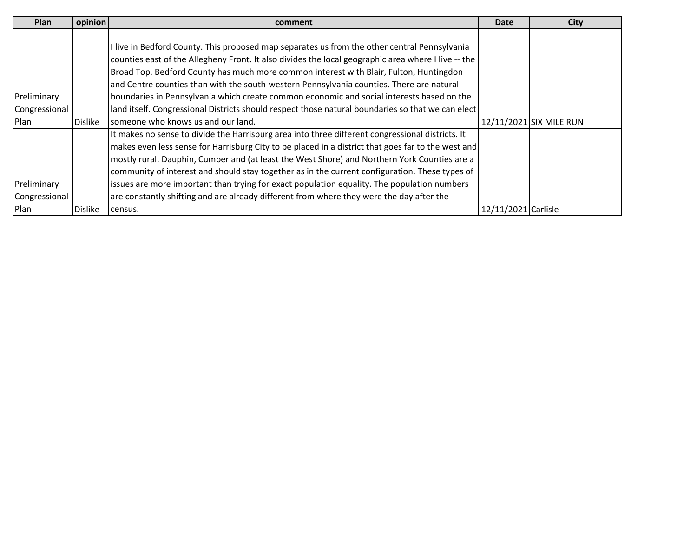| <b>Plan</b>   | opinion | comment                                                                                             | Date                | <b>City</b>             |
|---------------|---------|-----------------------------------------------------------------------------------------------------|---------------------|-------------------------|
|               |         |                                                                                                     |                     |                         |
|               |         | I live in Bedford County. This proposed map separates us from the other central Pennsylvania        |                     |                         |
|               |         | counties east of the Allegheny Front. It also divides the local geographic area where I live -- the |                     |                         |
|               |         | Broad Top. Bedford County has much more common interest with Blair, Fulton, Huntingdon              |                     |                         |
|               |         | and Centre counties than with the south-western Pennsylvania counties. There are natural            |                     |                         |
| Preliminary   |         | boundaries in Pennsylvania which create common economic and social interests based on the           |                     |                         |
| Congressional |         | land itself. Congressional Districts should respect those natural boundaries so that we can elect   |                     |                         |
| Plan          | Dislike | someone who knows us and our land.                                                                  |                     | 12/11/2021 SIX MILE RUN |
|               |         | It makes no sense to divide the Harrisburg area into three different congressional districts. It    |                     |                         |
|               |         | makes even less sense for Harrisburg City to be placed in a district that goes far to the west and  |                     |                         |
|               |         | mostly rural. Dauphin, Cumberland (at least the West Shore) and Northern York Counties are a        |                     |                         |
|               |         | community of interest and should stay together as in the current configuration. These types of      |                     |                         |
| Preliminary   |         | issues are more important than trying for exact population equality. The population numbers         |                     |                         |
| Congressional |         | are constantly shifting and are already different from where they were the day after the            |                     |                         |
| Plan          | Dislike | census.                                                                                             | 12/11/2021 Carlisle |                         |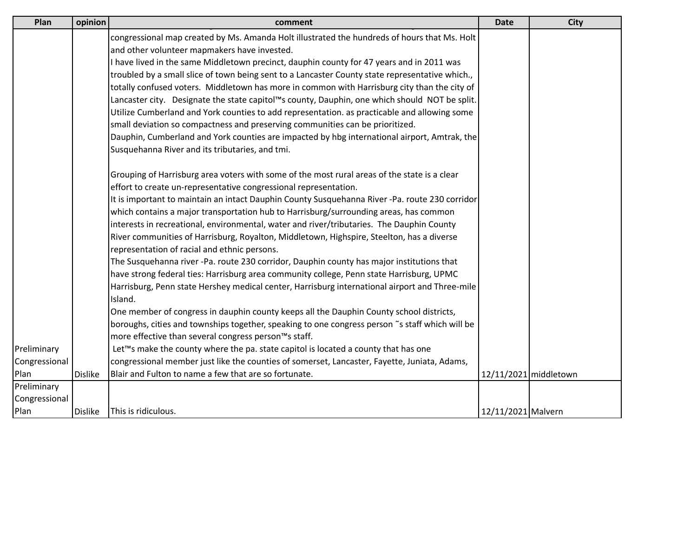| Plan          | opinion        | comment                                                                                         | <b>Date</b>        | <b>City</b>           |
|---------------|----------------|-------------------------------------------------------------------------------------------------|--------------------|-----------------------|
|               |                | congressional map created by Ms. Amanda Holt illustrated the hundreds of hours that Ms. Holt    |                    |                       |
|               |                | and other volunteer mapmakers have invested.                                                    |                    |                       |
|               |                | I have lived in the same Middletown precinct, dauphin county for 47 years and in 2011 was       |                    |                       |
|               |                | troubled by a small slice of town being sent to a Lancaster County state representative which., |                    |                       |
|               |                | totally confused voters. Middletown has more in common with Harrisburg city than the city of    |                    |                       |
|               |                | Lancaster city. Designate the state capitol™s county, Dauphin, one which should NOT be split.   |                    |                       |
|               |                | Utilize Cumberland and York counties to add representation. as practicable and allowing some    |                    |                       |
|               |                | small deviation so compactness and preserving communities can be prioritized.                   |                    |                       |
|               |                | Dauphin, Cumberland and York counties are impacted by hbg international airport, Amtrak, the    |                    |                       |
|               |                | Susquehanna River and its tributaries, and tmi.                                                 |                    |                       |
|               |                | Grouping of Harrisburg area voters with some of the most rural areas of the state is a clear    |                    |                       |
|               |                | effort to create un-representative congressional representation.                                |                    |                       |
|               |                | It is important to maintain an intact Dauphin County Susquehanna River -Pa. route 230 corridor  |                    |                       |
|               |                | which contains a major transportation hub to Harrisburg/surrounding areas, has common           |                    |                       |
|               |                | interests in recreational, environmental, water and river/tributaries. The Dauphin County       |                    |                       |
|               |                | River communities of Harrisburg, Royalton, Middletown, Highspire, Steelton, has a diverse       |                    |                       |
|               |                | representation of racial and ethnic persons.                                                    |                    |                       |
|               |                | The Susquehanna river -Pa. route 230 corridor, Dauphin county has major institutions that       |                    |                       |
|               |                | have strong federal ties: Harrisburg area community college, Penn state Harrisburg, UPMC        |                    |                       |
|               |                | Harrisburg, Penn state Hershey medical center, Harrisburg international airport and Three-mile  |                    |                       |
|               |                | Island.                                                                                         |                    |                       |
|               |                | One member of congress in dauphin county keeps all the Dauphin County school districts,         |                    |                       |
|               |                | boroughs, cities and townships together, speaking to one congress person ~s staff which will be |                    |                       |
|               |                | more effective than several congress person™s staff.                                            |                    |                       |
| Preliminary   |                | Let™s make the county where the pa. state capitol is located a county that has one              |                    |                       |
| Congressional |                | congressional member just like the counties of somerset, Lancaster, Fayette, Juniata, Adams,    |                    |                       |
| Plan          | <b>Dislike</b> | Blair and Fulton to name a few that are so fortunate.                                           |                    | 12/11/2021 middletown |
| Preliminary   |                |                                                                                                 |                    |                       |
| Congressional |                |                                                                                                 |                    |                       |
| Plan          | <b>Dislike</b> | This is ridiculous.                                                                             | 12/11/2021 Malvern |                       |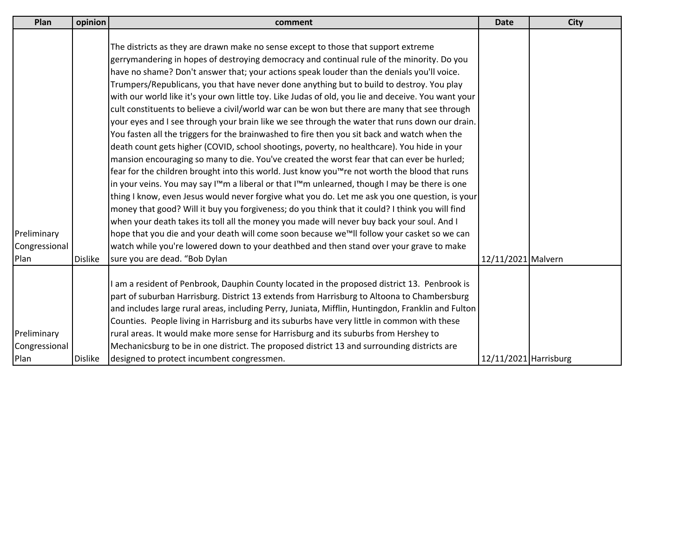| Plan          | opinion        | comment                                                                                             | <b>Date</b>           | <b>City</b> |
|---------------|----------------|-----------------------------------------------------------------------------------------------------|-----------------------|-------------|
|               |                |                                                                                                     |                       |             |
|               |                | The districts as they are drawn make no sense except to those that support extreme                  |                       |             |
|               |                | gerrymandering in hopes of destroying democracy and continual rule of the minority. Do you          |                       |             |
|               |                | have no shame? Don't answer that; your actions speak louder than the denials you'll voice.          |                       |             |
|               |                | Trumpers/Republicans, you that have never done anything but to build to destroy. You play           |                       |             |
|               |                | with our world like it's your own little toy. Like Judas of old, you lie and deceive. You want your |                       |             |
|               |                | cult constituents to believe a civil/world war can be won but there are many that see through       |                       |             |
|               |                | your eyes and I see through your brain like we see through the water that runs down our drain.      |                       |             |
|               |                | You fasten all the triggers for the brainwashed to fire then you sit back and watch when the        |                       |             |
|               |                | death count gets higher (COVID, school shootings, poverty, no healthcare). You hide in your         |                       |             |
|               |                | mansion encouraging so many to die. You've created the worst fear that can ever be hurled;          |                       |             |
|               |                | fear for the children brought into this world. Just know you™re not worth the blood that runs       |                       |             |
|               |                | in your veins. You may say I™m a liberal or that I™m unlearned, though I may be there is one        |                       |             |
|               |                | thing I know, even Jesus would never forgive what you do. Let me ask you one question, is your      |                       |             |
|               |                | money that good? Will it buy you forgiveness; do you think that it could? I think you will find     |                       |             |
|               |                | when your death takes its toll all the money you made will never buy back your soul. And I          |                       |             |
| Preliminary   |                | hope that you die and your death will come soon because we™ll follow your casket so we can          |                       |             |
| Congressional |                | watch while you're lowered down to your deathbed and then stand over your grave to make             |                       |             |
| Plan          | <b>Dislike</b> | sure you are dead. "Bob Dylan                                                                       | 12/11/2021 Malvern    |             |
|               |                |                                                                                                     |                       |             |
|               |                | I am a resident of Penbrook, Dauphin County located in the proposed district 13. Penbrook is        |                       |             |
|               |                | part of suburban Harrisburg. District 13 extends from Harrisburg to Altoona to Chambersburg         |                       |             |
|               |                | and includes large rural areas, including Perry, Juniata, Mifflin, Huntingdon, Franklin and Fulton  |                       |             |
|               |                | Counties. People living in Harrisburg and its suburbs have very little in common with these         |                       |             |
| Preliminary   |                | rural areas. It would make more sense for Harrisburg and its suburbs from Hershey to                |                       |             |
| Congressional |                | Mechanicsburg to be in one district. The proposed district 13 and surrounding districts are         |                       |             |
| Plan          | <b>Dislike</b> | designed to protect incumbent congressmen.                                                          | 12/11/2021 Harrisburg |             |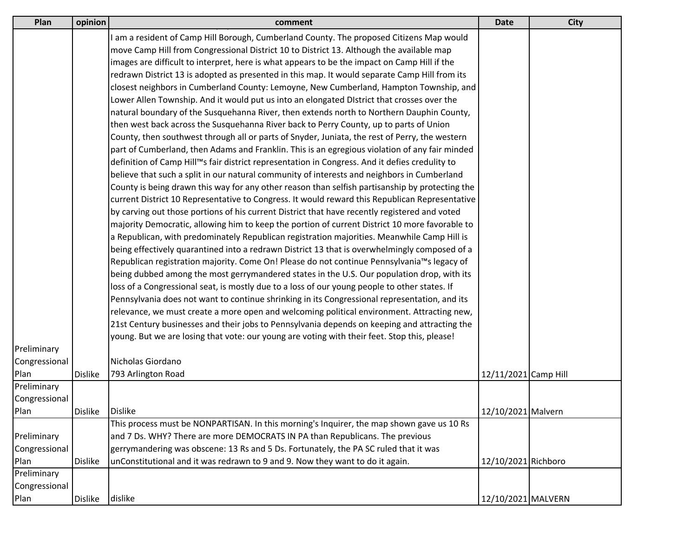| Plan          | opinion        | comment                                                                                         | <b>Date</b>          | <b>City</b> |
|---------------|----------------|-------------------------------------------------------------------------------------------------|----------------------|-------------|
|               |                | I am a resident of Camp Hill Borough, Cumberland County. The proposed Citizens Map would        |                      |             |
|               |                | move Camp Hill from Congressional District 10 to District 13. Although the available map        |                      |             |
|               |                | images are difficult to interpret, here is what appears to be the impact on Camp Hill if the    |                      |             |
|               |                | redrawn District 13 is adopted as presented in this map. It would separate Camp Hill from its   |                      |             |
|               |                | closest neighbors in Cumberland County: Lemoyne, New Cumberland, Hampton Township, and          |                      |             |
|               |                | Lower Allen Township. And it would put us into an elongated DIstrict that crosses over the      |                      |             |
|               |                | natural boundary of the Susquehanna River, then extends north to Northern Dauphin County,       |                      |             |
|               |                | then west back across the Susquehanna River back to Perry County, up to parts of Union          |                      |             |
|               |                | County, then southwest through all or parts of Snyder, Juniata, the rest of Perry, the western  |                      |             |
|               |                | part of Cumberland, then Adams and Franklin. This is an egregious violation of any fair minded  |                      |             |
|               |                | definition of Camp Hill™s fair district representation in Congress. And it defies credulity to  |                      |             |
|               |                | believe that such a split in our natural community of interests and neighbors in Cumberland     |                      |             |
|               |                | County is being drawn this way for any other reason than selfish partisanship by protecting the |                      |             |
|               |                | current District 10 Representative to Congress. It would reward this Republican Representative  |                      |             |
|               |                | by carving out those portions of his current District that have recently registered and voted   |                      |             |
|               |                | majority Democratic, allowing him to keep the portion of current District 10 more favorable to  |                      |             |
|               |                | a Republican, with predominately Republican registration majorities. Meanwhile Camp Hill is     |                      |             |
|               |                | being effectively quarantined into a redrawn District 13 that is overwhelmingly composed of a   |                      |             |
|               |                | Republican registration majority. Come On! Please do not continue Pennsylvania™s legacy of      |                      |             |
|               |                | being dubbed among the most gerrymandered states in the U.S. Our population drop, with its      |                      |             |
|               |                | loss of a Congressional seat, is mostly due to a loss of our young people to other states. If   |                      |             |
|               |                | Pennsylvania does not want to continue shrinking in its Congressional representation, and its   |                      |             |
|               |                | relevance, we must create a more open and welcoming political environment. Attracting new,      |                      |             |
|               |                | 21st Century businesses and their jobs to Pennsylvania depends on keeping and attracting the    |                      |             |
|               |                | young. But we are losing that vote: our young are voting with their feet. Stop this, please!    |                      |             |
| Preliminary   |                |                                                                                                 |                      |             |
| Congressional |                | Nicholas Giordano                                                                               |                      |             |
| Plan          | <b>Dislike</b> | 793 Arlington Road                                                                              | 12/11/2021 Camp Hill |             |
| Preliminary   |                |                                                                                                 |                      |             |
| Congressional |                |                                                                                                 |                      |             |
| Plan          | <b>Dislike</b> | <b>Dislike</b>                                                                                  | 12/10/2021 Malvern   |             |
|               |                | This process must be NONPARTISAN. In this morning's Inquirer, the map shown gave us 10 Rs       |                      |             |
| Preliminary   |                | and 7 Ds. WHY? There are more DEMOCRATS IN PA than Republicans. The previous                    |                      |             |
| Congressional |                | gerrymandering was obscene: 13 Rs and 5 Ds. Fortunately, the PA SC ruled that it was            |                      |             |
| Plan          | <b>Dislike</b> | unConstitutional and it was redrawn to 9 and 9. Now they want to do it again.                   | 12/10/2021 Richboro  |             |
| Preliminary   |                |                                                                                                 |                      |             |
| Congressional |                |                                                                                                 |                      |             |
| Plan          | <b>Dislike</b> | dislike                                                                                         | 12/10/2021 MALVERN   |             |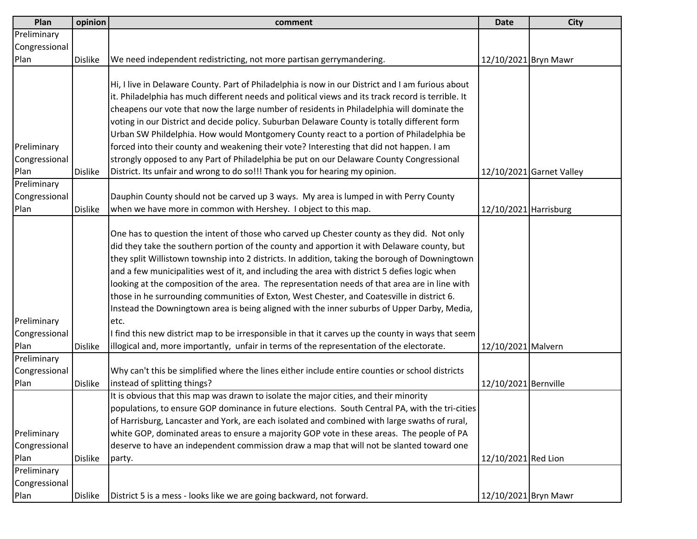| Plan                                 | opinion        | comment                                                                                                                                                                                                                                                                                                                                                                                                                                                                                                                                                                                                                                                                                                                                                                                                                                                                                                 | <b>Date</b>           | <b>City</b>              |
|--------------------------------------|----------------|---------------------------------------------------------------------------------------------------------------------------------------------------------------------------------------------------------------------------------------------------------------------------------------------------------------------------------------------------------------------------------------------------------------------------------------------------------------------------------------------------------------------------------------------------------------------------------------------------------------------------------------------------------------------------------------------------------------------------------------------------------------------------------------------------------------------------------------------------------------------------------------------------------|-----------------------|--------------------------|
| Preliminary                          |                |                                                                                                                                                                                                                                                                                                                                                                                                                                                                                                                                                                                                                                                                                                                                                                                                                                                                                                         |                       |                          |
| Congressional                        |                |                                                                                                                                                                                                                                                                                                                                                                                                                                                                                                                                                                                                                                                                                                                                                                                                                                                                                                         |                       |                          |
| Plan                                 | <b>Dislike</b> | We need independent redistricting, not more partisan gerrymandering.                                                                                                                                                                                                                                                                                                                                                                                                                                                                                                                                                                                                                                                                                                                                                                                                                                    | 12/10/2021 Bryn Mawr  |                          |
| Preliminary<br>Congressional         |                | Hi, I live in Delaware County. Part of Philadelphia is now in our District and I am furious about<br>it. Philadelphia has much different needs and political views and its track record is terrible. It<br>cheapens our vote that now the large number of residents in Philadelphia will dominate the<br>voting in our District and decide policy. Suburban Delaware County is totally different form<br>Urban SW Phildelphia. How would Montgomery County react to a portion of Philadelphia be<br>forced into their county and weakening their vote? Interesting that did not happen. I am<br>strongly opposed to any Part of Philadelphia be put on our Delaware County Congressional                                                                                                                                                                                                                |                       |                          |
| Plan                                 | <b>Dislike</b> | District. Its unfair and wrong to do so!!! Thank you for hearing my opinion.                                                                                                                                                                                                                                                                                                                                                                                                                                                                                                                                                                                                                                                                                                                                                                                                                            |                       | 12/10/2021 Garnet Valley |
| Preliminary<br>Congressional<br>Plan | <b>Dislike</b> | Dauphin County should not be carved up 3 ways. My area is lumped in with Perry County<br>when we have more in common with Hershey. I object to this map.                                                                                                                                                                                                                                                                                                                                                                                                                                                                                                                                                                                                                                                                                                                                                | 12/10/2021 Harrisburg |                          |
| Preliminary<br>Congressional<br>Plan | <b>Dislike</b> | One has to question the intent of those who carved up Chester county as they did. Not only<br>did they take the southern portion of the county and apportion it with Delaware county, but<br>they split Willistown township into 2 districts. In addition, taking the borough of Downingtown<br>and a few municipalities west of it, and including the area with district 5 defies logic when<br>looking at the composition of the area. The representation needs of that area are in line with<br>those in he surrounding communities of Exton, West Chester, and Coatesville in district 6.<br>Instead the Downingtown area is being aligned with the inner suburbs of Upper Darby, Media,<br>etc.<br>I find this new district map to be irresponsible in that it carves up the county in ways that seem<br>illogical and, more importantly, unfair in terms of the representation of the electorate. | 12/10/2021 Malvern    |                          |
| Preliminary<br>Congressional         |                | Why can't this be simplified where the lines either include entire counties or school districts                                                                                                                                                                                                                                                                                                                                                                                                                                                                                                                                                                                                                                                                                                                                                                                                         |                       |                          |
| Plan                                 | <b>Dislike</b> | instead of splitting things?                                                                                                                                                                                                                                                                                                                                                                                                                                                                                                                                                                                                                                                                                                                                                                                                                                                                            | 12/10/2021 Bernville  |                          |
| Preliminary                          |                | It is obvious that this map was drawn to isolate the major cities, and their minority<br>populations, to ensure GOP dominance in future elections. South Central PA, with the tri-cities<br>of Harrisburg, Lancaster and York, are each isolated and combined with large swaths of rural,<br>white GOP, dominated areas to ensure a majority GOP vote in these areas. The people of PA                                                                                                                                                                                                                                                                                                                                                                                                                                                                                                                  |                       |                          |
| Congressional                        |                | deserve to have an independent commission draw a map that will not be slanted toward one                                                                                                                                                                                                                                                                                                                                                                                                                                                                                                                                                                                                                                                                                                                                                                                                                |                       |                          |
| Plan                                 | <b>Dislike</b> | party.                                                                                                                                                                                                                                                                                                                                                                                                                                                                                                                                                                                                                                                                                                                                                                                                                                                                                                  | 12/10/2021 Red Lion   |                          |
| Preliminary<br>Congressional         |                |                                                                                                                                                                                                                                                                                                                                                                                                                                                                                                                                                                                                                                                                                                                                                                                                                                                                                                         |                       |                          |
| Plan                                 | <b>Dislike</b> | District 5 is a mess - looks like we are going backward, not forward.                                                                                                                                                                                                                                                                                                                                                                                                                                                                                                                                                                                                                                                                                                                                                                                                                                   | 12/10/2021 Bryn Mawr  |                          |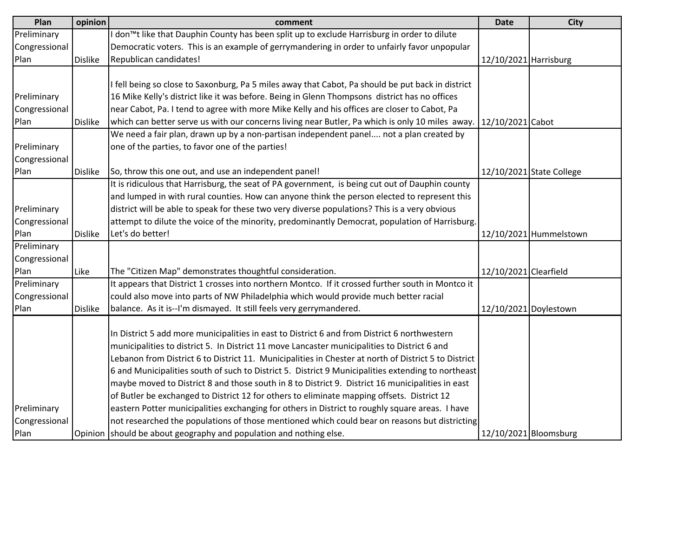| Plan          | opinion        | comment                                                                                                          | <b>Date</b>           | <b>City</b>              |
|---------------|----------------|------------------------------------------------------------------------------------------------------------------|-----------------------|--------------------------|
| Preliminary   |                | I don™t like that Dauphin County has been split up to exclude Harrisburg in order to dilute                      |                       |                          |
| Congressional |                | Democratic voters. This is an example of gerrymandering in order to unfairly favor unpopular                     |                       |                          |
| Plan          | <b>Dislike</b> | Republican candidates!                                                                                           | 12/10/2021 Harrisburg |                          |
|               |                |                                                                                                                  |                       |                          |
|               |                | I fell being so close to Saxonburg, Pa 5 miles away that Cabot, Pa should be put back in district                |                       |                          |
| Preliminary   |                | 16 Mike Kelly's district like it was before. Being in Glenn Thompsons district has no offices                    |                       |                          |
| Congressional |                | near Cabot, Pa. I tend to agree with more Mike Kelly and his offices are closer to Cabot, Pa                     |                       |                          |
| Plan          | <b>Dislike</b> | which can better serve us with our concerns living near Butler, Pa which is only 10 miles away. 12/10/2021 Cabot |                       |                          |
|               |                | We need a fair plan, drawn up by a non-partisan independent panel not a plan created by                          |                       |                          |
| Preliminary   |                | one of the parties, to favor one of the parties!                                                                 |                       |                          |
| Congressional |                |                                                                                                                  |                       |                          |
| Plan          | <b>Dislike</b> | So, throw this one out, and use an independent panel!                                                            |                       | 12/10/2021 State College |
|               |                | It is ridiculous that Harrisburg, the seat of PA government, is being cut out of Dauphin county                  |                       |                          |
|               |                | and lumped in with rural counties. How can anyone think the person elected to represent this                     |                       |                          |
| Preliminary   |                | district will be able to speak for these two very diverse populations? This is a very obvious                    |                       |                          |
| Congressional |                | attempt to dilute the voice of the minority, predominantly Democrat, population of Harrisburg.                   |                       |                          |
| Plan          | <b>Dislike</b> | Let's do better!                                                                                                 |                       | 12/10/2021 Hummelstown   |
| Preliminary   |                |                                                                                                                  |                       |                          |
| Congressional |                |                                                                                                                  |                       |                          |
| Plan          | Like           | The "Citizen Map" demonstrates thoughtful consideration.                                                         | 12/10/2021 Clearfield |                          |
| Preliminary   |                | It appears that District 1 crosses into northern Montco. If it crossed further south in Montco it                |                       |                          |
| Congressional |                | could also move into parts of NW Philadelphia which would provide much better racial                             |                       |                          |
| Plan          | <b>Dislike</b> | balance. As it is--I'm dismayed. It still feels very gerrymandered.                                              | 12/10/2021 Doylestown |                          |
|               |                |                                                                                                                  |                       |                          |
|               |                | In District 5 add more municipalities in east to District 6 and from District 6 northwestern                     |                       |                          |
|               |                | municipalities to district 5. In District 11 move Lancaster municipalities to District 6 and                     |                       |                          |
|               |                | Lebanon from District 6 to District 11. Municipalities in Chester at north of District 5 to District             |                       |                          |
|               |                | 6 and Municipalities south of such to District 5. District 9 Municipalities extending to northeast               |                       |                          |
|               |                | maybe moved to District 8 and those south in 8 to District 9. District 16 municipalities in east                 |                       |                          |
|               |                | of Butler be exchanged to District 12 for others to eliminate mapping offsets. District 12                       |                       |                          |
| Preliminary   |                | eastern Potter municipalities exchanging for others in District to roughly square areas. I have                  |                       |                          |
| Congressional |                | not researched the populations of those mentioned which could bear on reasons but districting                    |                       |                          |
| Plan          |                | Opinion should be about geography and population and nothing else.                                               | 12/10/2021 Bloomsburg |                          |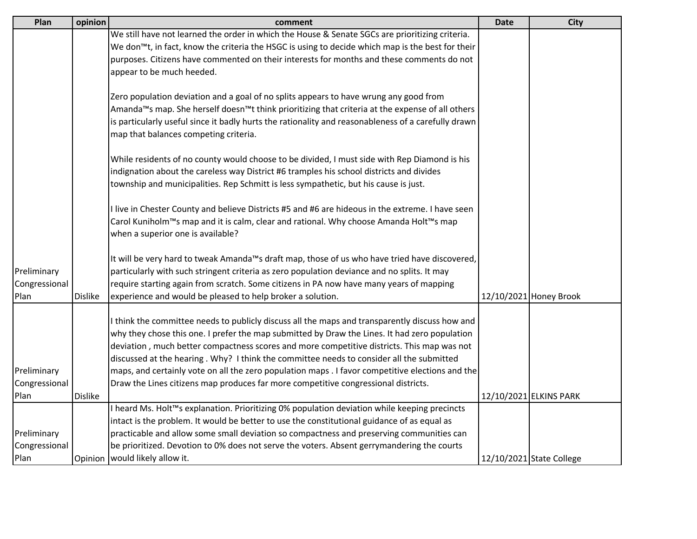| Plan          | opinion        | comment                                                                                                                   | <b>Date</b> | <b>City</b>              |
|---------------|----------------|---------------------------------------------------------------------------------------------------------------------------|-------------|--------------------------|
|               |                | We still have not learned the order in which the House & Senate SGCs are prioritizing criteria.                           |             |                          |
|               |                | We don™t, in fact, know the criteria the HSGC is using to decide which map is the best for their                          |             |                          |
|               |                | purposes. Citizens have commented on their interests for months and these comments do not                                 |             |                          |
|               |                | appear to be much heeded.                                                                                                 |             |                          |
|               |                |                                                                                                                           |             |                          |
|               |                | Zero population deviation and a goal of no splits appears to have wrung any good from                                     |             |                          |
|               |                | Amanda <sup>™</sup> s map. She herself doesn <sup>™</sup> t think prioritizing that criteria at the expense of all others |             |                          |
|               |                | is particularly useful since it badly hurts the rationality and reasonableness of a carefully drawn                       |             |                          |
|               |                | map that balances competing criteria.                                                                                     |             |                          |
|               |                | While residents of no county would choose to be divided, I must side with Rep Diamond is his                              |             |                          |
|               |                | indignation about the careless way District #6 tramples his school districts and divides                                  |             |                          |
|               |                | township and municipalities. Rep Schmitt is less sympathetic, but his cause is just.                                      |             |                          |
|               |                |                                                                                                                           |             |                          |
|               |                | I live in Chester County and believe Districts #5 and #6 are hideous in the extreme. I have seen                          |             |                          |
|               |                | Carol Kuniholm™s map and it is calm, clear and rational. Why choose Amanda Holt™s map                                     |             |                          |
|               |                | when a superior one is available?                                                                                         |             |                          |
|               |                | It will be very hard to tweak Amanda™s draft map, those of us who have tried have discovered,                             |             |                          |
| Preliminary   |                | particularly with such stringent criteria as zero population deviance and no splits. It may                               |             |                          |
| Congressional |                | require starting again from scratch. Some citizens in PA now have many years of mapping                                   |             |                          |
| Plan          | Dislike        | experience and would be pleased to help broker a solution.                                                                |             | 12/10/2021 Honey Brook   |
|               |                |                                                                                                                           |             |                          |
|               |                | I think the committee needs to publicly discuss all the maps and transparently discuss how and                            |             |                          |
|               |                | why they chose this one. I prefer the map submitted by Draw the Lines. It had zero population                             |             |                          |
|               |                | deviation, much better compactness scores and more competitive districts. This map was not                                |             |                          |
|               |                | discussed at the hearing . Why? I think the committee needs to consider all the submitted                                 |             |                          |
| Preliminary   |                | maps, and certainly vote on all the zero population maps . I favor competitive elections and the                          |             |                          |
| Congressional |                | Draw the Lines citizens map produces far more competitive congressional districts.                                        |             |                          |
| Plan          | <b>Dislike</b> |                                                                                                                           |             | 12/10/2021 ELKINS PARK   |
|               |                | I heard Ms. Holt™s explanation. Prioritizing 0% population deviation while keeping precincts                              |             |                          |
|               |                | intact is the problem. It would be better to use the constitutional guidance of as equal as                               |             |                          |
| Preliminary   |                | practicable and allow some small deviation so compactness and preserving communities can                                  |             |                          |
| Congressional |                | be prioritized. Devotion to 0% does not serve the voters. Absent gerrymandering the courts                                |             |                          |
| Plan          |                | Opinion   would likely allow it.                                                                                          |             | 12/10/2021 State College |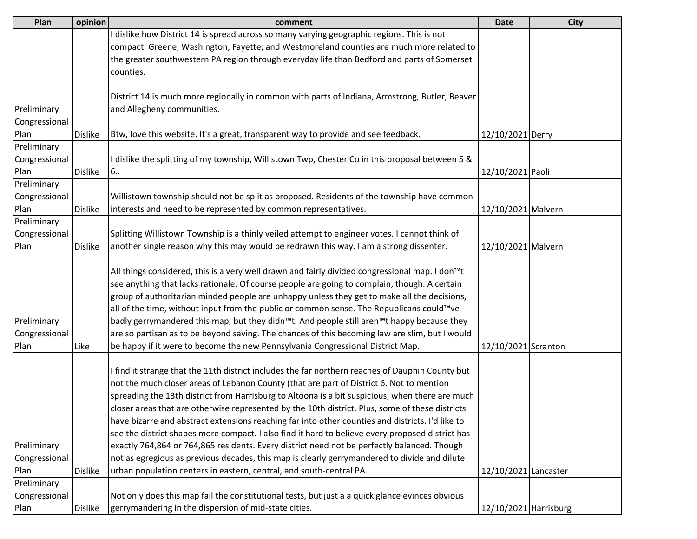| Plan                  | opinion        | comment                                                                                                                                                                                     | <b>Date</b>           | <b>City</b> |
|-----------------------|----------------|---------------------------------------------------------------------------------------------------------------------------------------------------------------------------------------------|-----------------------|-------------|
|                       |                | dislike how District 14 is spread across so many varying geographic regions. This is not                                                                                                    |                       |             |
|                       |                | compact. Greene, Washington, Fayette, and Westmoreland counties are much more related to                                                                                                    |                       |             |
|                       |                | the greater southwestern PA region through everyday life than Bedford and parts of Somerset                                                                                                 |                       |             |
|                       |                | counties.                                                                                                                                                                                   |                       |             |
|                       |                |                                                                                                                                                                                             |                       |             |
|                       |                | District 14 is much more regionally in common with parts of Indiana, Armstrong, Butler, Beaver                                                                                              |                       |             |
| Preliminary           |                | and Allegheny communities.                                                                                                                                                                  |                       |             |
| Congressional         |                |                                                                                                                                                                                             |                       |             |
| Plan                  | <b>Dislike</b> | Btw, love this website. It's a great, transparent way to provide and see feedback.                                                                                                          | 12/10/2021 Derry      |             |
| Preliminary           |                |                                                                                                                                                                                             |                       |             |
| Congressional         |                | I dislike the splitting of my township, Willistown Twp, Chester Co in this proposal between 5 &                                                                                             |                       |             |
| Plan                  | <b>Dislike</b> | 6.                                                                                                                                                                                          | 12/10/2021 Paoli      |             |
| Preliminary           |                |                                                                                                                                                                                             |                       |             |
| Congressional         |                | Willistown township should not be split as proposed. Residents of the township have common                                                                                                  |                       |             |
| Plan                  | <b>Dislike</b> | interests and need to be represented by common representatives.                                                                                                                             | 12/10/2021 Malvern    |             |
| Preliminary           |                |                                                                                                                                                                                             |                       |             |
| Congressional         |                | Splitting Willistown Township is a thinly veiled attempt to engineer votes. I cannot think of                                                                                               |                       |             |
| Plan                  | <b>Dislike</b> | another single reason why this may would be redrawn this way. I am a strong dissenter.                                                                                                      | 12/10/2021 Malvern    |             |
|                       |                |                                                                                                                                                                                             |                       |             |
|                       |                | All things considered, this is a very well drawn and fairly divided congressional map. I don <sup>™t</sup>                                                                                  |                       |             |
|                       |                | see anything that lacks rationale. Of course people are going to complain, though. A certain                                                                                                |                       |             |
|                       |                | group of authoritarian minded people are unhappy unless they get to make all the decisions,                                                                                                 |                       |             |
|                       |                | all of the time, without input from the public or common sense. The Republicans could™ve                                                                                                    |                       |             |
| Preliminary           |                | badly gerrymandered this map, but they didn™t. And people still aren™t happy because they<br>are so partisan as to be beyond saving. The chances of this becoming law are slim, but I would |                       |             |
| Congressional<br>Plan |                |                                                                                                                                                                                             |                       |             |
|                       | Like           | be happy if it were to become the new Pennsylvania Congressional District Map.                                                                                                              | 12/10/2021 Scranton   |             |
|                       |                | I find it strange that the 11th district includes the far northern reaches of Dauphin County but                                                                                            |                       |             |
|                       |                | not the much closer areas of Lebanon County (that are part of District 6. Not to mention                                                                                                    |                       |             |
|                       |                | spreading the 13th district from Harrisburg to Altoona is a bit suspicious, when there are much                                                                                             |                       |             |
|                       |                | closer areas that are otherwise represented by the 10th district. Plus, some of these districts                                                                                             |                       |             |
|                       |                | have bizarre and abstract extensions reaching far into other counties and districts. I'd like to                                                                                            |                       |             |
|                       |                | see the district shapes more compact. I also find it hard to believe every proposed district has                                                                                            |                       |             |
| Preliminary           |                | exactly 764,864 or 764,865 residents. Every district need not be perfectly balanced. Though                                                                                                 |                       |             |
| Congressional         |                | not as egregious as previous decades, this map is clearly gerrymandered to divide and dilute                                                                                                |                       |             |
| Plan                  | <b>Dislike</b> | urban population centers in eastern, central, and south-central PA.                                                                                                                         | 12/10/2021 Lancaster  |             |
| Preliminary           |                |                                                                                                                                                                                             |                       |             |
| Congressional         |                | Not only does this map fail the constitutional tests, but just a a quick glance evinces obvious                                                                                             |                       |             |
| Plan                  | <b>Dislike</b> | gerrymandering in the dispersion of mid-state cities.                                                                                                                                       | 12/10/2021 Harrisburg |             |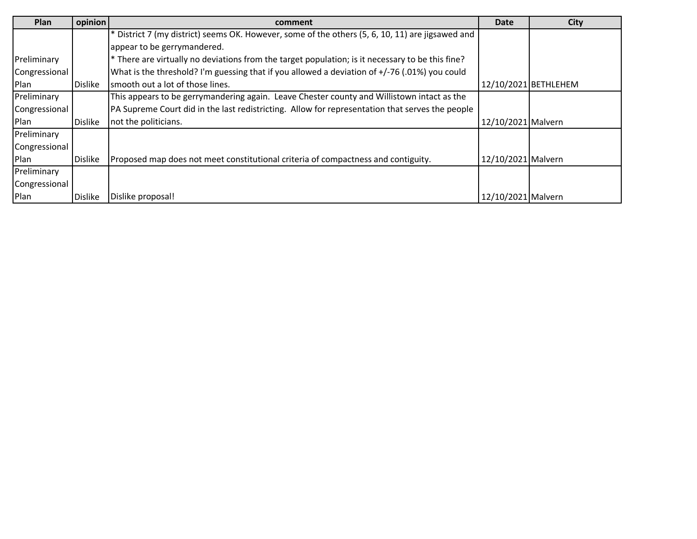| Plan          | opinion        | comment                                                                                            | Date               | <b>City</b>          |
|---------------|----------------|----------------------------------------------------------------------------------------------------|--------------------|----------------------|
|               |                | * District 7 (my district) seems OK. However, some of the others (5, 6, 10, 11) are jigsawed and   |                    |                      |
|               |                | appear to be gerrymandered.                                                                        |                    |                      |
| Preliminary   |                | $*$ There are virtually no deviations from the target population; is it necessary to be this fine? |                    |                      |
| Congressional |                | What is the threshold? I'm guessing that if you allowed a deviation of +/-76 (.01%) you could      |                    |                      |
| Plan          | <b>Dislike</b> | smooth out a lot of those lines.                                                                   |                    | 12/10/2021 BETHLEHEM |
| Preliminary   |                | This appears to be gerrymandering again. Leave Chester county and Willistown intact as the         |                    |                      |
| Congressional |                | PA Supreme Court did in the last redistricting. Allow for representation that serves the people    |                    |                      |
| Plan          | <b>Dislike</b> | not the politicians.                                                                               | 12/10/2021 Malvern |                      |
| Preliminary   |                |                                                                                                    |                    |                      |
| Congressional |                |                                                                                                    |                    |                      |
| Plan          | <b>Dislike</b> | Proposed map does not meet constitutional criteria of compactness and contiguity.                  | 12/10/2021 Malvern |                      |
| Preliminary   |                |                                                                                                    |                    |                      |
| Congressional |                |                                                                                                    |                    |                      |
| Plan          | <b>Dislike</b> | Dislike proposal!                                                                                  | 12/10/2021 Malvern |                      |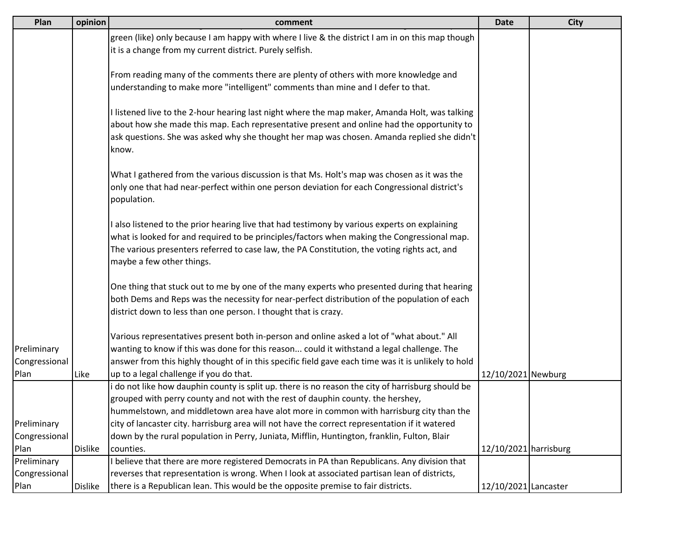| Plan          | opinion        | comment                                                                                             | <b>Date</b>           | <b>City</b> |
|---------------|----------------|-----------------------------------------------------------------------------------------------------|-----------------------|-------------|
|               |                | green (like) only because I am happy with where I live & the district I am in on this map though    |                       |             |
|               |                | it is a change from my current district. Purely selfish.                                            |                       |             |
|               |                |                                                                                                     |                       |             |
|               |                | From reading many of the comments there are plenty of others with more knowledge and                |                       |             |
|               |                | understanding to make more "intelligent" comments than mine and I defer to that.                    |                       |             |
|               |                |                                                                                                     |                       |             |
|               |                | I listened live to the 2-hour hearing last night where the map maker, Amanda Holt, was talking      |                       |             |
|               |                | about how she made this map. Each representative present and online had the opportunity to          |                       |             |
|               |                | ask questions. She was asked why she thought her map was chosen. Amanda replied she didn't          |                       |             |
|               |                | know.                                                                                               |                       |             |
|               |                |                                                                                                     |                       |             |
|               |                | What I gathered from the various discussion is that Ms. Holt's map was chosen as it was the         |                       |             |
|               |                | only one that had near-perfect within one person deviation for each Congressional district's        |                       |             |
|               |                | population.                                                                                         |                       |             |
|               |                |                                                                                                     |                       |             |
|               |                | I also listened to the prior hearing live that had testimony by various experts on explaining       |                       |             |
|               |                | what is looked for and required to be principles/factors when making the Congressional map.         |                       |             |
|               |                | The various presenters referred to case law, the PA Constitution, the voting rights act, and        |                       |             |
|               |                | maybe a few other things.                                                                           |                       |             |
|               |                |                                                                                                     |                       |             |
|               |                | One thing that stuck out to me by one of the many experts who presented during that hearing         |                       |             |
|               |                | both Dems and Reps was the necessity for near-perfect distribution of the population of each        |                       |             |
|               |                | district down to less than one person. I thought that is crazy.                                     |                       |             |
|               |                |                                                                                                     |                       |             |
|               |                | Various representatives present both in-person and online asked a lot of "what about." All          |                       |             |
| Preliminary   |                | wanting to know if this was done for this reason could it withstand a legal challenge. The          |                       |             |
| Congressional |                | answer from this highly thought of in this specific field gave each time was it is unlikely to hold |                       |             |
| Plan          | Like           | up to a legal challenge if you do that.                                                             | 12/10/2021 Newburg    |             |
|               |                | i do not like how dauphin county is split up. there is no reason the city of harrisburg should be   |                       |             |
|               |                | grouped with perry county and not with the rest of dauphin county. the hershey,                     |                       |             |
|               |                | hummelstown, and middletown area have alot more in common with harrisburg city than the             |                       |             |
| Preliminary   |                | city of lancaster city. harrisburg area will not have the correct representation if it watered      |                       |             |
| Congressional |                | down by the rural population in Perry, Juniata, Mifflin, Huntington, franklin, Fulton, Blair        |                       |             |
| Plan          | <b>Dislike</b> | counties.                                                                                           | 12/10/2021 harrisburg |             |
| Preliminary   |                | I believe that there are more registered Democrats in PA than Republicans. Any division that        |                       |             |
| Congressional |                | reverses that representation is wrong. When I look at associated partisan lean of districts,        |                       |             |
| Plan          | <b>Dislike</b> | there is a Republican lean. This would be the opposite premise to fair districts.                   | 12/10/2021 Lancaster  |             |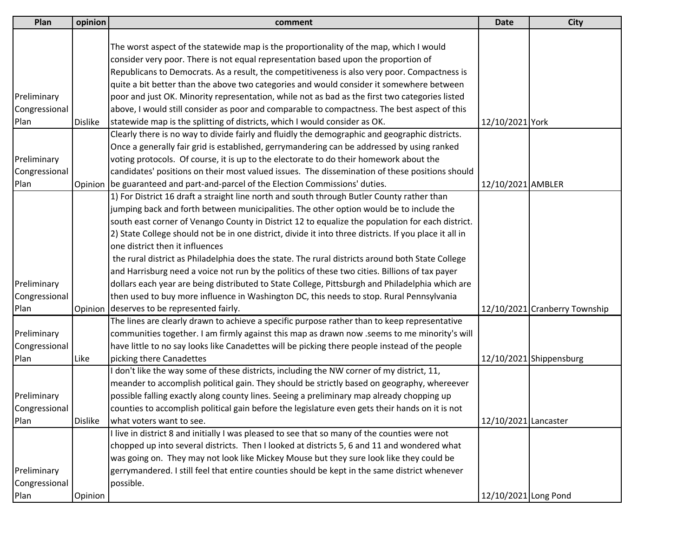| Plan          | opinion        | comment                                                                                                | <b>Date</b>          | <b>City</b>                   |
|---------------|----------------|--------------------------------------------------------------------------------------------------------|----------------------|-------------------------------|
|               |                |                                                                                                        |                      |                               |
|               |                | The worst aspect of the statewide map is the proportionality of the map, which I would                 |                      |                               |
|               |                | consider very poor. There is not equal representation based upon the proportion of                     |                      |                               |
|               |                | Republicans to Democrats. As a result, the competitiveness is also very poor. Compactness is           |                      |                               |
|               |                | quite a bit better than the above two categories and would consider it somewhere between               |                      |                               |
| Preliminary   |                | poor and just OK. Minority representation, while not as bad as the first two categories listed         |                      |                               |
| Congressional |                | above, I would still consider as poor and comparable to compactness. The best aspect of this           |                      |                               |
| Plan          | <b>Dislike</b> | statewide map is the splitting of districts, which I would consider as OK.                             | 12/10/2021 York      |                               |
|               |                | Clearly there is no way to divide fairly and fluidly the demographic and geographic districts.         |                      |                               |
|               |                | Once a generally fair grid is established, gerrymandering can be addressed by using ranked             |                      |                               |
| Preliminary   |                | voting protocols. Of course, it is up to the electorate to do their homework about the                 |                      |                               |
| Congressional |                | candidates' positions on their most valued issues. The dissemination of these positions should         |                      |                               |
| Plan          | Opinion        | be guaranteed and part-and-parcel of the Election Commissions' duties.                                 | 12/10/2021 AMBLER    |                               |
|               |                | 1) For District 16 draft a straight line north and south through Butler County rather than             |                      |                               |
|               |                | jumping back and forth between municipalities. The other option would be to include the                |                      |                               |
|               |                | south east corner of Venango County in District 12 to equalize the population for each district.       |                      |                               |
|               |                | 2) State College should not be in one district, divide it into three districts. If you place it all in |                      |                               |
|               |                | one district then it influences                                                                        |                      |                               |
|               |                | the rural district as Philadelphia does the state. The rural districts around both State College       |                      |                               |
|               |                | and Harrisburg need a voice not run by the politics of these two cities. Billions of tax payer         |                      |                               |
| Preliminary   |                | dollars each year are being distributed to State College, Pittsburgh and Philadelphia which are        |                      |                               |
| Congressional |                | then used to buy more influence in Washington DC, this needs to stop. Rural Pennsylvania               |                      |                               |
| Plan          | Opinion        | deserves to be represented fairly.                                                                     |                      | 12/10/2021 Cranberry Township |
|               |                | The lines are clearly drawn to achieve a specific purpose rather than to keep representative           |                      |                               |
| Preliminary   |                | communities together. I am firmly against this map as drawn now .seems to me minority's will           |                      |                               |
| Congressional |                | have little to no say looks like Canadettes will be picking there people instead of the people         |                      |                               |
| Plan          | Like           | picking there Canadettes                                                                               |                      | 12/10/2021 Shippensburg       |
|               |                | don't like the way some of these districts, including the NW corner of my district, 11,                |                      |                               |
|               |                | meander to accomplish political gain. They should be strictly based on geography, whereever            |                      |                               |
| Preliminary   |                | possible falling exactly along county lines. Seeing a preliminary map already chopping up              |                      |                               |
| Congressional |                | counties to accomplish political gain before the legislature even gets their hands on it is not        |                      |                               |
| Plan          | <b>Dislike</b> | what voters want to see.                                                                               | 12/10/2021 Lancaster |                               |
|               |                | I live in district 8 and initially I was pleased to see that so many of the counties were not          |                      |                               |
|               |                | chopped up into several districts. Then I looked at districts 5, 6 and 11 and wondered what            |                      |                               |
|               |                | was going on. They may not look like Mickey Mouse but they sure look like they could be                |                      |                               |
| Preliminary   |                | gerrymandered. I still feel that entire counties should be kept in the same district whenever          |                      |                               |
| Congressional |                | possible.                                                                                              |                      |                               |
| Plan          | Opinion        |                                                                                                        | 12/10/2021 Long Pond |                               |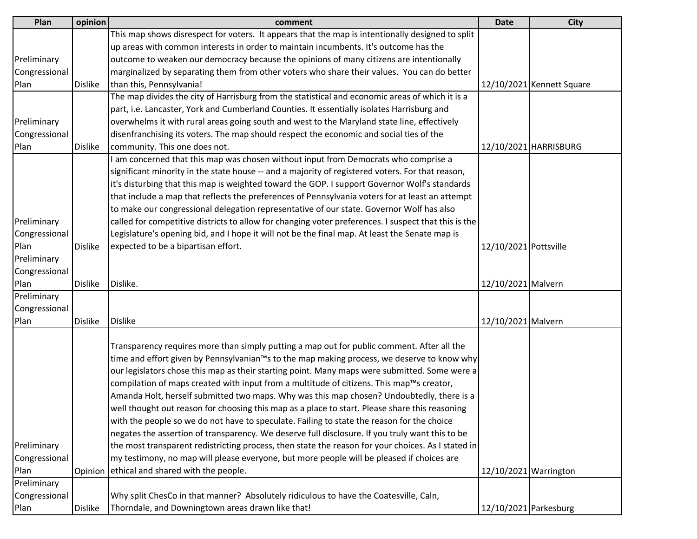| Plan          | opinion        | comment                                                                                                                                                                                                                                                                                                                                                                                                                                                                                                                                                                              | <b>Date</b>           | <b>City</b>               |
|---------------|----------------|--------------------------------------------------------------------------------------------------------------------------------------------------------------------------------------------------------------------------------------------------------------------------------------------------------------------------------------------------------------------------------------------------------------------------------------------------------------------------------------------------------------------------------------------------------------------------------------|-----------------------|---------------------------|
|               |                | This map shows disrespect for voters. It appears that the map is intentionally designed to split                                                                                                                                                                                                                                                                                                                                                                                                                                                                                     |                       |                           |
|               |                | up areas with common interests in order to maintain incumbents. It's outcome has the                                                                                                                                                                                                                                                                                                                                                                                                                                                                                                 |                       |                           |
| Preliminary   |                | outcome to weaken our democracy because the opinions of many citizens are intentionally                                                                                                                                                                                                                                                                                                                                                                                                                                                                                              |                       |                           |
| Congressional |                | marginalized by separating them from other voters who share their values. You can do better                                                                                                                                                                                                                                                                                                                                                                                                                                                                                          |                       |                           |
| Plan          | <b>Dislike</b> | than this, Pennsylvania!                                                                                                                                                                                                                                                                                                                                                                                                                                                                                                                                                             |                       | 12/10/2021 Kennett Square |
|               |                | The map divides the city of Harrisburg from the statistical and economic areas of which it is a                                                                                                                                                                                                                                                                                                                                                                                                                                                                                      |                       |                           |
|               |                | part, i.e. Lancaster, York and Cumberland Counties. It essentially isolates Harrisburg and                                                                                                                                                                                                                                                                                                                                                                                                                                                                                           |                       |                           |
| Preliminary   |                | overwhelms it with rural areas going south and west to the Maryland state line, effectively                                                                                                                                                                                                                                                                                                                                                                                                                                                                                          |                       |                           |
| Congressional |                | disenfranchising its voters. The map should respect the economic and social ties of the                                                                                                                                                                                                                                                                                                                                                                                                                                                                                              |                       |                           |
| Plan          | <b>Dislike</b> | community. This one does not.                                                                                                                                                                                                                                                                                                                                                                                                                                                                                                                                                        |                       | 12/10/2021 HARRISBURG     |
|               |                | am concerned that this map was chosen without input from Democrats who comprise a                                                                                                                                                                                                                                                                                                                                                                                                                                                                                                    |                       |                           |
|               |                | significant minority in the state house -- and a majority of registered voters. For that reason,                                                                                                                                                                                                                                                                                                                                                                                                                                                                                     |                       |                           |
|               |                | it's disturbing that this map is weighted toward the GOP. I support Governor Wolf's standards                                                                                                                                                                                                                                                                                                                                                                                                                                                                                        |                       |                           |
|               |                | that include a map that reflects the preferences of Pennsylvania voters for at least an attempt                                                                                                                                                                                                                                                                                                                                                                                                                                                                                      |                       |                           |
|               |                | to make our congressional delegation representative of our state. Governor Wolf has also                                                                                                                                                                                                                                                                                                                                                                                                                                                                                             |                       |                           |
| Preliminary   |                | called for competitive districts to allow for changing voter preferences. I suspect that this is the                                                                                                                                                                                                                                                                                                                                                                                                                                                                                 |                       |                           |
| Congressional |                | Legislature's opening bid, and I hope it will not be the final map. At least the Senate map is                                                                                                                                                                                                                                                                                                                                                                                                                                                                                       |                       |                           |
| Plan          | <b>Dislike</b> | expected to be a bipartisan effort.                                                                                                                                                                                                                                                                                                                                                                                                                                                                                                                                                  | 12/10/2021 Pottsville |                           |
| Preliminary   |                |                                                                                                                                                                                                                                                                                                                                                                                                                                                                                                                                                                                      |                       |                           |
| Congressional |                |                                                                                                                                                                                                                                                                                                                                                                                                                                                                                                                                                                                      |                       |                           |
| Plan          | <b>Dislike</b> | Dislike.                                                                                                                                                                                                                                                                                                                                                                                                                                                                                                                                                                             | 12/10/2021 Malvern    |                           |
| Preliminary   |                |                                                                                                                                                                                                                                                                                                                                                                                                                                                                                                                                                                                      |                       |                           |
| Congressional |                |                                                                                                                                                                                                                                                                                                                                                                                                                                                                                                                                                                                      |                       |                           |
| Plan          | <b>Dislike</b> | <b>Dislike</b>                                                                                                                                                                                                                                                                                                                                                                                                                                                                                                                                                                       | 12/10/2021 Malvern    |                           |
|               |                | Transparency requires more than simply putting a map out for public comment. After all the<br>time and effort given by Pennsylvanian™s to the map making process, we deserve to know why<br>our legislators chose this map as their starting point. Many maps were submitted. Some were a<br>compilation of maps created with input from a multitude of citizens. This map™s creator,<br>Amanda Holt, herself submitted two maps. Why was this map chosen? Undoubtedly, there is a<br>well thought out reason for choosing this map as a place to start. Please share this reasoning |                       |                           |
|               |                | with the people so we do not have to speculate. Failing to state the reason for the choice                                                                                                                                                                                                                                                                                                                                                                                                                                                                                           |                       |                           |
|               |                | negates the assertion of transparency. We deserve full disclosure. If you truly want this to be                                                                                                                                                                                                                                                                                                                                                                                                                                                                                      |                       |                           |
| Preliminary   |                | the most transparent redistricting process, then state the reason for your choices. As I stated in                                                                                                                                                                                                                                                                                                                                                                                                                                                                                   |                       |                           |
| Congressional |                | my testimony, no map will please everyone, but more people will be pleased if choices are                                                                                                                                                                                                                                                                                                                                                                                                                                                                                            |                       |                           |
| Plan          | Opinion        | ethical and shared with the people.                                                                                                                                                                                                                                                                                                                                                                                                                                                                                                                                                  | 12/10/2021 Warrington |                           |
| Preliminary   |                |                                                                                                                                                                                                                                                                                                                                                                                                                                                                                                                                                                                      |                       |                           |
| Congressional |                | Why split ChesCo in that manner? Absolutely ridiculous to have the Coatesville, Caln,                                                                                                                                                                                                                                                                                                                                                                                                                                                                                                |                       |                           |
| Plan          | <b>Dislike</b> | Thorndale, and Downingtown areas drawn like that!                                                                                                                                                                                                                                                                                                                                                                                                                                                                                                                                    | 12/10/2021 Parkesburg |                           |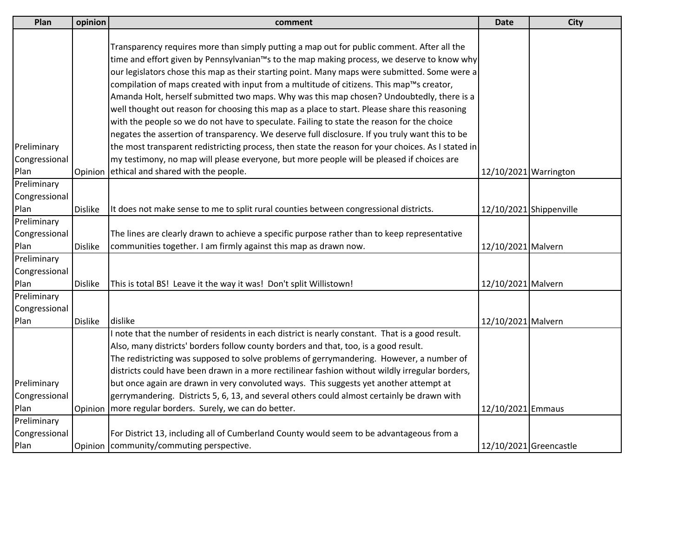| Plan          | opinion        | comment                                                                                            | <b>Date</b>            | <b>City</b>             |
|---------------|----------------|----------------------------------------------------------------------------------------------------|------------------------|-------------------------|
|               |                |                                                                                                    |                        |                         |
|               |                | Transparency requires more than simply putting a map out for public comment. After all the         |                        |                         |
|               |                | time and effort given by Pennsylvanian™s to the map making process, we deserve to know why         |                        |                         |
|               |                | our legislators chose this map as their starting point. Many maps were submitted. Some were a      |                        |                         |
|               |                | compilation of maps created with input from a multitude of citizens. This map™s creator,           |                        |                         |
|               |                | Amanda Holt, herself submitted two maps. Why was this map chosen? Undoubtedly, there is a          |                        |                         |
|               |                | well thought out reason for choosing this map as a place to start. Please share this reasoning     |                        |                         |
|               |                | with the people so we do not have to speculate. Failing to state the reason for the choice         |                        |                         |
|               |                | negates the assertion of transparency. We deserve full disclosure. If you truly want this to be    |                        |                         |
| Preliminary   |                | the most transparent redistricting process, then state the reason for your choices. As I stated in |                        |                         |
| Congressional |                | my testimony, no map will please everyone, but more people will be pleased if choices are          |                        |                         |
| Plan          |                | Opinion ethical and shared with the people.                                                        | 12/10/2021 Warrington  |                         |
| Preliminary   |                |                                                                                                    |                        |                         |
| Congressional |                |                                                                                                    |                        |                         |
| Plan          | <b>Dislike</b> | It does not make sense to me to split rural counties between congressional districts.              |                        | 12/10/2021 Shippenville |
| Preliminary   |                |                                                                                                    |                        |                         |
| Congressional |                | The lines are clearly drawn to achieve a specific purpose rather than to keep representative       |                        |                         |
| Plan          | <b>Dislike</b> | communities together. I am firmly against this map as drawn now.                                   | 12/10/2021 Malvern     |                         |
| Preliminary   |                |                                                                                                    |                        |                         |
| Congressional |                |                                                                                                    |                        |                         |
| Plan          | <b>Dislike</b> | This is total BS! Leave it the way it was! Don't split Willistown!                                 | 12/10/2021 Malvern     |                         |
| Preliminary   |                |                                                                                                    |                        |                         |
| Congressional |                |                                                                                                    |                        |                         |
| Plan          | <b>Dislike</b> | dislike                                                                                            | 12/10/2021 Malvern     |                         |
|               |                | I note that the number of residents in each district is nearly constant. That is a good result.    |                        |                         |
|               |                | Also, many districts' borders follow county borders and that, too, is a good result.               |                        |                         |
|               |                | The redistricting was supposed to solve problems of gerrymandering. However, a number of           |                        |                         |
|               |                | districts could have been drawn in a more rectilinear fashion without wildly irregular borders,    |                        |                         |
| Preliminary   |                | but once again are drawn in very convoluted ways. This suggests yet another attempt at             |                        |                         |
| Congressional |                | gerrymandering. Districts 5, 6, 13, and several others could almost certainly be drawn with        |                        |                         |
| Plan          |                | Opinion   more regular borders. Surely, we can do better.                                          | 12/10/2021 Emmaus      |                         |
| Preliminary   |                |                                                                                                    |                        |                         |
| Congressional |                | For District 13, including all of Cumberland County would seem to be advantageous from a           |                        |                         |
| Plan          |                | Opinion   community/commuting perspective.                                                         | 12/10/2021 Greencastle |                         |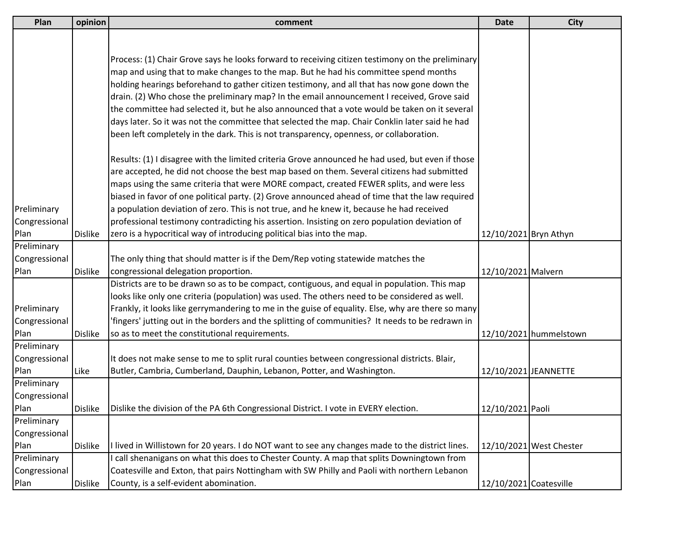| Plan          | opinion        | comment                                                                                           | <b>Date</b>            | <b>City</b>             |
|---------------|----------------|---------------------------------------------------------------------------------------------------|------------------------|-------------------------|
|               |                |                                                                                                   |                        |                         |
|               |                |                                                                                                   |                        |                         |
|               |                | Process: (1) Chair Grove says he looks forward to receiving citizen testimony on the preliminary  |                        |                         |
|               |                | map and using that to make changes to the map. But he had his committee spend months              |                        |                         |
|               |                | holding hearings beforehand to gather citizen testimony, and all that has now gone down the       |                        |                         |
|               |                | drain. (2) Who chose the preliminary map? In the email announcement I received, Grove said        |                        |                         |
|               |                | the committee had selected it, but he also announced that a vote would be taken on it several     |                        |                         |
|               |                | days later. So it was not the committee that selected the map. Chair Conklin later said he had    |                        |                         |
|               |                | been left completely in the dark. This is not transparency, openness, or collaboration.           |                        |                         |
|               |                | Results: (1) I disagree with the limited criteria Grove announced he had used, but even if those  |                        |                         |
|               |                | are accepted, he did not choose the best map based on them. Several citizens had submitted        |                        |                         |
|               |                | maps using the same criteria that were MORE compact, created FEWER splits, and were less          |                        |                         |
|               |                | biased in favor of one political party. (2) Grove announced ahead of time that the law required   |                        |                         |
| Preliminary   |                | a population deviation of zero. This is not true, and he knew it, because he had received         |                        |                         |
| Congressional |                | professional testimony contradicting his assertion. Insisting on zero population deviation of     |                        |                         |
| Plan          | <b>Dislike</b> | zero is a hypocritical way of introducing political bias into the map.                            | 12/10/2021 Bryn Athyn  |                         |
| Preliminary   |                |                                                                                                   |                        |                         |
| Congressional |                | The only thing that should matter is if the Dem/Rep voting statewide matches the                  |                        |                         |
| Plan          | <b>Dislike</b> | congressional delegation proportion.                                                              | 12/10/2021 Malvern     |                         |
|               |                | Districts are to be drawn so as to be compact, contiguous, and equal in population. This map      |                        |                         |
|               |                | looks like only one criteria (population) was used. The others need to be considered as well.     |                        |                         |
| Preliminary   |                | Frankly, it looks like gerrymandering to me in the guise of equality. Else, why are there so many |                        |                         |
| Congressional |                | 'fingers' jutting out in the borders and the splitting of communities? It needs to be redrawn in  |                        |                         |
| Plan          | <b>Dislike</b> | so as to meet the constitutional requirements.                                                    |                        | 12/10/2021 hummelstown  |
| Preliminary   |                |                                                                                                   |                        |                         |
| Congressional |                | It does not make sense to me to split rural counties between congressional districts. Blair,      |                        |                         |
| Plan          | Like           | Butler, Cambria, Cumberland, Dauphin, Lebanon, Potter, and Washington.                            | 12/10/2021 JEANNETTE   |                         |
| Preliminary   |                |                                                                                                   |                        |                         |
| Congressional |                |                                                                                                   |                        |                         |
| Plan          | <b>Dislike</b> | Dislike the division of the PA 6th Congressional District. I vote in EVERY election.              | 12/10/2021 Paoli       |                         |
| Preliminary   |                |                                                                                                   |                        |                         |
| Congressional |                |                                                                                                   |                        |                         |
| Plan          | <b>Dislike</b> | I lived in Willistown for 20 years. I do NOT want to see any changes made to the district lines.  |                        | 12/10/2021 West Chester |
| Preliminary   |                | call shenanigans on what this does to Chester County. A map that splits Downingtown from          |                        |                         |
| Congressional |                | Coatesville and Exton, that pairs Nottingham with SW Philly and Paoli with northern Lebanon       |                        |                         |
| Plan          | <b>Dislike</b> | County, is a self-evident abomination.                                                            | 12/10/2021 Coatesville |                         |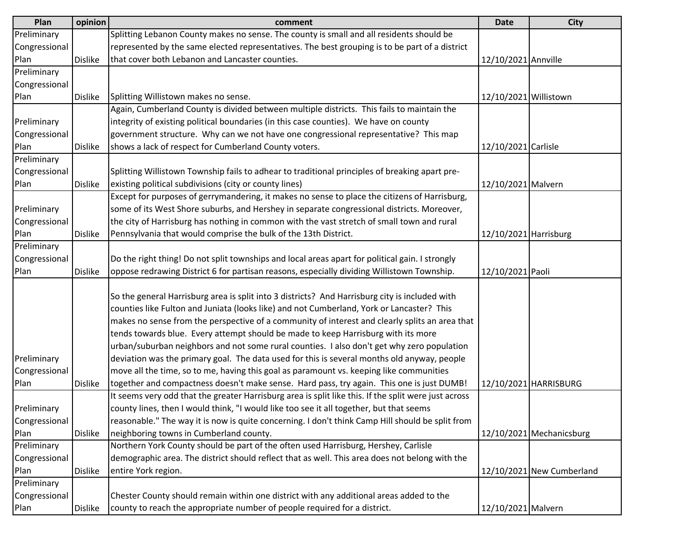| Plan                                 | opinion        | comment                                                                                                                                                                                                                                                                                                                                                                                                                                                                                                                                                                                                                                                                    | <b>Date</b>           | <b>City</b>               |
|--------------------------------------|----------------|----------------------------------------------------------------------------------------------------------------------------------------------------------------------------------------------------------------------------------------------------------------------------------------------------------------------------------------------------------------------------------------------------------------------------------------------------------------------------------------------------------------------------------------------------------------------------------------------------------------------------------------------------------------------------|-----------------------|---------------------------|
| Preliminary                          |                | Splitting Lebanon County makes no sense. The county is small and all residents should be                                                                                                                                                                                                                                                                                                                                                                                                                                                                                                                                                                                   |                       |                           |
| Congressional                        |                | represented by the same elected representatives. The best grouping is to be part of a district                                                                                                                                                                                                                                                                                                                                                                                                                                                                                                                                                                             |                       |                           |
| Plan                                 | <b>Dislike</b> | that cover both Lebanon and Lancaster counties.                                                                                                                                                                                                                                                                                                                                                                                                                                                                                                                                                                                                                            | 12/10/2021 Annville   |                           |
| Preliminary                          |                |                                                                                                                                                                                                                                                                                                                                                                                                                                                                                                                                                                                                                                                                            |                       |                           |
| Congressional                        |                |                                                                                                                                                                                                                                                                                                                                                                                                                                                                                                                                                                                                                                                                            |                       |                           |
| Plan                                 | <b>Dislike</b> | Splitting Willistown makes no sense.                                                                                                                                                                                                                                                                                                                                                                                                                                                                                                                                                                                                                                       | 12/10/2021 Willistown |                           |
|                                      |                | Again, Cumberland County is divided between multiple districts. This fails to maintain the                                                                                                                                                                                                                                                                                                                                                                                                                                                                                                                                                                                 |                       |                           |
| Preliminary                          |                | integrity of existing political boundaries (in this case counties). We have on county                                                                                                                                                                                                                                                                                                                                                                                                                                                                                                                                                                                      |                       |                           |
| Congressional                        |                | government structure. Why can we not have one congressional representative? This map                                                                                                                                                                                                                                                                                                                                                                                                                                                                                                                                                                                       |                       |                           |
| Plan                                 | <b>Dislike</b> | shows a lack of respect for Cumberland County voters.                                                                                                                                                                                                                                                                                                                                                                                                                                                                                                                                                                                                                      | 12/10/2021 Carlisle   |                           |
| Preliminary                          |                |                                                                                                                                                                                                                                                                                                                                                                                                                                                                                                                                                                                                                                                                            |                       |                           |
| Congressional                        |                | Splitting Willistown Township fails to adhear to traditional principles of breaking apart pre-                                                                                                                                                                                                                                                                                                                                                                                                                                                                                                                                                                             |                       |                           |
| Plan                                 | <b>Dislike</b> | existing political subdivisions (city or county lines)                                                                                                                                                                                                                                                                                                                                                                                                                                                                                                                                                                                                                     | 12/10/2021 Malvern    |                           |
|                                      |                | Except for purposes of gerrymandering, it makes no sense to place the citizens of Harrisburg,                                                                                                                                                                                                                                                                                                                                                                                                                                                                                                                                                                              |                       |                           |
| Preliminary                          |                | some of its West Shore suburbs, and Hershey in separate congressional districts. Moreover,                                                                                                                                                                                                                                                                                                                                                                                                                                                                                                                                                                                 |                       |                           |
| Congressional                        |                | the city of Harrisburg has nothing in common with the vast stretch of small town and rural                                                                                                                                                                                                                                                                                                                                                                                                                                                                                                                                                                                 |                       |                           |
| Plan                                 | <b>Dislike</b> | Pennsylvania that would comprise the bulk of the 13th District.                                                                                                                                                                                                                                                                                                                                                                                                                                                                                                                                                                                                            | 12/10/2021 Harrisburg |                           |
| Preliminary                          |                |                                                                                                                                                                                                                                                                                                                                                                                                                                                                                                                                                                                                                                                                            |                       |                           |
| Congressional                        |                | Do the right thing! Do not split townships and local areas apart for political gain. I strongly                                                                                                                                                                                                                                                                                                                                                                                                                                                                                                                                                                            |                       |                           |
| Plan                                 | <b>Dislike</b> | oppose redrawing District 6 for partisan reasons, especially dividing Willistown Township.                                                                                                                                                                                                                                                                                                                                                                                                                                                                                                                                                                                 | 12/10/2021 Paoli      |                           |
| Preliminary<br>Congressional         |                | So the general Harrisburg area is split into 3 districts? And Harrisburg city is included with<br>counties like Fulton and Juniata (looks like) and not Cumberland, York or Lancaster? This<br>makes no sense from the perspective of a community of interest and clearly splits an area that<br>tends towards blue. Every attempt should be made to keep Harrisburg with its more<br>urban/suburban neighbors and not some rural counties. I also don't get why zero population<br>deviation was the primary goal. The data used for this is several months old anyway, people<br>move all the time, so to me, having this goal as paramount vs. keeping like communities |                       |                           |
| Plan                                 | <b>Dislike</b> | together and compactness doesn't make sense. Hard pass, try again. This one is just DUMB!                                                                                                                                                                                                                                                                                                                                                                                                                                                                                                                                                                                  |                       | 12/10/2021 HARRISBURG     |
| Preliminary<br>Congressional         |                | It seems very odd that the greater Harrisburg area is split like this. If the split were just across<br>county lines, then I would think, "I would like too see it all together, but that seems<br>reasonable." The way it is now is quite concerning. I don't think Camp Hill should be split from                                                                                                                                                                                                                                                                                                                                                                        |                       |                           |
| Plan                                 | <b>Dislike</b> | neighboring towns in Cumberland county.                                                                                                                                                                                                                                                                                                                                                                                                                                                                                                                                                                                                                                    |                       | 12/10/2021 Mechanicsburg  |
| Preliminary                          |                | Northern York County should be part of the often used Harrisburg, Hershey, Carlisle                                                                                                                                                                                                                                                                                                                                                                                                                                                                                                                                                                                        |                       |                           |
| Congressional                        |                | demographic area. The district should reflect that as well. This area does not belong with the                                                                                                                                                                                                                                                                                                                                                                                                                                                                                                                                                                             |                       |                           |
| Plan                                 | Dislike        | entire York region.                                                                                                                                                                                                                                                                                                                                                                                                                                                                                                                                                                                                                                                        |                       | 12/10/2021 New Cumberland |
| Preliminary<br>Congressional<br>Plan | <b>Dislike</b> | Chester County should remain within one district with any additional areas added to the<br>county to reach the appropriate number of people required for a district.                                                                                                                                                                                                                                                                                                                                                                                                                                                                                                       | 12/10/2021 Malvern    |                           |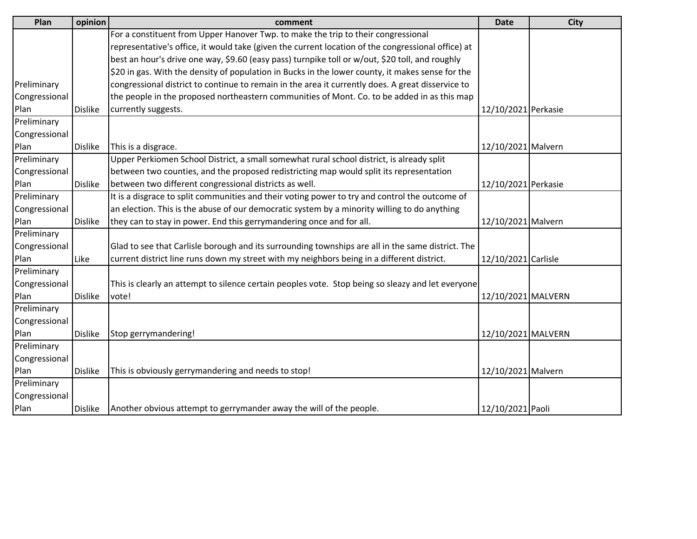| Plan          | opinion        | comment                                                                                            | <b>Date</b>         | <b>City</b> |
|---------------|----------------|----------------------------------------------------------------------------------------------------|---------------------|-------------|
|               |                | For a constituent from Upper Hanover Twp. to make the trip to their congressional                  |                     |             |
|               |                | representative's office, it would take (given the current location of the congressional office) at |                     |             |
|               |                | best an hour's drive one way, \$9.60 (easy pass) turnpike toll or w/out, \$20 toll, and roughly    |                     |             |
|               |                | \$20 in gas. With the density of population in Bucks in the lower county, it makes sense for the   |                     |             |
| Preliminary   |                | congressional district to continue to remain in the area it currently does. A great disservice to  |                     |             |
| Congressional |                | the people in the proposed northeastern communities of Mont. Co. to be added in as this map        |                     |             |
| Plan          | <b>Dislike</b> | currently suggests.                                                                                | 12/10/2021 Perkasie |             |
| Preliminary   |                |                                                                                                    |                     |             |
| Congressional |                |                                                                                                    |                     |             |
| Plan          | <b>Dislike</b> | This is a disgrace.                                                                                | 12/10/2021 Malvern  |             |
| Preliminary   |                | Upper Perkiomen School District, a small somewhat rural school district, is already split          |                     |             |
| Congressional |                | between two counties, and the proposed redistricting map would split its representation            |                     |             |
| Plan          | <b>Dislike</b> | between two different congressional districts as well.                                             | 12/10/2021 Perkasie |             |
| Preliminary   |                | It is a disgrace to split communities and their voting power to try and control the outcome of     |                     |             |
| Congressional |                | an election. This is the abuse of our democratic system by a minority willing to do anything       |                     |             |
| Plan          | <b>Dislike</b> | they can to stay in power. End this gerrymandering once and for all.                               | 12/10/2021 Malvern  |             |
| Preliminary   |                |                                                                                                    |                     |             |
| Congressional |                | Glad to see that Carlisle borough and its surrounding townships are all in the same district. The  |                     |             |
| Plan          | Like           | current district line runs down my street with my neighbors being in a different district.         | 12/10/2021 Carlisle |             |
| Preliminary   |                |                                                                                                    |                     |             |
| Congressional |                | This is clearly an attempt to silence certain peoples vote. Stop being so sleazy and let everyone  |                     |             |
| Plan          | <b>Dislike</b> | vote!                                                                                              | 12/10/2021 MALVERN  |             |
| Preliminary   |                |                                                                                                    |                     |             |
| Congressional |                |                                                                                                    |                     |             |
| Plan          | <b>Dislike</b> | Stop gerrymandering!                                                                               | 12/10/2021 MALVERN  |             |
| Preliminary   |                |                                                                                                    |                     |             |
| Congressional |                |                                                                                                    |                     |             |
| Plan          | <b>Dislike</b> | This is obviously gerrymandering and needs to stop!                                                | 12/10/2021 Malvern  |             |
| Preliminary   |                |                                                                                                    |                     |             |
| Congressional |                |                                                                                                    |                     |             |
| Plan          | <b>Dislike</b> | Another obvious attempt to gerrymander away the will of the people.                                | 12/10/2021 Paoli    |             |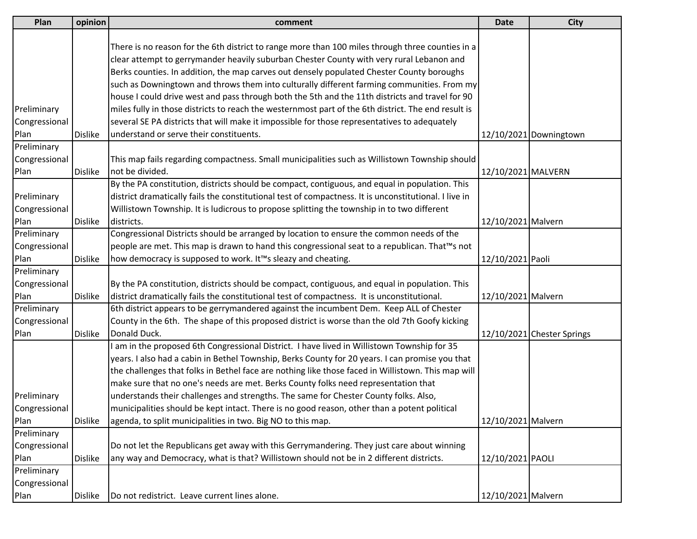| Plan          | opinion        | comment                                                                                               | <b>Date</b>        | <b>City</b>                |
|---------------|----------------|-------------------------------------------------------------------------------------------------------|--------------------|----------------------------|
|               |                |                                                                                                       |                    |                            |
|               |                | There is no reason for the 6th district to range more than 100 miles through three counties in a      |                    |                            |
|               |                | clear attempt to gerrymander heavily suburban Chester County with very rural Lebanon and              |                    |                            |
|               |                | Berks counties. In addition, the map carves out densely populated Chester County boroughs             |                    |                            |
|               |                | such as Downingtown and throws them into culturally different farming communities. From my            |                    |                            |
|               |                | house I could drive west and pass through both the 5th and the 11th districts and travel for 90       |                    |                            |
| Preliminary   |                | miles fully in those districts to reach the westernmost part of the 6th district. The end result is   |                    |                            |
| Congressional |                | several SE PA districts that will make it impossible for those representatives to adequately          |                    |                            |
| Plan          | <b>Dislike</b> | understand or serve their constituents.                                                               |                    | 12/10/2021 Downingtown     |
| Preliminary   |                |                                                                                                       |                    |                            |
| Congressional |                | This map fails regarding compactness. Small municipalities such as Willistown Township should         |                    |                            |
| Plan          | <b>Dislike</b> | not be divided.                                                                                       | 12/10/2021 MALVERN |                            |
|               |                | By the PA constitution, districts should be compact, contiguous, and equal in population. This        |                    |                            |
| Preliminary   |                | district dramatically fails the constitutional test of compactness. It is unconstitutional. I live in |                    |                            |
| Congressional |                | Willistown Township. It is ludicrous to propose splitting the township in to two different            |                    |                            |
| Plan          | <b>Dislike</b> | districts.                                                                                            | 12/10/2021 Malvern |                            |
| Preliminary   |                | Congressional Districts should be arranged by location to ensure the common needs of the              |                    |                            |
| Congressional |                | people are met. This map is drawn to hand this congressional seat to a republican. That™s not         |                    |                            |
| Plan          | <b>Dislike</b> | how democracy is supposed to work. It™s sleazy and cheating.                                          | 12/10/2021 Paoli   |                            |
| Preliminary   |                |                                                                                                       |                    |                            |
| Congressional |                | By the PA constitution, districts should be compact, contiguous, and equal in population. This        |                    |                            |
| Plan          | <b>Dislike</b> | district dramatically fails the constitutional test of compactness. It is unconstitutional.           | 12/10/2021 Malvern |                            |
| Preliminary   |                | 6th district appears to be gerrymandered against the incumbent Dem. Keep ALL of Chester               |                    |                            |
| Congressional |                | County in the 6th. The shape of this proposed district is worse than the old 7th Goofy kicking        |                    |                            |
| Plan          | <b>Dislike</b> | Donald Duck.                                                                                          |                    | 12/10/2021 Chester Springs |
|               |                | am in the proposed 6th Congressional District. I have lived in Willistown Township for 35             |                    |                            |
|               |                | years. I also had a cabin in Bethel Township, Berks County for 20 years. I can promise you that       |                    |                            |
|               |                | the challenges that folks in Bethel face are nothing like those faced in Willistown. This map will    |                    |                            |
|               |                | make sure that no one's needs are met. Berks County folks need representation that                    |                    |                            |
| Preliminary   |                | understands their challenges and strengths. The same for Chester County folks. Also,                  |                    |                            |
| Congressional |                | municipalities should be kept intact. There is no good reason, other than a potent political          |                    |                            |
| Plan          | <b>Dislike</b> | agenda, to split municipalities in two. Big NO to this map.                                           | 12/10/2021 Malvern |                            |
| Preliminary   |                |                                                                                                       |                    |                            |
| Congressional |                | Do not let the Republicans get away with this Gerrymandering. They just care about winning            |                    |                            |
| Plan          | <b>Dislike</b> | any way and Democracy, what is that? Willistown should not be in 2 different districts.               | 12/10/2021 PAOLI   |                            |
| Preliminary   |                |                                                                                                       |                    |                            |
| Congressional |                |                                                                                                       |                    |                            |
| Plan          | <b>Dislike</b> | Do not redistrict. Leave current lines alone.                                                         | 12/10/2021 Malvern |                            |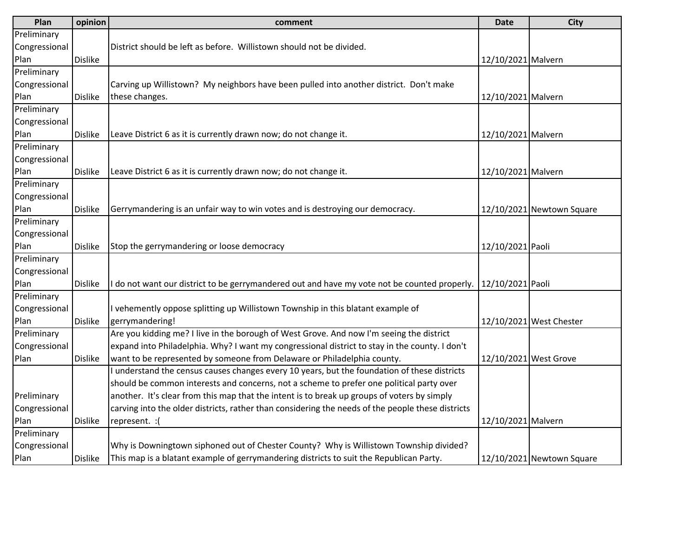| Plan          | opinion        | comment                                                                                           | <b>Date</b>           | <b>City</b>               |
|---------------|----------------|---------------------------------------------------------------------------------------------------|-----------------------|---------------------------|
| Preliminary   |                |                                                                                                   |                       |                           |
| Congressional |                | District should be left as before. Willistown should not be divided.                              |                       |                           |
| Plan          | Dislike        |                                                                                                   | 12/10/2021 Malvern    |                           |
| Preliminary   |                |                                                                                                   |                       |                           |
| Congressional |                | Carving up Willistown? My neighbors have been pulled into another district. Don't make            |                       |                           |
| Plan          | <b>Dislike</b> | these changes.                                                                                    | 12/10/2021 Malvern    |                           |
| Preliminary   |                |                                                                                                   |                       |                           |
| Congressional |                |                                                                                                   |                       |                           |
| Plan          | <b>Dislike</b> | Leave District 6 as it is currently drawn now; do not change it.                                  | 12/10/2021 Malvern    |                           |
| Preliminary   |                |                                                                                                   |                       |                           |
| Congressional |                |                                                                                                   |                       |                           |
| Plan          | <b>Dislike</b> | Leave District 6 as it is currently drawn now; do not change it.                                  | 12/10/2021 Malvern    |                           |
| Preliminary   |                |                                                                                                   |                       |                           |
| Congressional |                |                                                                                                   |                       |                           |
| Plan          | <b>Dislike</b> | Gerrymandering is an unfair way to win votes and is destroying our democracy.                     |                       | 12/10/2021 Newtown Square |
| Preliminary   |                |                                                                                                   |                       |                           |
| Congressional |                |                                                                                                   |                       |                           |
| Plan          | <b>Dislike</b> | Stop the gerrymandering or loose democracy                                                        | 12/10/2021 Paoli      |                           |
| Preliminary   |                |                                                                                                   |                       |                           |
| Congressional |                |                                                                                                   |                       |                           |
| Plan          | Dislike        | I do not want our district to be gerrymandered out and have my vote not be counted properly.      | 12/10/2021 Paoli      |                           |
| Preliminary   |                |                                                                                                   |                       |                           |
| Congressional |                | I vehemently oppose splitting up Willistown Township in this blatant example of                   |                       |                           |
| Plan          | <b>Dislike</b> | gerrymandering!                                                                                   |                       | 12/10/2021 West Chester   |
| Preliminary   |                | Are you kidding me? I live in the borough of West Grove. And now I'm seeing the district          |                       |                           |
| Congressional |                | expand into Philadelphia. Why? I want my congressional district to stay in the county. I don't    |                       |                           |
| Plan          | Dislike        | want to be represented by someone from Delaware or Philadelphia county.                           | 12/10/2021 West Grove |                           |
|               |                | I understand the census causes changes every 10 years, but the foundation of these districts      |                       |                           |
|               |                | should be common interests and concerns, not a scheme to prefer one political party over          |                       |                           |
| Preliminary   |                | another. It's clear from this map that the intent is to break up groups of voters by simply       |                       |                           |
| Congressional |                | carving into the older districts, rather than considering the needs of the people these districts |                       |                           |
| Plan          | <b>Dislike</b> | represent. : (                                                                                    | 12/10/2021 Malvern    |                           |
| Preliminary   |                |                                                                                                   |                       |                           |
| Congressional |                | Why is Downingtown siphoned out of Chester County? Why is Willistown Township divided?            |                       |                           |
| Plan          | <b>Dislike</b> | This map is a blatant example of gerrymandering districts to suit the Republican Party.           |                       | 12/10/2021 Newtown Square |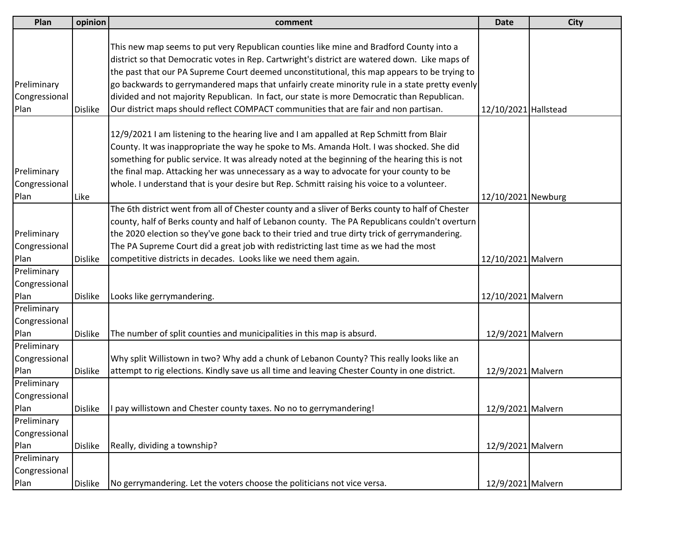| Plan          | opinion        | comment                                                                                          | <b>Date</b>          | <b>City</b> |
|---------------|----------------|--------------------------------------------------------------------------------------------------|----------------------|-------------|
|               |                |                                                                                                  |                      |             |
|               |                | This new map seems to put very Republican counties like mine and Bradford County into a          |                      |             |
|               |                | district so that Democratic votes in Rep. Cartwright's district are watered down. Like maps of   |                      |             |
|               |                | the past that our PA Supreme Court deemed unconstitutional, this map appears to be trying to     |                      |             |
| Preliminary   |                | go backwards to gerrymandered maps that unfairly create minority rule in a state pretty evenly   |                      |             |
| Congressional |                | divided and not majority Republican. In fact, our state is more Democratic than Republican.      |                      |             |
| Plan          | <b>Dislike</b> | Our district maps should reflect COMPACT communities that are fair and non partisan.             | 12/10/2021 Hallstead |             |
|               |                |                                                                                                  |                      |             |
|               |                | 12/9/2021 I am listening to the hearing live and I am appalled at Rep Schmitt from Blair         |                      |             |
|               |                | County. It was inappropriate the way he spoke to Ms. Amanda Holt. I was shocked. She did         |                      |             |
|               |                | something for public service. It was already noted at the beginning of the hearing this is not   |                      |             |
| Preliminary   |                | the final map. Attacking her was unnecessary as a way to advocate for your county to be          |                      |             |
| Congressional |                | whole. I understand that is your desire but Rep. Schmitt raising his voice to a volunteer.       |                      |             |
| Plan          | Like           |                                                                                                  | 12/10/2021 Newburg   |             |
|               |                | The 6th district went from all of Chester county and a sliver of Berks county to half of Chester |                      |             |
|               |                | county, half of Berks county and half of Lebanon county. The PA Republicans couldn't overturn    |                      |             |
| Preliminary   |                | the 2020 election so they've gone back to their tried and true dirty trick of gerrymandering.    |                      |             |
| Congressional |                | The PA Supreme Court did a great job with redistricting last time as we had the most             |                      |             |
| Plan          | <b>Dislike</b> | competitive districts in decades. Looks like we need them again.                                 | 12/10/2021 Malvern   |             |
| Preliminary   |                |                                                                                                  |                      |             |
| Congressional |                |                                                                                                  |                      |             |
| Plan          | <b>Dislike</b> | Looks like gerrymandering.                                                                       | 12/10/2021 Malvern   |             |
| Preliminary   |                |                                                                                                  |                      |             |
| Congressional |                |                                                                                                  |                      |             |
| Plan          | <b>Dislike</b> | The number of split counties and municipalities in this map is absurd.                           | 12/9/2021 Malvern    |             |
| Preliminary   |                |                                                                                                  |                      |             |
| Congressional |                | Why split Willistown in two? Why add a chunk of Lebanon County? This really looks like an        |                      |             |
| Plan          | <b>Dislike</b> | attempt to rig elections. Kindly save us all time and leaving Chester County in one district.    | 12/9/2021 Malvern    |             |
| Preliminary   |                |                                                                                                  |                      |             |
| Congressional |                |                                                                                                  |                      |             |
| Plan          | <b>Dislike</b> | I pay willistown and Chester county taxes. No no to gerrymandering!                              | 12/9/2021 Malvern    |             |
| Preliminary   |                |                                                                                                  |                      |             |
| Congressional |                |                                                                                                  |                      |             |
| Plan          | <b>Dislike</b> | Really, dividing a township?                                                                     | 12/9/2021 Malvern    |             |
| Preliminary   |                |                                                                                                  |                      |             |
| Congressional |                |                                                                                                  |                      |             |
| Plan          | <b>Dislike</b> | No gerrymandering. Let the voters choose the politicians not vice versa.                         | 12/9/2021 Malvern    |             |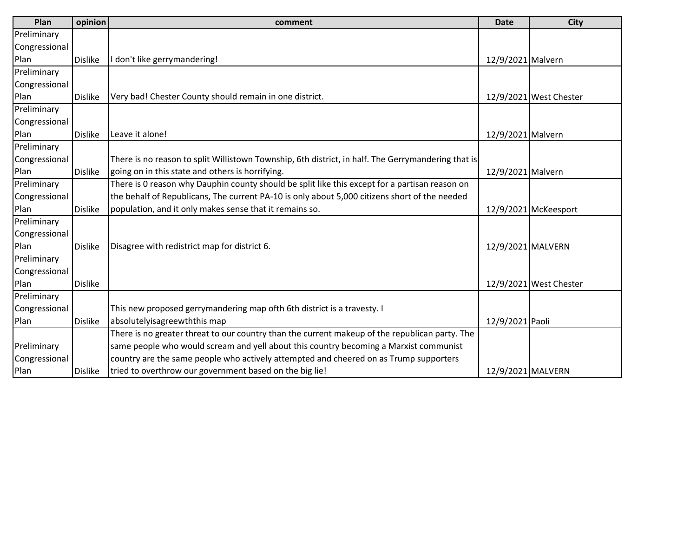| Plan          | opinion        | comment                                                                                            | <b>Date</b>       | <b>City</b>            |
|---------------|----------------|----------------------------------------------------------------------------------------------------|-------------------|------------------------|
| Preliminary   |                |                                                                                                    |                   |                        |
| Congressional |                |                                                                                                    |                   |                        |
| Plan          | <b>Dislike</b> | don't like gerrymandering!                                                                         | 12/9/2021 Malvern |                        |
| Preliminary   |                |                                                                                                    |                   |                        |
| Congressional |                |                                                                                                    |                   |                        |
| Plan          | Dislike        | Very bad! Chester County should remain in one district.                                            |                   | 12/9/2021 West Chester |
| Preliminary   |                |                                                                                                    |                   |                        |
| Congressional |                |                                                                                                    |                   |                        |
| Plan          | <b>Dislike</b> | Leave it alone!                                                                                    | 12/9/2021 Malvern |                        |
| Preliminary   |                |                                                                                                    |                   |                        |
| Congressional |                | There is no reason to split Willistown Township, 6th district, in half. The Gerrymandering that is |                   |                        |
| Plan          | <b>Dislike</b> | going on in this state and others is horrifying.                                                   | 12/9/2021 Malvern |                        |
| Preliminary   |                | There is 0 reason why Dauphin county should be split like this except for a partisan reason on     |                   |                        |
| Congressional |                | the behalf of Republicans, The current PA-10 is only about 5,000 citizens short of the needed      |                   |                        |
| Plan          | <b>Dislike</b> | population, and it only makes sense that it remains so.                                            |                   | 12/9/2021 McKeesport   |
| Preliminary   |                |                                                                                                    |                   |                        |
| Congressional |                |                                                                                                    |                   |                        |
| Plan          | <b>Dislike</b> | Disagree with redistrict map for district 6.                                                       | 12/9/2021 MALVERN |                        |
| Preliminary   |                |                                                                                                    |                   |                        |
| Congressional |                |                                                                                                    |                   |                        |
| Plan          | <b>Dislike</b> |                                                                                                    |                   | 12/9/2021 West Chester |
| Preliminary   |                |                                                                                                    |                   |                        |
| Congressional |                | This new proposed gerrymandering map ofth 6th district is a travesty. I                            |                   |                        |
| Plan          | <b>Dislike</b> | absolutelyisagreewththis map                                                                       | 12/9/2021 Paoli   |                        |
|               |                | There is no greater threat to our country than the current makeup of the republican party. The     |                   |                        |
| Preliminary   |                | same people who would scream and yell about this country becoming a Marxist communist              |                   |                        |
| Congressional |                | country are the same people who actively attempted and cheered on as Trump supporters              |                   |                        |
| Plan          | <b>Dislike</b> | tried to overthrow our government based on the big lie!                                            | 12/9/2021 MALVERN |                        |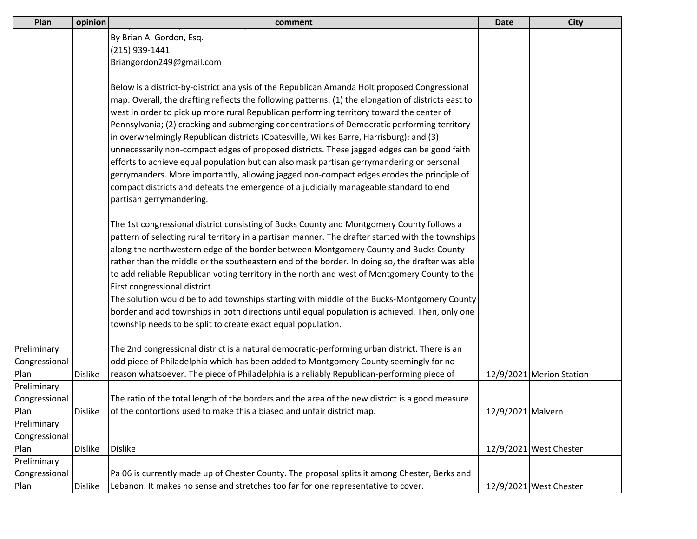| Plan                                 | opinion        | comment                                                                                                                                                                                                                                                                                                                                                                                                                                                                                                                                                                                                                                                                                                                                                                                                                                                                                                                                                                              | <b>Date</b>       | <b>City</b>              |
|--------------------------------------|----------------|--------------------------------------------------------------------------------------------------------------------------------------------------------------------------------------------------------------------------------------------------------------------------------------------------------------------------------------------------------------------------------------------------------------------------------------------------------------------------------------------------------------------------------------------------------------------------------------------------------------------------------------------------------------------------------------------------------------------------------------------------------------------------------------------------------------------------------------------------------------------------------------------------------------------------------------------------------------------------------------|-------------------|--------------------------|
|                                      |                | By Brian A. Gordon, Esq.                                                                                                                                                                                                                                                                                                                                                                                                                                                                                                                                                                                                                                                                                                                                                                                                                                                                                                                                                             |                   |                          |
|                                      |                | (215) 939-1441                                                                                                                                                                                                                                                                                                                                                                                                                                                                                                                                                                                                                                                                                                                                                                                                                                                                                                                                                                       |                   |                          |
|                                      |                | Briangordon249@gmail.com                                                                                                                                                                                                                                                                                                                                                                                                                                                                                                                                                                                                                                                                                                                                                                                                                                                                                                                                                             |                   |                          |
|                                      |                | Below is a district-by-district analysis of the Republican Amanda Holt proposed Congressional<br>map. Overall, the drafting reflects the following patterns: (1) the elongation of districts east to<br>west in order to pick up more rural Republican performing territory toward the center of<br>Pennsylvania; (2) cracking and submerging concentrations of Democratic performing territory<br>in overwhelmingly Republican districts (Coatesville, Wilkes Barre, Harrisburg); and (3)<br>unnecessarily non-compact edges of proposed districts. These jagged edges can be good faith<br>efforts to achieve equal population but can also mask partisan gerrymandering or personal<br>gerrymanders. More importantly, allowing jagged non-compact edges erodes the principle of<br>compact districts and defeats the emergence of a judicially manageable standard to end<br>partisan gerrymandering.                                                                            |                   |                          |
| Preliminary<br>Congressional         |                | The 1st congressional district consisting of Bucks County and Montgomery County follows a<br>pattern of selecting rural territory in a partisan manner. The drafter started with the townships<br>along the northwestern edge of the border between Montgomery County and Bucks County<br>rather than the middle or the southeastern end of the border. In doing so, the drafter was able<br>to add reliable Republican voting territory in the north and west of Montgomery County to the<br>First congressional district.<br>The solution would be to add townships starting with middle of the Bucks-Montgomery County<br>border and add townships in both directions until equal population is achieved. Then, only one<br>township needs to be split to create exact equal population.<br>The 2nd congressional district is a natural democratic-performing urban district. There is an<br>odd piece of Philadelphia which has been added to Montgomery County seemingly for no |                   |                          |
| Plan                                 | <b>Dislike</b> | reason whatsoever. The piece of Philadelphia is a reliably Republican-performing piece of                                                                                                                                                                                                                                                                                                                                                                                                                                                                                                                                                                                                                                                                                                                                                                                                                                                                                            |                   | 12/9/2021 Merion Station |
| Preliminary<br>Congressional<br>Plan | <b>Dislike</b> | The ratio of the total length of the borders and the area of the new district is a good measure<br>of the contortions used to make this a biased and unfair district map.                                                                                                                                                                                                                                                                                                                                                                                                                                                                                                                                                                                                                                                                                                                                                                                                            | 12/9/2021 Malvern |                          |
| Preliminary                          |                |                                                                                                                                                                                                                                                                                                                                                                                                                                                                                                                                                                                                                                                                                                                                                                                                                                                                                                                                                                                      |                   |                          |
| Congressional                        |                |                                                                                                                                                                                                                                                                                                                                                                                                                                                                                                                                                                                                                                                                                                                                                                                                                                                                                                                                                                                      |                   |                          |
| Plan                                 | <b>Dislike</b> | <b>Dislike</b>                                                                                                                                                                                                                                                                                                                                                                                                                                                                                                                                                                                                                                                                                                                                                                                                                                                                                                                                                                       |                   | 12/9/2021 West Chester   |
| Preliminary                          |                |                                                                                                                                                                                                                                                                                                                                                                                                                                                                                                                                                                                                                                                                                                                                                                                                                                                                                                                                                                                      |                   |                          |
| Congressional                        |                | Pa 06 is currently made up of Chester County. The proposal splits it among Chester, Berks and                                                                                                                                                                                                                                                                                                                                                                                                                                                                                                                                                                                                                                                                                                                                                                                                                                                                                        |                   |                          |
| Plan                                 | <b>Dislike</b> | Lebanon. It makes no sense and stretches too far for one representative to cover.                                                                                                                                                                                                                                                                                                                                                                                                                                                                                                                                                                                                                                                                                                                                                                                                                                                                                                    |                   | 12/9/2021 West Chester   |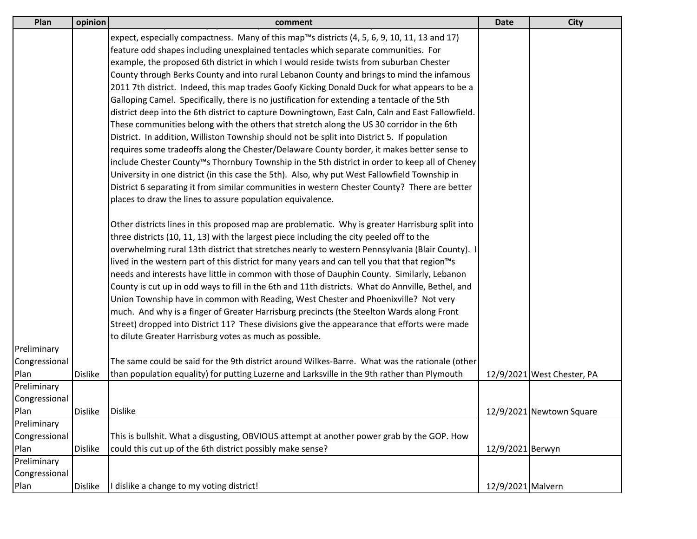| Plan          | opinion        | comment                                                                                                     | <b>Date</b>       | <b>City</b>                |
|---------------|----------------|-------------------------------------------------------------------------------------------------------------|-------------------|----------------------------|
|               |                | expect, especially compactness. Many of this map $\text{M}$ s districts (4, 5, 6, 9, 10, 11, 13 and 17)     |                   |                            |
|               |                | feature odd shapes including unexplained tentacles which separate communities. For                          |                   |                            |
|               |                | example, the proposed 6th district in which I would reside twists from suburban Chester                     |                   |                            |
|               |                | County through Berks County and into rural Lebanon County and brings to mind the infamous                   |                   |                            |
|               |                | 2011 7th district. Indeed, this map trades Goofy Kicking Donald Duck for what appears to be a               |                   |                            |
|               |                | Galloping Camel. Specifically, there is no justification for extending a tentacle of the 5th                |                   |                            |
|               |                | district deep into the 6th district to capture Downingtown, East Caln, Caln and East Fallowfield.           |                   |                            |
|               |                | These communities belong with the others that stretch along the US 30 corridor in the 6th                   |                   |                            |
|               |                | District. In addition, Williston Township should not be split into District 5. If population                |                   |                            |
|               |                | requires some tradeoffs along the Chester/Delaware County border, it makes better sense to                  |                   |                            |
|               |                | include Chester County <sup>™</sup> s Thornbury Township in the 5th district in order to keep all of Cheney |                   |                            |
|               |                | University in one district (in this case the 5th). Also, why put West Fallowfield Township in               |                   |                            |
|               |                | District 6 separating it from similar communities in western Chester County? There are better               |                   |                            |
|               |                | places to draw the lines to assure population equivalence.                                                  |                   |                            |
|               |                | Other districts lines in this proposed map are problematic. Why is greater Harrisburg split into            |                   |                            |
|               |                | three districts (10, 11, 13) with the largest piece including the city peeled off to the                    |                   |                            |
|               |                | overwhelming rural 13th district that stretches nearly to western Pennsylvania (Blair County).              |                   |                            |
|               |                | lived in the western part of this district for many years and can tell you that that region™s               |                   |                            |
|               |                | needs and interests have little in common with those of Dauphin County. Similarly, Lebanon                  |                   |                            |
|               |                | County is cut up in odd ways to fill in the 6th and 11th districts. What do Annville, Bethel, and           |                   |                            |
|               |                | Union Township have in common with Reading, West Chester and Phoenixville? Not very                         |                   |                            |
|               |                | much. And why is a finger of Greater Harrisburg precincts (the Steelton Wards along Front                   |                   |                            |
|               |                | Street) dropped into District 11? These divisions give the appearance that efforts were made                |                   |                            |
|               |                | to dilute Greater Harrisburg votes as much as possible.                                                     |                   |                            |
| Preliminary   |                |                                                                                                             |                   |                            |
| Congressional |                | The same could be said for the 9th district around Wilkes-Barre. What was the rationale (other              |                   |                            |
| Plan          | <b>Dislike</b> | than population equality) for putting Luzerne and Larksville in the 9th rather than Plymouth                |                   | 12/9/2021 West Chester, PA |
| Preliminary   |                |                                                                                                             |                   |                            |
| Congressional |                |                                                                                                             |                   |                            |
| Plan          | <b>Dislike</b> | <b>Dislike</b>                                                                                              |                   | 12/9/2021 Newtown Square   |
| Preliminary   |                |                                                                                                             |                   |                            |
| Congressional |                | This is bullshit. What a disgusting, OBVIOUS attempt at another power grab by the GOP. How                  |                   |                            |
| Plan          | <b>Dislike</b> | could this cut up of the 6th district possibly make sense?                                                  | 12/9/2021 Berwyn  |                            |
| Preliminary   |                |                                                                                                             |                   |                            |
| Congressional |                |                                                                                                             |                   |                            |
| Plan          | <b>Dislike</b> | I dislike a change to my voting district!                                                                   | 12/9/2021 Malvern |                            |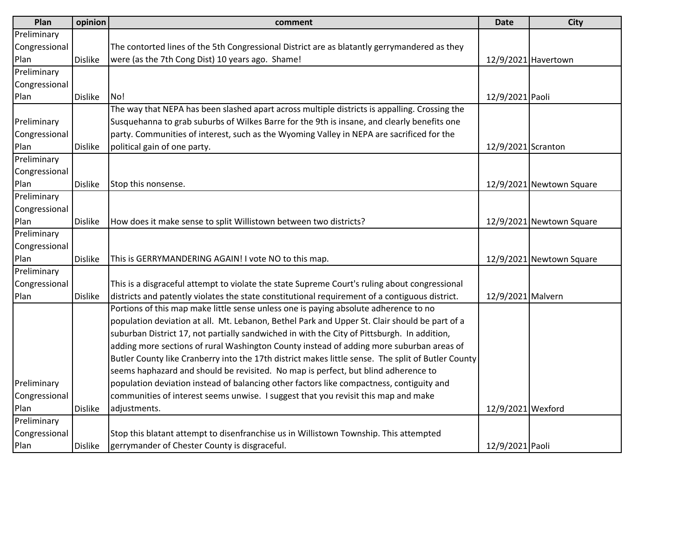| Plan          | opinion        | comment                                                                                            | <b>Date</b>         | <b>City</b>              |
|---------------|----------------|----------------------------------------------------------------------------------------------------|---------------------|--------------------------|
| Preliminary   |                |                                                                                                    |                     |                          |
| Congressional |                | The contorted lines of the 5th Congressional District are as blatantly gerrymandered as they       |                     |                          |
| Plan          | <b>Dislike</b> | were (as the 7th Cong Dist) 10 years ago. Shame!                                                   | 12/9/2021 Havertown |                          |
| Preliminary   |                |                                                                                                    |                     |                          |
| Congressional |                |                                                                                                    |                     |                          |
| Plan          | <b>Dislike</b> | No!                                                                                                | 12/9/2021 Paoli     |                          |
|               |                | The way that NEPA has been slashed apart across multiple districts is appalling. Crossing the      |                     |                          |
| Preliminary   |                | Susquehanna to grab suburbs of Wilkes Barre for the 9th is insane, and clearly benefits one        |                     |                          |
| Congressional |                | party. Communities of interest, such as the Wyoming Valley in NEPA are sacrificed for the          |                     |                          |
| Plan          | <b>Dislike</b> | political gain of one party.                                                                       | 12/9/2021 Scranton  |                          |
| Preliminary   |                |                                                                                                    |                     |                          |
| Congressional |                |                                                                                                    |                     |                          |
| Plan          | <b>Dislike</b> | Stop this nonsense.                                                                                |                     | 12/9/2021 Newtown Square |
| Preliminary   |                |                                                                                                    |                     |                          |
| Congressional |                |                                                                                                    |                     |                          |
| Plan          | <b>Dislike</b> | How does it make sense to split Willistown between two districts?                                  |                     | 12/9/2021 Newtown Square |
| Preliminary   |                |                                                                                                    |                     |                          |
| Congressional |                |                                                                                                    |                     |                          |
| Plan          | <b>Dislike</b> | This is GERRYMANDERING AGAIN! I vote NO to this map.                                               |                     | 12/9/2021 Newtown Square |
| Preliminary   |                |                                                                                                    |                     |                          |
| Congressional |                | This is a disgraceful attempt to violate the state Supreme Court's ruling about congressional      |                     |                          |
| Plan          | <b>Dislike</b> | districts and patently violates the state constitutional requirement of a contiguous district.     | 12/9/2021 Malvern   |                          |
|               |                | Portions of this map make little sense unless one is paying absolute adherence to no               |                     |                          |
|               |                | population deviation at all. Mt. Lebanon, Bethel Park and Upper St. Clair should be part of a      |                     |                          |
|               |                | suburban District 17, not partially sandwiched in with the City of Pittsburgh. In addition,        |                     |                          |
|               |                | adding more sections of rural Washington County instead of adding more suburban areas of           |                     |                          |
|               |                | Butler County like Cranberry into the 17th district makes little sense. The split of Butler County |                     |                          |
|               |                | seems haphazard and should be revisited. No map is perfect, but blind adherence to                 |                     |                          |
| Preliminary   |                | population deviation instead of balancing other factors like compactness, contiguity and           |                     |                          |
| Congressional |                | communities of interest seems unwise. I suggest that you revisit this map and make                 |                     |                          |
| Plan          | <b>Dislike</b> | adjustments.                                                                                       | 12/9/2021 Wexford   |                          |
| Preliminary   |                |                                                                                                    |                     |                          |
| Congressional |                | Stop this blatant attempt to disenfranchise us in Willistown Township. This attempted              |                     |                          |
| Plan          | <b>Dislike</b> | gerrymander of Chester County is disgraceful.                                                      | 12/9/2021 Paoli     |                          |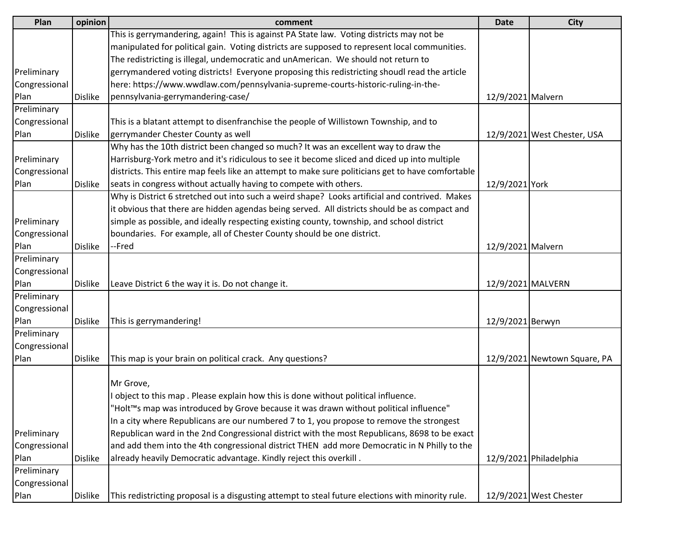| Plan          | opinion        | comment                                                                                           | <b>Date</b>       | <b>City</b>                  |
|---------------|----------------|---------------------------------------------------------------------------------------------------|-------------------|------------------------------|
|               |                | This is gerrymandering, again! This is against PA State law. Voting districts may not be          |                   |                              |
|               |                | manipulated for political gain. Voting districts are supposed to represent local communities.     |                   |                              |
|               |                | The redistricting is illegal, undemocratic and unAmerican. We should not return to                |                   |                              |
| Preliminary   |                | gerrymandered voting districts! Everyone proposing this redistricting shoudl read the article     |                   |                              |
| Congressional |                | here: https://www.wwdlaw.com/pennsylvania-supreme-courts-historic-ruling-in-the-                  |                   |                              |
| Plan          | <b>Dislike</b> | pennsylvania-gerrymandering-case/                                                                 | 12/9/2021 Malvern |                              |
| Preliminary   |                |                                                                                                   |                   |                              |
| Congressional |                | This is a blatant attempt to disenfranchise the people of Willistown Township, and to             |                   |                              |
| Plan          | <b>Dislike</b> | gerrymander Chester County as well                                                                |                   | 12/9/2021 West Chester, USA  |
|               |                | Why has the 10th district been changed so much? It was an excellent way to draw the               |                   |                              |
| Preliminary   |                | Harrisburg-York metro and it's ridiculous to see it become sliced and diced up into multiple      |                   |                              |
| Congressional |                | districts. This entire map feels like an attempt to make sure politicians get to have comfortable |                   |                              |
| Plan          | <b>Dislike</b> | seats in congress without actually having to compete with others.                                 | 12/9/2021 York    |                              |
|               |                | Why is District 6 stretched out into such a weird shape? Looks artificial and contrived. Makes    |                   |                              |
|               |                | it obvious that there are hidden agendas being served. All districts should be as compact and     |                   |                              |
| Preliminary   |                | simple as possible, and ideally respecting existing county, township, and school district         |                   |                              |
| Congressional |                | boundaries. For example, all of Chester County should be one district.                            |                   |                              |
| Plan          | <b>Dislike</b> | --Fred                                                                                            | 12/9/2021 Malvern |                              |
| Preliminary   |                |                                                                                                   |                   |                              |
| Congressional |                |                                                                                                   |                   |                              |
| Plan          | <b>Dislike</b> | Leave District 6 the way it is. Do not change it.                                                 | 12/9/2021 MALVERN |                              |
| Preliminary   |                |                                                                                                   |                   |                              |
| Congressional |                |                                                                                                   |                   |                              |
| Plan          | <b>Dislike</b> | This is gerrymandering!                                                                           | 12/9/2021 Berwyn  |                              |
| Preliminary   |                |                                                                                                   |                   |                              |
| Congressional |                |                                                                                                   |                   |                              |
| Plan          | <b>Dislike</b> | This map is your brain on political crack. Any questions?                                         |                   | 12/9/2021 Newtown Square, PA |
|               |                |                                                                                                   |                   |                              |
|               |                | Mr Grove,                                                                                         |                   |                              |
|               |                | I object to this map. Please explain how this is done without political influence.                |                   |                              |
|               |                | "Holt™s map was introduced by Grove because it was drawn without political influence"             |                   |                              |
|               |                | In a city where Republicans are our numbered 7 to 1, you propose to remove the strongest          |                   |                              |
| Preliminary   |                | Republican ward in the 2nd Congressional district with the most Republicans, 8698 to be exact     |                   |                              |
| Congressional |                | and add them into the 4th congressional district THEN add more Democratic in N Philly to the      |                   |                              |
| Plan          | <b>Dislike</b> | already heavily Democratic advantage. Kindly reject this overkill.                                |                   | 12/9/2021 Philadelphia       |
| Preliminary   |                |                                                                                                   |                   |                              |
| Congressional |                |                                                                                                   |                   |                              |
| Plan          | <b>Dislike</b> | This redistricting proposal is a disgusting attempt to steal future elections with minority rule. |                   | 12/9/2021 West Chester       |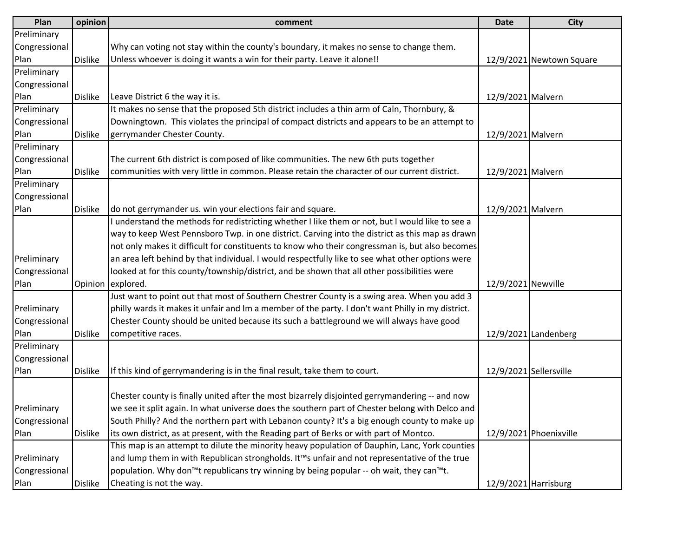| Plan          | opinion        | comment                                                                                             | <b>Date</b>            | <b>City</b>              |
|---------------|----------------|-----------------------------------------------------------------------------------------------------|------------------------|--------------------------|
| Preliminary   |                |                                                                                                     |                        |                          |
| Congressional |                | Why can voting not stay within the county's boundary, it makes no sense to change them.             |                        |                          |
| Plan          | <b>Dislike</b> | Unless whoever is doing it wants a win for their party. Leave it alone!!                            |                        | 12/9/2021 Newtown Square |
| Preliminary   |                |                                                                                                     |                        |                          |
| Congressional |                |                                                                                                     |                        |                          |
| Plan          | <b>Dislike</b> | Leave District 6 the way it is.                                                                     | 12/9/2021 Malvern      |                          |
| Preliminary   |                | It makes no sense that the proposed 5th district includes a thin arm of Caln, Thornbury, &          |                        |                          |
| Congressional |                | Downingtown. This violates the principal of compact districts and appears to be an attempt to       |                        |                          |
| Plan          | <b>Dislike</b> | gerrymander Chester County.                                                                         | 12/9/2021 Malvern      |                          |
| Preliminary   |                |                                                                                                     |                        |                          |
| Congressional |                | The current 6th district is composed of like communities. The new 6th puts together                 |                        |                          |
| Plan          | <b>Dislike</b> | communities with very little in common. Please retain the character of our current district.        | 12/9/2021 Malvern      |                          |
| Preliminary   |                |                                                                                                     |                        |                          |
| Congressional |                |                                                                                                     |                        |                          |
| Plan          | <b>Dislike</b> | do not gerrymander us. win your elections fair and square.                                          | 12/9/2021 Malvern      |                          |
|               |                | I understand the methods for redistricting whether I like them or not, but I would like to see a    |                        |                          |
|               |                | way to keep West Pennsboro Twp. in one district. Carving into the district as this map as drawn     |                        |                          |
|               |                | not only makes it difficult for constituents to know who their congressman is, but also becomes     |                        |                          |
| Preliminary   |                | an area left behind by that individual. I would respectfully like to see what other options were    |                        |                          |
| Congressional |                | looked at for this county/township/district, and be shown that all other possibilities were         |                        |                          |
| Plan          |                | Opinion explored.                                                                                   | 12/9/2021 Newville     |                          |
|               |                | Just want to point out that most of Southern Chestrer County is a swing area. When you add 3        |                        |                          |
| Preliminary   |                | philly wards it makes it unfair and Im a member of the party. I don't want Philly in my district.   |                        |                          |
| Congressional |                | Chester County should be united because its such a battleground we will always have good            |                        |                          |
| Plan          | <b>Dislike</b> | competitive races.                                                                                  |                        | 12/9/2021 Landenberg     |
| Preliminary   |                |                                                                                                     |                        |                          |
| Congressional |                |                                                                                                     |                        |                          |
| Plan          | <b>Dislike</b> | If this kind of gerrymandering is in the final result, take them to court.                          | 12/9/2021 Sellersville |                          |
|               |                |                                                                                                     |                        |                          |
|               |                | Chester county is finally united after the most bizarrely disjointed gerrymandering -- and now      |                        |                          |
| Preliminary   |                | we see it split again. In what universe does the southern part of Chester belong with Delco and     |                        |                          |
| Congressional |                | South Philly? And the northern part with Lebanon county? It's a big enough county to make up        |                        |                          |
| Plan          | <b>Dislike</b> | its own district, as at present, with the Reading part of Berks or with part of Montco.             |                        | 12/9/2021 Phoenixville   |
|               |                | This map is an attempt to dilute the minority heavy population of Dauphin, Lanc, York counties      |                        |                          |
| Preliminary   |                | and lump them in with Republican strongholds. It™s unfair and not representative of the true        |                        |                          |
| Congressional |                | population. Why don <sup>™</sup> t republicans try winning by being popular -- oh wait, they can™t. |                        |                          |
| Plan          | <b>Dislike</b> | Cheating is not the way.                                                                            | 12/9/2021 Harrisburg   |                          |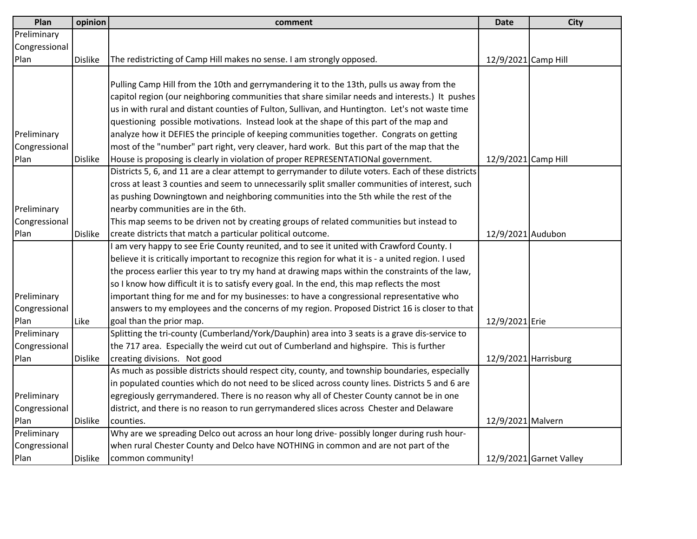| Plan          | opinion        | comment                                                                                              | <b>Date</b>          | <b>City</b>             |
|---------------|----------------|------------------------------------------------------------------------------------------------------|----------------------|-------------------------|
| Preliminary   |                |                                                                                                      |                      |                         |
| Congressional |                |                                                                                                      |                      |                         |
| Plan          | <b>Dislike</b> | The redistricting of Camp Hill makes no sense. I am strongly opposed.                                | 12/9/2021 Camp Hill  |                         |
|               |                |                                                                                                      |                      |                         |
|               |                | Pulling Camp Hill from the 10th and gerrymandering it to the 13th, pulls us away from the            |                      |                         |
|               |                | capitol region (our neighboring communities that share similar needs and interests.) It pushes       |                      |                         |
|               |                | us in with rural and distant counties of Fulton, Sullivan, and Huntington. Let's not waste time      |                      |                         |
|               |                | questioning possible motivations. Instead look at the shape of this part of the map and              |                      |                         |
| Preliminary   |                | analyze how it DEFIES the principle of keeping communities together. Congrats on getting             |                      |                         |
| Congressional |                | most of the "number" part right, very cleaver, hard work. But this part of the map that the          |                      |                         |
| Plan          | <b>Dislike</b> | House is proposing is clearly in violation of proper REPRESENTATIONal government.                    | 12/9/2021 Camp Hill  |                         |
|               |                | Districts 5, 6, and 11 are a clear attempt to gerrymander to dilute voters. Each of these districts  |                      |                         |
|               |                | cross at least 3 counties and seem to unnecessarily split smaller communities of interest, such      |                      |                         |
|               |                | as pushing Downingtown and neighboring communities into the 5th while the rest of the                |                      |                         |
| Preliminary   |                | nearby communities are in the 6th.                                                                   |                      |                         |
| Congressional |                | This map seems to be driven not by creating groups of related communities but instead to             |                      |                         |
| Plan          | <b>Dislike</b> | create districts that match a particular political outcome.                                          | 12/9/2021 Audubon    |                         |
|               |                | I am very happy to see Erie County reunited, and to see it united with Crawford County. I            |                      |                         |
|               |                | believe it is critically important to recognize this region for what it is - a united region. I used |                      |                         |
|               |                | the process earlier this year to try my hand at drawing maps within the constraints of the law,      |                      |                         |
|               |                | so I know how difficult it is to satisfy every goal. In the end, this map reflects the most          |                      |                         |
| Preliminary   |                | important thing for me and for my businesses: to have a congressional representative who             |                      |                         |
| Congressional |                | answers to my employees and the concerns of my region. Proposed District 16 is closer to that        |                      |                         |
| Plan          | Like           | goal than the prior map.                                                                             | 12/9/2021 Erie       |                         |
| Preliminary   |                | Splitting the tri-county (Cumberland/York/Dauphin) area into 3 seats is a grave dis-service to       |                      |                         |
| Congressional |                | the 717 area. Especially the weird cut out of Cumberland and highspire. This is further              |                      |                         |
| Plan          | <b>Dislike</b> | creating divisions. Not good                                                                         | 12/9/2021 Harrisburg |                         |
|               |                | As much as possible districts should respect city, county, and township boundaries, especially       |                      |                         |
|               |                | in populated counties which do not need to be sliced across county lines. Districts 5 and 6 are      |                      |                         |
| Preliminary   |                | egregiously gerrymandered. There is no reason why all of Chester County cannot be in one             |                      |                         |
| Congressional |                | district, and there is no reason to run gerrymandered slices across Chester and Delaware             |                      |                         |
| Plan          | <b>Dislike</b> | counties.                                                                                            | 12/9/2021 Malvern    |                         |
| Preliminary   |                | Why are we spreading Delco out across an hour long drive- possibly longer during rush hour-          |                      |                         |
| Congressional |                | when rural Chester County and Delco have NOTHING in common and are not part of the                   |                      |                         |
| Plan          | <b>Dislike</b> | common community!                                                                                    |                      | 12/9/2021 Garnet Valley |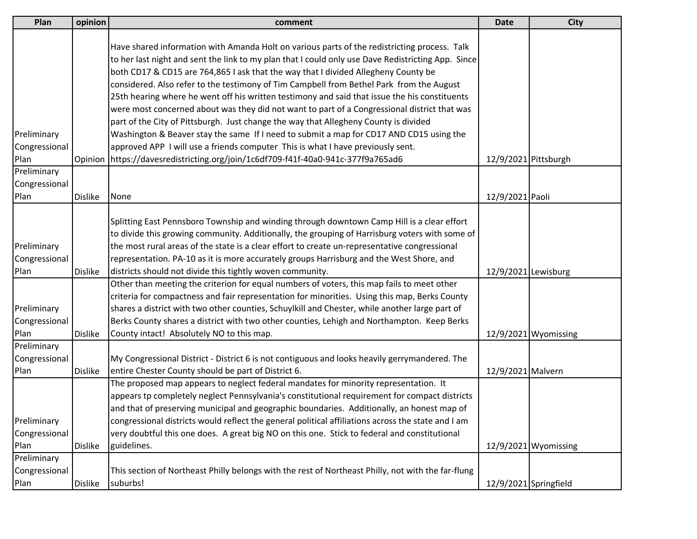| Plan                  | opinion        | comment                                                                                                                                                 | <b>Date</b>           | <b>City</b>          |
|-----------------------|----------------|---------------------------------------------------------------------------------------------------------------------------------------------------------|-----------------------|----------------------|
|                       |                |                                                                                                                                                         |                       |                      |
|                       |                | Have shared information with Amanda Holt on various parts of the redistricting process. Talk                                                            |                       |                      |
|                       |                | to her last night and sent the link to my plan that I could only use Dave Redistricting App. Since                                                      |                       |                      |
|                       |                | both CD17 & CD15 are 764,865 I ask that the way that I divided Allegheny County be                                                                      |                       |                      |
|                       |                | considered. Also refer to the testimony of Tim Campbell from Bethel Park from the August                                                                |                       |                      |
|                       |                | 25th hearing where he went off his written testimony and said that issue the his constituents                                                           |                       |                      |
|                       |                | were most concerned about was they did not want to part of a Congressional district that was                                                            |                       |                      |
|                       |                | part of the City of Pittsburgh. Just change the way that Allegheny County is divided                                                                    |                       |                      |
| Preliminary           |                | Washington & Beaver stay the same If I need to submit a map for CD17 AND CD15 using the                                                                 |                       |                      |
| Congressional         |                | approved APP I will use a friends computer This is what I have previously sent.                                                                         |                       |                      |
| Plan                  | Opinion        | https://davesredistricting.org/join/1c6df709-f41f-40a0-941c-377f9a765ad6                                                                                | 12/9/2021 Pittsburgh  |                      |
| Preliminary           |                |                                                                                                                                                         |                       |                      |
| Congressional         |                |                                                                                                                                                         |                       |                      |
| Plan                  | <b>Dislike</b> | None                                                                                                                                                    | 12/9/2021 Paoli       |                      |
|                       |                | Splitting East Pennsboro Township and winding through downtown Camp Hill is a clear effort                                                              |                       |                      |
|                       |                | to divide this growing community. Additionally, the grouping of Harrisburg voters with some of                                                          |                       |                      |
| Preliminary           |                | the most rural areas of the state is a clear effort to create un-representative congressional                                                           |                       |                      |
|                       |                | representation. PA-10 as it is more accurately groups Harrisburg and the West Shore, and                                                                |                       |                      |
| Congressional         |                |                                                                                                                                                         |                       |                      |
| Plan                  | <b>Dislike</b> | districts should not divide this tightly woven community.<br>Other than meeting the criterion for equal numbers of voters, this map fails to meet other | 12/9/2021 Lewisburg   |                      |
|                       |                | criteria for compactness and fair representation for minorities. Using this map, Berks County                                                           |                       |                      |
| Preliminary           |                | shares a district with two other counties, Schuylkill and Chester, while another large part of                                                          |                       |                      |
|                       |                | Berks County shares a district with two other counties, Lehigh and Northampton. Keep Berks                                                              |                       |                      |
| Congressional<br>Plan |                | County intact! Absolutely NO to this map.                                                                                                               |                       |                      |
| Preliminary           | <b>Dislike</b> |                                                                                                                                                         |                       | 12/9/2021 Wyomissing |
| Congressional         |                | My Congressional District - District 6 is not contiguous and looks heavily gerrymandered. The                                                           |                       |                      |
| Plan                  | <b>Dislike</b> | entire Chester County should be part of District 6.                                                                                                     | 12/9/2021 Malvern     |                      |
|                       |                | The proposed map appears to neglect federal mandates for minority representation. It                                                                    |                       |                      |
|                       |                | appears tp completely neglect Pennsylvania's constitutional requirement for compact districts                                                           |                       |                      |
|                       |                | and that of preserving municipal and geographic boundaries. Additionally, an honest map of                                                              |                       |                      |
| Preliminary           |                | congressional districts would reflect the general political affiliations across the state and I am                                                      |                       |                      |
| Congressional         |                | very doubtful this one does. A great big NO on this one. Stick to federal and constitutional                                                            |                       |                      |
| Plan                  | <b>Dislike</b> | guidelines.                                                                                                                                             |                       | 12/9/2021 Wyomissing |
| Preliminary           |                |                                                                                                                                                         |                       |                      |
| Congressional         |                | This section of Northeast Philly belongs with the rest of Northeast Philly, not with the far-flung                                                      |                       |                      |
| Plan                  | <b>Dislike</b> | suburbs!                                                                                                                                                | 12/9/2021 Springfield |                      |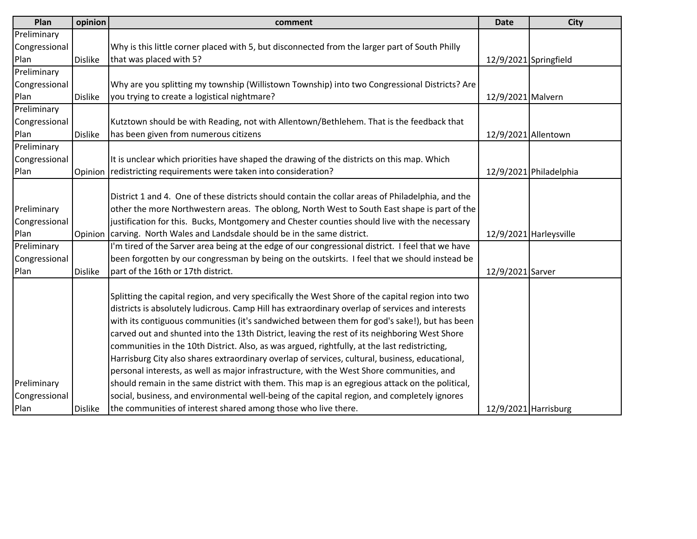| Plan                                 | opinion        | comment                                                                                                                                                                                                                                                                                                                                                                                                                                                                                                                                                                                                                                                                                                                                                                                                                                                                                                                                                                      | <b>Date</b>           | City                   |
|--------------------------------------|----------------|------------------------------------------------------------------------------------------------------------------------------------------------------------------------------------------------------------------------------------------------------------------------------------------------------------------------------------------------------------------------------------------------------------------------------------------------------------------------------------------------------------------------------------------------------------------------------------------------------------------------------------------------------------------------------------------------------------------------------------------------------------------------------------------------------------------------------------------------------------------------------------------------------------------------------------------------------------------------------|-----------------------|------------------------|
| Preliminary                          |                |                                                                                                                                                                                                                                                                                                                                                                                                                                                                                                                                                                                                                                                                                                                                                                                                                                                                                                                                                                              |                       |                        |
| Congressional                        |                | Why is this little corner placed with 5, but disconnected from the larger part of South Philly                                                                                                                                                                                                                                                                                                                                                                                                                                                                                                                                                                                                                                                                                                                                                                                                                                                                               |                       |                        |
| Plan                                 | <b>Dislike</b> | that was placed with 5?                                                                                                                                                                                                                                                                                                                                                                                                                                                                                                                                                                                                                                                                                                                                                                                                                                                                                                                                                      | 12/9/2021 Springfield |                        |
| Preliminary                          |                |                                                                                                                                                                                                                                                                                                                                                                                                                                                                                                                                                                                                                                                                                                                                                                                                                                                                                                                                                                              |                       |                        |
| Congressional                        |                | Why are you splitting my township (Willistown Township) into two Congressional Districts? Are                                                                                                                                                                                                                                                                                                                                                                                                                                                                                                                                                                                                                                                                                                                                                                                                                                                                                |                       |                        |
| Plan                                 | <b>Dislike</b> | you trying to create a logistical nightmare?                                                                                                                                                                                                                                                                                                                                                                                                                                                                                                                                                                                                                                                                                                                                                                                                                                                                                                                                 | 12/9/2021 Malvern     |                        |
| Preliminary                          |                |                                                                                                                                                                                                                                                                                                                                                                                                                                                                                                                                                                                                                                                                                                                                                                                                                                                                                                                                                                              |                       |                        |
| Congressional                        |                | Kutztown should be with Reading, not with Allentown/Bethlehem. That is the feedback that                                                                                                                                                                                                                                                                                                                                                                                                                                                                                                                                                                                                                                                                                                                                                                                                                                                                                     |                       |                        |
| Plan                                 | <b>Dislike</b> | has been given from numerous citizens                                                                                                                                                                                                                                                                                                                                                                                                                                                                                                                                                                                                                                                                                                                                                                                                                                                                                                                                        | 12/9/2021 Allentown   |                        |
| Preliminary                          |                |                                                                                                                                                                                                                                                                                                                                                                                                                                                                                                                                                                                                                                                                                                                                                                                                                                                                                                                                                                              |                       |                        |
| Congressional                        |                | It is unclear which priorities have shaped the drawing of the districts on this map. Which                                                                                                                                                                                                                                                                                                                                                                                                                                                                                                                                                                                                                                                                                                                                                                                                                                                                                   |                       |                        |
| Plan                                 | Opinion        | redistricting requirements were taken into consideration?                                                                                                                                                                                                                                                                                                                                                                                                                                                                                                                                                                                                                                                                                                                                                                                                                                                                                                                    |                       | 12/9/2021 Philadelphia |
|                                      |                | District 1 and 4. One of these districts should contain the collar areas of Philadelphia, and the                                                                                                                                                                                                                                                                                                                                                                                                                                                                                                                                                                                                                                                                                                                                                                                                                                                                            |                       |                        |
| Preliminary                          |                | other the more Northwestern areas. The oblong, North West to South East shape is part of the                                                                                                                                                                                                                                                                                                                                                                                                                                                                                                                                                                                                                                                                                                                                                                                                                                                                                 |                       |                        |
| Congressional                        |                | justification for this. Bucks, Montgomery and Chester counties should live with the necessary                                                                                                                                                                                                                                                                                                                                                                                                                                                                                                                                                                                                                                                                                                                                                                                                                                                                                |                       |                        |
| Plan                                 | Opinion        | carving. North Wales and Landsdale should be in the same district.                                                                                                                                                                                                                                                                                                                                                                                                                                                                                                                                                                                                                                                                                                                                                                                                                                                                                                           |                       | 12/9/2021 Harleysville |
| Preliminary                          |                | I'm tired of the Sarver area being at the edge of our congressional district. I feel that we have                                                                                                                                                                                                                                                                                                                                                                                                                                                                                                                                                                                                                                                                                                                                                                                                                                                                            |                       |                        |
| Congressional                        |                | been forgotten by our congressman by being on the outskirts. I feel that we should instead be                                                                                                                                                                                                                                                                                                                                                                                                                                                                                                                                                                                                                                                                                                                                                                                                                                                                                |                       |                        |
| Plan                                 | <b>Dislike</b> | part of the 16th or 17th district.                                                                                                                                                                                                                                                                                                                                                                                                                                                                                                                                                                                                                                                                                                                                                                                                                                                                                                                                           | 12/9/2021 Sarver      |                        |
| Preliminary<br>Congressional<br>Plan | <b>Dislike</b> | Splitting the capital region, and very specifically the West Shore of the capital region into two<br>districts is absolutely ludicrous. Camp Hill has extraordinary overlap of services and interests<br>with its contiguous communities (it's sandwiched between them for god's sake!), but has been<br>carved out and shunted into the 13th District, leaving the rest of its neighboring West Shore<br>communities in the 10th District. Also, as was argued, rightfully, at the last redistricting,<br>Harrisburg City also shares extraordinary overlap of services, cultural, business, educational,<br>personal interests, as well as major infrastructure, with the West Shore communities, and<br>should remain in the same district with them. This map is an egregious attack on the political,<br>social, business, and environmental well-being of the capital region, and completely ignores<br>the communities of interest shared among those who live there. | 12/9/2021 Harrisburg  |                        |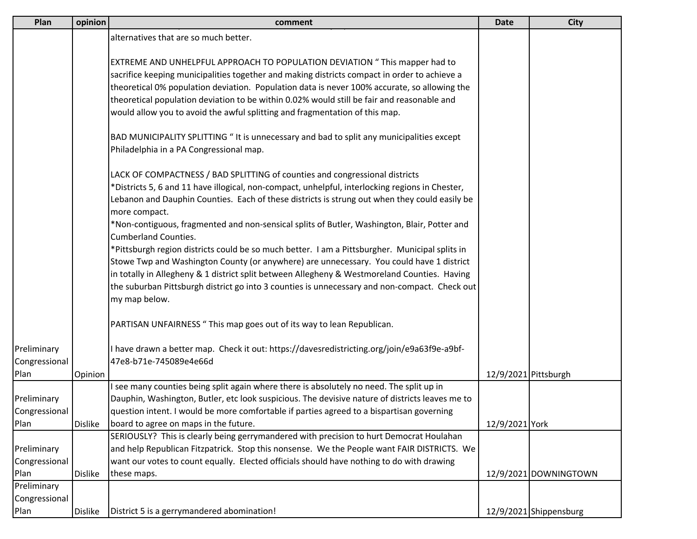| Plan          | opinion        | comment                                                                                                                     | <b>Date</b>          | <b>City</b>            |
|---------------|----------------|-----------------------------------------------------------------------------------------------------------------------------|----------------------|------------------------|
|               |                | alternatives that are so much better.                                                                                       |                      |                        |
|               |                |                                                                                                                             |                      |                        |
|               |                | EXTREME AND UNHELPFUL APPROACH TO POPULATION DEVIATION "This mapper had to                                                  |                      |                        |
|               |                | sacrifice keeping municipalities together and making districts compact in order to achieve a                                |                      |                        |
|               |                | theoretical 0% population deviation. Population data is never 100% accurate, so allowing the                                |                      |                        |
|               |                | theoretical population deviation to be within 0.02% would still be fair and reasonable and                                  |                      |                        |
|               |                | would allow you to avoid the awful splitting and fragmentation of this map.                                                 |                      |                        |
|               |                | BAD MUNICIPALITY SPLITTING " It is unnecessary and bad to split any municipalities except                                   |                      |                        |
|               |                | Philadelphia in a PA Congressional map.                                                                                     |                      |                        |
|               |                | LACK OF COMPACTNESS / BAD SPLITTING of counties and congressional districts                                                 |                      |                        |
|               |                | *Districts 5, 6 and 11 have illogical, non-compact, unhelpful, interlocking regions in Chester,                             |                      |                        |
|               |                | Lebanon and Dauphin Counties. Each of these districts is strung out when they could easily be                               |                      |                        |
|               |                | more compact.                                                                                                               |                      |                        |
|               |                | *Non-contiguous, fragmented and non-sensical splits of Butler, Washington, Blair, Potter and<br><b>Cumberland Counties.</b> |                      |                        |
|               |                | *Pittsburgh region districts could be so much better. I am a Pittsburgher. Municipal splits in                              |                      |                        |
|               |                | Stowe Twp and Washington County (or anywhere) are unnecessary. You could have 1 district                                    |                      |                        |
|               |                | in totally in Allegheny & 1 district split between Allegheny & Westmoreland Counties. Having                                |                      |                        |
|               |                | the suburban Pittsburgh district go into 3 counties is unnecessary and non-compact. Check out                               |                      |                        |
|               |                | my map below.                                                                                                               |                      |                        |
|               |                | PARTISAN UNFAIRNESS "This map goes out of its way to lean Republican.                                                       |                      |                        |
|               |                |                                                                                                                             |                      |                        |
| Preliminary   |                | I have drawn a better map. Check it out: https://davesredistricting.org/join/e9a63f9e-a9bf-                                 |                      |                        |
| Congressional |                | 47e8-b71e-745089e4e66d                                                                                                      |                      |                        |
| Plan          | Opinion        |                                                                                                                             | 12/9/2021 Pittsburgh |                        |
|               |                | I see many counties being split again where there is absolutely no need. The split up in                                    |                      |                        |
| Preliminary   |                | Dauphin, Washington, Butler, etc look suspicious. The devisive nature of districts leaves me to                             |                      |                        |
| Congressional |                | question intent. I would be more comfortable if parties agreed to a bispartisan governing                                   |                      |                        |
| Plan          | <b>Dislike</b> | board to agree on maps in the future.                                                                                       | 12/9/2021 York       |                        |
|               |                | SERIOUSLY? This is clearly being gerrymandered with precision to hurt Democrat Houlahan                                     |                      |                        |
| Preliminary   |                | and help Republican Fitzpatrick. Stop this nonsense. We the People want FAIR DISTRICTS. We                                  |                      |                        |
| Congressional |                | want our votes to count equally. Elected officials should have nothing to do with drawing                                   |                      |                        |
| Plan          | <b>Dislike</b> | these maps.                                                                                                                 |                      | 12/9/2021 DOWNINGTOWN  |
| Preliminary   |                |                                                                                                                             |                      |                        |
| Congressional |                |                                                                                                                             |                      |                        |
| Plan          | <b>Dislike</b> | District 5 is a gerrymandered abomination!                                                                                  |                      | 12/9/2021 Shippensburg |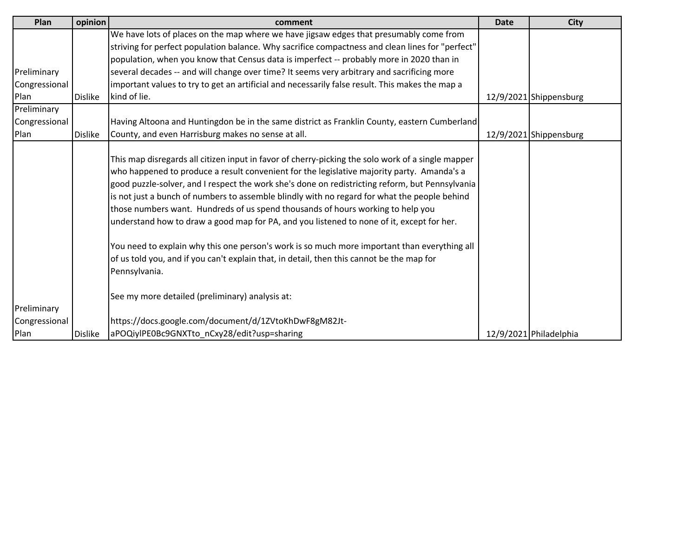| Plan          | opinion        | comment                                                                                           | <b>Date</b> | <b>City</b>            |
|---------------|----------------|---------------------------------------------------------------------------------------------------|-------------|------------------------|
|               |                | We have lots of places on the map where we have jigsaw edges that presumably come from            |             |                        |
|               |                | striving for perfect population balance. Why sacrifice compactness and clean lines for "perfect"  |             |                        |
|               |                | population, when you know that Census data is imperfect -- probably more in 2020 than in          |             |                        |
| Preliminary   |                | several decades -- and will change over time? It seems very arbitrary and sacrificing more        |             |                        |
| Congressional |                | important values to try to get an artificial and necessarily false result. This makes the map a   |             |                        |
| Plan          | <b>Dislike</b> | kind of lie.                                                                                      |             | 12/9/2021 Shippensburg |
| Preliminary   |                |                                                                                                   |             |                        |
| Congressional |                | Having Altoona and Huntingdon be in the same district as Franklin County, eastern Cumberland      |             |                        |
| Plan          | <b>Dislike</b> | County, and even Harrisburg makes no sense at all.                                                |             | 12/9/2021 Shippensburg |
|               |                | This map disregards all citizen input in favor of cherry-picking the solo work of a single mapper |             |                        |
|               |                | who happened to produce a result convenient for the legislative majority party. Amanda's a        |             |                        |
|               |                | good puzzle-solver, and I respect the work she's done on redistricting reform, but Pennsylvania   |             |                        |
|               |                | is not just a bunch of numbers to assemble blindly with no regard for what the people behind      |             |                        |
|               |                | those numbers want. Hundreds of us spend thousands of hours working to help you                   |             |                        |
|               |                | understand how to draw a good map for PA, and you listened to none of it, except for her.         |             |                        |
|               |                |                                                                                                   |             |                        |
|               |                | You need to explain why this one person's work is so much more important than everything all      |             |                        |
|               |                | of us told you, and if you can't explain that, in detail, then this cannot be the map for         |             |                        |
|               |                | Pennsylvania.                                                                                     |             |                        |
|               |                |                                                                                                   |             |                        |
|               |                | See my more detailed (preliminary) analysis at:                                                   |             |                        |
| Preliminary   |                |                                                                                                   |             |                        |
| Congressional |                | https://docs.google.com/document/d/1ZVtoKhDwF8gM82Jt-                                             |             |                        |
| Plan          | Dislike        | aPOQiylPE0Bc9GNXTto_nCxy28/edit?usp=sharing                                                       |             | 12/9/2021 Philadelphia |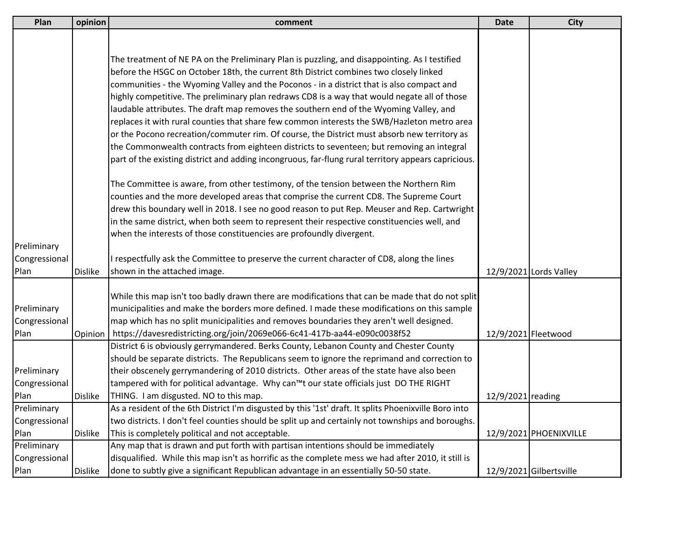| Plan          | opinion        | comment                                                                                                                                                                                | <b>Date</b>         | <b>City</b>             |
|---------------|----------------|----------------------------------------------------------------------------------------------------------------------------------------------------------------------------------------|---------------------|-------------------------|
|               |                |                                                                                                                                                                                        |                     |                         |
|               |                |                                                                                                                                                                                        |                     |                         |
|               |                | The treatment of NE PA on the Preliminary Plan is puzzling, and disappointing. As I testified<br>before the HSGC on October 18th, the current 8th District combines two closely linked |                     |                         |
|               |                | communities - the Wyoming Valley and the Poconos - in a district that is also compact and                                                                                              |                     |                         |
|               |                | highly competitive. The preliminary plan redraws CD8 is a way that would negate all of those                                                                                           |                     |                         |
|               |                | laudable attributes. The draft map removes the southern end of the Wyoming Valley, and                                                                                                 |                     |                         |
|               |                | replaces it with rural counties that share few common interests the SWB/Hazleton metro area                                                                                            |                     |                         |
|               |                | or the Pocono recreation/commuter rim. Of course, the District must absorb new territory as                                                                                            |                     |                         |
|               |                | the Commonwealth contracts from eighteen districts to seventeen; but removing an integral                                                                                              |                     |                         |
|               |                | part of the existing district and adding incongruous, far-flung rural territory appears capricious.                                                                                    |                     |                         |
|               |                | The Committee is aware, from other testimony, of the tension between the Northern Rim                                                                                                  |                     |                         |
|               |                | counties and the more developed areas that comprise the current CD8. The Supreme Court                                                                                                 |                     |                         |
|               |                | drew this boundary well in 2018. I see no good reason to put Rep. Meuser and Rep. Cartwright                                                                                           |                     |                         |
|               |                | in the same district, when both seem to represent their respective constituencies well, and                                                                                            |                     |                         |
|               |                | when the interests of those constituencies are profoundly divergent.                                                                                                                   |                     |                         |
| Preliminary   |                |                                                                                                                                                                                        |                     |                         |
| Congressional |                | I respectfully ask the Committee to preserve the current character of CD8, along the lines                                                                                             |                     |                         |
| Plan          | <b>Dislike</b> | shown in the attached image.                                                                                                                                                           |                     | 12/9/2021 Lords Valley  |
|               |                |                                                                                                                                                                                        |                     |                         |
|               |                | While this map isn't too badly drawn there are modifications that can be made that do not split                                                                                        |                     |                         |
| Preliminary   |                | municipalities and make the borders more defined. I made these modifications on this sample                                                                                            |                     |                         |
| Congressional |                | map which has no split municipalities and removes boundaries they aren't well designed.                                                                                                |                     |                         |
| Plan          | Opinion        | https://davesredistricting.org/join/2069e066-6c41-417b-aa44-e090c0038f52<br>District 6 is obviously gerrymandered. Berks County, Lebanon County and Chester County                     | 12/9/2021 Fleetwood |                         |
|               |                | should be separate districts. The Republicans seem to ignore the reprimand and correction to                                                                                           |                     |                         |
| Preliminary   |                | their obscenely gerrymandering of 2010 districts. Other areas of the state have also been                                                                                              |                     |                         |
| Congressional |                | tampered with for political advantage. Why can™t our state officials just DO THE RIGHT                                                                                                 |                     |                         |
| Plan          | <b>Dislike</b> | THING. I am disgusted. NO to this map.                                                                                                                                                 | 12/9/2021 reading   |                         |
| Preliminary   |                | As a resident of the 6th District I'm disgusted by this '1st' draft. It splits Phoenixville Boro into                                                                                  |                     |                         |
| Congressional |                | two districts. I don't feel counties should be split up and certainly not townships and boroughs.                                                                                      |                     |                         |
| Plan          | <b>Dislike</b> | This is completely political and not acceptable.                                                                                                                                       |                     | 12/9/2021 PHOENIXVILLE  |
| Preliminary   |                | Any map that is drawn and put forth with partisan intentions should be immediately                                                                                                     |                     |                         |
| Congressional |                | disqualified. While this map isn't as horrific as the complete mess we had after 2010, it still is                                                                                     |                     |                         |
| Plan          | <b>Dislike</b> | done to subtly give a significant Republican advantage in an essentially 50-50 state.                                                                                                  |                     | 12/9/2021 Gilbertsville |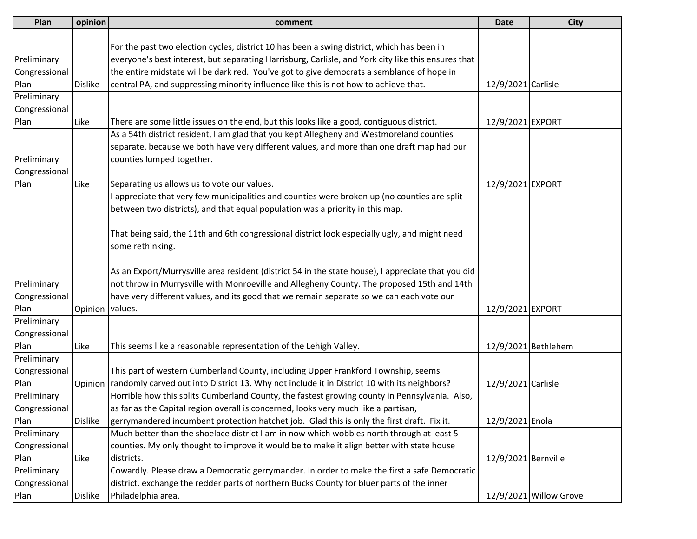| Plan          | opinion         | comment                                                                                             | <b>Date</b>         | <b>City</b>            |
|---------------|-----------------|-----------------------------------------------------------------------------------------------------|---------------------|------------------------|
|               |                 |                                                                                                     |                     |                        |
|               |                 | For the past two election cycles, district 10 has been a swing district, which has been in          |                     |                        |
| Preliminary   |                 | everyone's best interest, but separating Harrisburg, Carlisle, and York city like this ensures that |                     |                        |
| Congressional |                 | the entire midstate will be dark red. You've got to give democrats a semblance of hope in           |                     |                        |
| Plan          | <b>Dislike</b>  | central PA, and suppressing minority influence like this is not how to achieve that.                | 12/9/2021 Carlisle  |                        |
| Preliminary   |                 |                                                                                                     |                     |                        |
| Congressional |                 |                                                                                                     |                     |                        |
| Plan          | Like            | There are some little issues on the end, but this looks like a good, contiguous district.           | 12/9/2021 EXPORT    |                        |
|               |                 | As a 54th district resident, I am glad that you kept Allegheny and Westmoreland counties            |                     |                        |
|               |                 | separate, because we both have very different values, and more than one draft map had our           |                     |                        |
| Preliminary   |                 | counties lumped together.                                                                           |                     |                        |
| Congressional |                 |                                                                                                     |                     |                        |
| Plan          | Like            | Separating us allows us to vote our values.                                                         | 12/9/2021 EXPORT    |                        |
|               |                 | appreciate that very few municipalities and counties were broken up (no counties are split          |                     |                        |
|               |                 | between two districts), and that equal population was a priority in this map.                       |                     |                        |
|               |                 | That being said, the 11th and 6th congressional district look especially ugly, and might need       |                     |                        |
|               |                 | some rethinking.                                                                                    |                     |                        |
|               |                 | As an Export/Murrysville area resident (district 54 in the state house), I appreciate that you did  |                     |                        |
| Preliminary   |                 | not throw in Murrysville with Monroeville and Allegheny County. The proposed 15th and 14th          |                     |                        |
| Congressional |                 | have very different values, and its good that we remain separate so we can each vote our            |                     |                        |
| Plan          | Opinion values. |                                                                                                     | 12/9/2021 EXPORT    |                        |
| Preliminary   |                 |                                                                                                     |                     |                        |
| Congressional |                 |                                                                                                     |                     |                        |
| Plan          | Like            | This seems like a reasonable representation of the Lehigh Valley.                                   |                     | 12/9/2021 Bethlehem    |
| Preliminary   |                 |                                                                                                     |                     |                        |
| Congressional |                 | This part of western Cumberland County, including Upper Frankford Township, seems                   |                     |                        |
| Plan          | Opinion         | randomly carved out into District 13. Why not include it in District 10 with its neighbors?         | 12/9/2021 Carlisle  |                        |
| Preliminary   |                 | Horrible how this splits Cumberland County, the fastest growing county in Pennsylvania. Also,       |                     |                        |
| Congressional |                 | as far as the Capital region overall is concerned, looks very much like a partisan,                 |                     |                        |
| Plan          | <b>Dislike</b>  | gerrymandered incumbent protection hatchet job. Glad this is only the first draft. Fix it.          | 12/9/2021 Enola     |                        |
| Preliminary   |                 | Much better than the shoelace district I am in now which wobbles north through at least 5           |                     |                        |
| Congressional |                 | counties. My only thought to improve it would be to make it align better with state house           |                     |                        |
|               |                 | districts.                                                                                          |                     |                        |
| Plan          | Like            | Cowardly. Please draw a Democratic gerrymander. In order to make the first a safe Democratic        | 12/9/2021 Bernville |                        |
| Preliminary   |                 |                                                                                                     |                     |                        |
| Congressional |                 | district, exchange the redder parts of northern Bucks County for bluer parts of the inner           |                     |                        |
| Plan          | <b>Dislike</b>  | Philadelphia area.                                                                                  |                     | 12/9/2021 Willow Grove |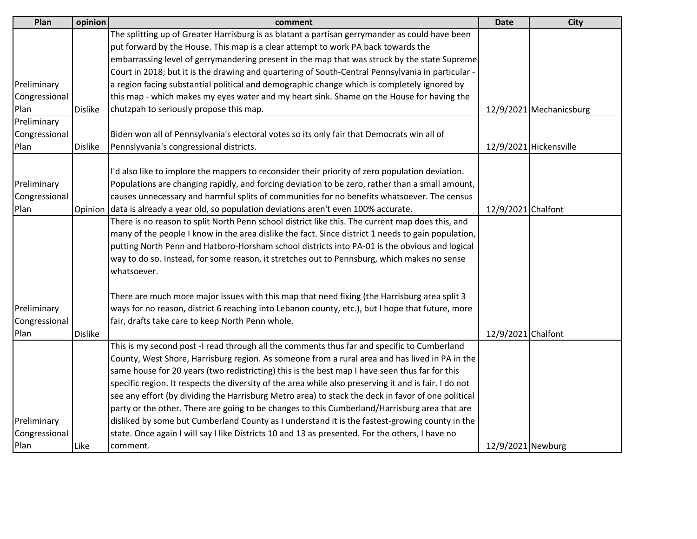| Plan          | opinion        | comment                                                                                               | <b>Date</b>        | <b>City</b>             |
|---------------|----------------|-------------------------------------------------------------------------------------------------------|--------------------|-------------------------|
|               |                | The splitting up of Greater Harrisburg is as blatant a partisan gerrymander as could have been        |                    |                         |
|               |                | put forward by the House. This map is a clear attempt to work PA back towards the                     |                    |                         |
|               |                | embarrassing level of gerrymandering present in the map that was struck by the state Supreme          |                    |                         |
|               |                | Court in 2018; but it is the drawing and quartering of South-Central Pennsylvania in particular -     |                    |                         |
| Preliminary   |                | a region facing substantial political and demographic change which is completely ignored by           |                    |                         |
| Congressional |                | this map - which makes my eyes water and my heart sink. Shame on the House for having the             |                    |                         |
| Plan          | <b>Dislike</b> | chutzpah to seriously propose this map.                                                               |                    | 12/9/2021 Mechanicsburg |
| Preliminary   |                |                                                                                                       |                    |                         |
| Congressional |                | Biden won all of Pennsylvania's electoral votes so its only fair that Democrats win all of            |                    |                         |
| Plan          | Dislike        | Pennslyvania's congressional districts.                                                               |                    | 12/9/2021 Hickensville  |
|               |                |                                                                                                       |                    |                         |
|               |                | I'd also like to implore the mappers to reconsider their priority of zero population deviation.       |                    |                         |
| Preliminary   |                | Populations are changing rapidly, and forcing deviation to be zero, rather than a small amount,       |                    |                         |
| Congressional |                | causes unnecessary and harmful splits of communities for no benefits whatsoever. The census           |                    |                         |
| Plan          |                | Opinion data is already a year old, so population deviations aren't even 100% accurate.               | 12/9/2021 Chalfont |                         |
|               |                | There is no reason to split North Penn school district like this. The current map does this, and      |                    |                         |
|               |                | many of the people I know in the area dislike the fact. Since district 1 needs to gain population,    |                    |                         |
|               |                | putting North Penn and Hatboro-Horsham school districts into PA-01 is the obvious and logical         |                    |                         |
|               |                | way to do so. Instead, for some reason, it stretches out to Pennsburg, which makes no sense           |                    |                         |
|               |                | whatsoever.                                                                                           |                    |                         |
|               |                | There are much more major issues with this map that need fixing (the Harrisburg area split 3          |                    |                         |
| Preliminary   |                | ways for no reason, district 6 reaching into Lebanon county, etc.), but I hope that future, more      |                    |                         |
| Congressional |                | fair, drafts take care to keep North Penn whole.                                                      |                    |                         |
| Plan          | <b>Dislike</b> |                                                                                                       | 12/9/2021 Chalfont |                         |
|               |                | This is my second post -I read through all the comments thus far and specific to Cumberland           |                    |                         |
|               |                | County, West Shore, Harrisburg region. As someone from a rural area and has lived in PA in the        |                    |                         |
|               |                | same house for 20 years (two redistricting) this is the best map I have seen thus far for this        |                    |                         |
|               |                | specific region. It respects the diversity of the area while also preserving it and is fair. I do not |                    |                         |
|               |                | see any effort (by dividing the Harrisburg Metro area) to stack the deck in favor of one political    |                    |                         |
|               |                | party or the other. There are going to be changes to this Cumberland/Harrisburg area that are         |                    |                         |
| Preliminary   |                | disliked by some but Cumberland County as I understand it is the fastest-growing county in the        |                    |                         |
| Congressional |                | state. Once again I will say I like Districts 10 and 13 as presented. For the others, I have no       |                    |                         |
| Plan          | Like           | comment.                                                                                              | 12/9/2021 Newburg  |                         |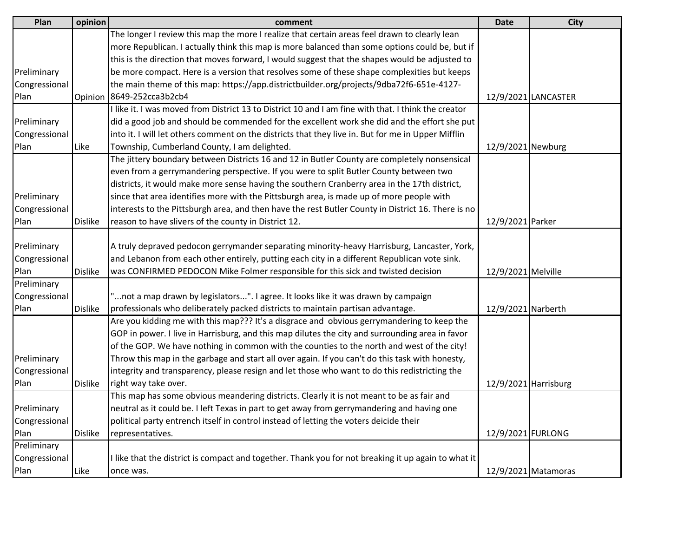| Plan          | opinion        | comment                                                                                             | <b>Date</b>          | <b>City</b>         |
|---------------|----------------|-----------------------------------------------------------------------------------------------------|----------------------|---------------------|
|               |                | The longer I review this map the more I realize that certain areas feel drawn to clearly lean       |                      |                     |
|               |                | more Republican. I actually think this map is more balanced than some options could be, but if      |                      |                     |
|               |                | this is the direction that moves forward, I would suggest that the shapes would be adjusted to      |                      |                     |
| Preliminary   |                | be more compact. Here is a version that resolves some of these shape complexities but keeps         |                      |                     |
| Congressional |                | the main theme of this map: https://app.districtbuilder.org/projects/9dba72f6-651e-4127-            |                      |                     |
| Plan          |                | Opinion 8649-252cca3b2cb4                                                                           |                      | 12/9/2021 LANCASTER |
|               |                | I like it. I was moved from District 13 to District 10 and I am fine with that. I think the creator |                      |                     |
| Preliminary   |                | did a good job and should be commended for the excellent work she did and the effort she put        |                      |                     |
| Congressional |                | into it. I will let others comment on the districts that they live in. But for me in Upper Mifflin  |                      |                     |
| Plan          | Like           | Township, Cumberland County, I am delighted.                                                        | 12/9/2021 Newburg    |                     |
|               |                | The jittery boundary between Districts 16 and 12 in Butler County are completely nonsensical        |                      |                     |
|               |                | even from a gerrymandering perspective. If you were to split Butler County between two              |                      |                     |
|               |                | districts, it would make more sense having the southern Cranberry area in the 17th district,        |                      |                     |
| Preliminary   |                | since that area identifies more with the Pittsburgh area, is made up of more people with            |                      |                     |
| Congressional |                | interests to the Pittsburgh area, and then have the rest Butler County in District 16. There is no  |                      |                     |
| Plan          | <b>Dislike</b> | reason to have slivers of the county in District 12.                                                | 12/9/2021 Parker     |                     |
|               |                |                                                                                                     |                      |                     |
| Preliminary   |                | A truly depraved pedocon gerrymander separating minority-heavy Harrisburg, Lancaster, York,         |                      |                     |
| Congressional |                | and Lebanon from each other entirely, putting each city in a different Republican vote sink.        |                      |                     |
| Plan          | <b>Dislike</b> | was CONFIRMED PEDOCON Mike Folmer responsible for this sick and twisted decision                    | 12/9/2021 Melville   |                     |
| Preliminary   |                |                                                                                                     |                      |                     |
| Congressional |                | "not a map drawn by legislators". I agree. It looks like it was drawn by campaign                   |                      |                     |
| Plan          | Dislike        | professionals who deliberately packed districts to maintain partisan advantage.                     | 12/9/2021 Narberth   |                     |
|               |                | Are you kidding me with this map??? It's a disgrace and obvious gerrymandering to keep the          |                      |                     |
|               |                | GOP in power. I live in Harrisburg, and this map dilutes the city and surrounding area in favor     |                      |                     |
|               |                | of the GOP. We have nothing in common with the counties to the north and west of the city!          |                      |                     |
| Preliminary   |                | Throw this map in the garbage and start all over again. If you can't do this task with honesty,     |                      |                     |
| Congressional |                | integrity and transparency, please resign and let those who want to do this redistricting the       |                      |                     |
| Plan          | <b>Dislike</b> | right way take over.                                                                                | 12/9/2021 Harrisburg |                     |
|               |                | This map has some obvious meandering districts. Clearly it is not meant to be as fair and           |                      |                     |
| Preliminary   |                | neutral as it could be. I left Texas in part to get away from gerrymandering and having one         |                      |                     |
| Congressional |                | political party entrench itself in control instead of letting the voters deicide their              |                      |                     |
| Plan          | <b>Dislike</b> | representatives.                                                                                    | 12/9/2021 FURLONG    |                     |
| Preliminary   |                |                                                                                                     |                      |                     |
| Congressional |                | I like that the district is compact and together. Thank you for not breaking it up again to what it |                      |                     |
| Plan          | Like           | once was.                                                                                           |                      | 12/9/2021 Matamoras |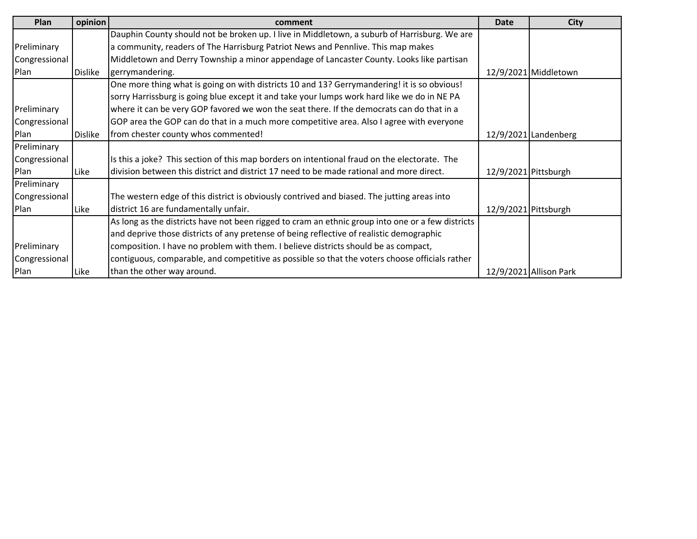| Plan          | opinion        | comment                                                                                           | Date                 | <b>City</b>            |
|---------------|----------------|---------------------------------------------------------------------------------------------------|----------------------|------------------------|
|               |                | Dauphin County should not be broken up. I live in Middletown, a suburb of Harrisburg. We are      |                      |                        |
| Preliminary   |                | a community, readers of The Harrisburg Patriot News and Pennlive. This map makes                  |                      |                        |
| Congressional |                | Middletown and Derry Township a minor appendage of Lancaster County. Looks like partisan          |                      |                        |
| Plan          | <b>Dislike</b> | gerrymandering.                                                                                   |                      | 12/9/2021 Middletown   |
|               |                | One more thing what is going on with districts 10 and 13? Gerrymandering! it is so obvious!       |                      |                        |
|               |                | sorry Harrissburg is going blue except it and take your lumps work hard like we do in NE PA       |                      |                        |
| Preliminary   |                | where it can be very GOP favored we won the seat there. If the democrats can do that in a         |                      |                        |
| Congressional |                | GOP area the GOP can do that in a much more competitive area. Also I agree with everyone          |                      |                        |
| Plan          | <b>Dislike</b> | from chester county whos commented!                                                               |                      | 12/9/2021 Landenberg   |
| Preliminary   |                |                                                                                                   |                      |                        |
| Congressional |                | Is this a joke? This section of this map borders on intentional fraud on the electorate. The      |                      |                        |
| Plan          | Like           | division between this district and district 17 need to be made rational and more direct.          | 12/9/2021 Pittsburgh |                        |
| Preliminary   |                |                                                                                                   |                      |                        |
| Congressional |                | The western edge of this district is obviously contrived and biased. The jutting areas into       |                      |                        |
| Plan          | Like           | district 16 are fundamentally unfair.                                                             | 12/9/2021 Pittsburgh |                        |
|               |                | As long as the districts have not been rigged to cram an ethnic group into one or a few districts |                      |                        |
|               |                | and deprive those districts of any pretense of being reflective of realistic demographic          |                      |                        |
| Preliminary   |                | composition. I have no problem with them. I believe districts should be as compact,               |                      |                        |
| Congressional |                | contiguous, comparable, and competitive as possible so that the voters choose officials rather    |                      |                        |
| Plan          | Like           | than the other way around.                                                                        |                      | 12/9/2021 Allison Park |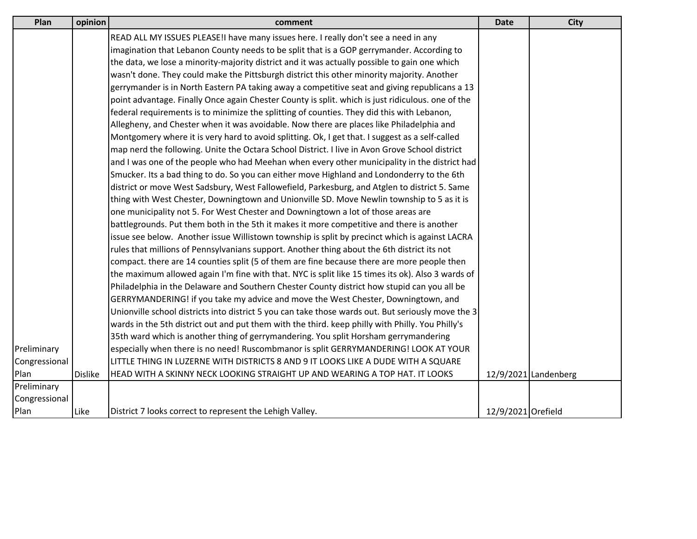| Plan          | opinion        | comment                                                                                            | <b>Date</b>        | <b>City</b>            |
|---------------|----------------|----------------------------------------------------------------------------------------------------|--------------------|------------------------|
|               |                | READ ALL MY ISSUES PLEASE!I have many issues here. I really don't see a need in any                |                    |                        |
|               |                | imagination that Lebanon County needs to be split that is a GOP gerrymander. According to          |                    |                        |
|               |                | the data, we lose a minority-majority district and it was actually possible to gain one which      |                    |                        |
|               |                | wasn't done. They could make the Pittsburgh district this other minority majority. Another         |                    |                        |
|               |                | gerrymander is in North Eastern PA taking away a competitive seat and giving republicans a 13      |                    |                        |
|               |                | point advantage. Finally Once again Chester County is split. which is just ridiculous. one of the  |                    |                        |
|               |                | federal requirements is to minimize the splitting of counties. They did this with Lebanon,         |                    |                        |
|               |                | Allegheny, and Chester when it was avoidable. Now there are places like Philadelphia and           |                    |                        |
|               |                | Montgomery where it is very hard to avoid splitting. Ok, I get that. I suggest as a self-called    |                    |                        |
|               |                | map nerd the following. Unite the Octara School District. I live in Avon Grove School district     |                    |                        |
|               |                | and I was one of the people who had Meehan when every other municipality in the district had       |                    |                        |
|               |                | Smucker. Its a bad thing to do. So you can either move Highland and Londonderry to the 6th         |                    |                        |
|               |                | district or move West Sadsbury, West Fallowefield, Parkesburg, and Atglen to district 5. Same      |                    |                        |
|               |                | thing with West Chester, Downingtown and Unionville SD. Move Newlin township to 5 as it is         |                    |                        |
|               |                | one municipality not 5. For West Chester and Downingtown a lot of those areas are                  |                    |                        |
|               |                | battlegrounds. Put them both in the 5th it makes it more competitive and there is another          |                    |                        |
|               |                | issue see below. Another issue Willistown township is split by precinct which is against LACRA     |                    |                        |
|               |                | rules that millions of Pennsylvanians support. Another thing about the 6th district its not        |                    |                        |
|               |                | compact. there are 14 counties split (5 of them are fine because there are more people then        |                    |                        |
|               |                | the maximum allowed again I'm fine with that. NYC is split like 15 times its ok). Also 3 wards of  |                    |                        |
|               |                | Philadelphia in the Delaware and Southern Chester County district how stupid can you all be        |                    |                        |
|               |                | GERRYMANDERING! if you take my advice and move the West Chester, Downingtown, and                  |                    |                        |
|               |                | Unionville school districts into district 5 you can take those wards out. But seriously move the 3 |                    |                        |
|               |                | wards in the 5th district out and put them with the third. keep philly with Philly. You Philly's   |                    |                        |
|               |                | 35th ward which is another thing of gerrymandering. You split Horsham gerrymandering               |                    |                        |
| Preliminary   |                | especially when there is no need! Ruscombmanor is split GERRYMANDERING! LOOK AT YOUR               |                    |                        |
| Congressional |                | LITTLE THING IN LUZERNE WITH DISTRICTS 8 AND 9 IT LOOKS LIKE A DUDE WITH A SQUARE                  |                    |                        |
| Plan          | <b>Dislike</b> | HEAD WITH A SKINNY NECK LOOKING STRAIGHT UP AND WEARING A TOP HAT. IT LOOKS                        |                    | $12/9/2021$ Landenberg |
| Preliminary   |                |                                                                                                    |                    |                        |
| Congressional |                |                                                                                                    |                    |                        |
| Plan          | Like           | District 7 looks correct to represent the Lehigh Valley.                                           | 12/9/2021 Orefield |                        |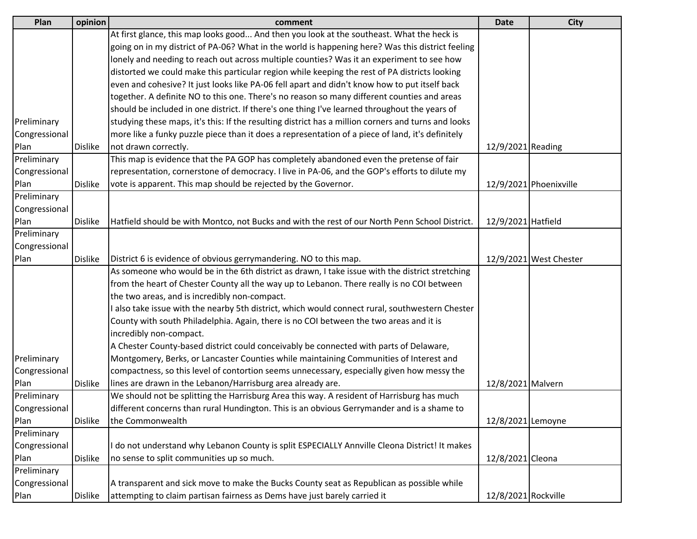| Plan          | opinion        | comment                                                                                             | <b>Date</b>         | <b>City</b>            |
|---------------|----------------|-----------------------------------------------------------------------------------------------------|---------------------|------------------------|
|               |                | At first glance, this map looks good And then you look at the southeast. What the heck is           |                     |                        |
|               |                | going on in my district of PA-06? What in the world is happening here? Was this district feeling    |                     |                        |
|               |                | lonely and needing to reach out across multiple counties? Was it an experiment to see how           |                     |                        |
|               |                | distorted we could make this particular region while keeping the rest of PA districts looking       |                     |                        |
|               |                | even and cohesive? It just looks like PA-06 fell apart and didn't know how to put itself back       |                     |                        |
|               |                | together. A definite NO to this one. There's no reason so many different counties and areas         |                     |                        |
|               |                | should be included in one district. If there's one thing I've learned throughout the years of       |                     |                        |
| Preliminary   |                | studying these maps, it's this: If the resulting district has a million corners and turns and looks |                     |                        |
| Congressional |                | more like a funky puzzle piece than it does a representation of a piece of land, it's definitely    |                     |                        |
| Plan          | <b>Dislike</b> | not drawn correctly.                                                                                | 12/9/2021 Reading   |                        |
| Preliminary   |                | This map is evidence that the PA GOP has completely abandoned even the pretense of fair             |                     |                        |
| Congressional |                | representation, cornerstone of democracy. I live in PA-06, and the GOP's efforts to dilute my       |                     |                        |
| Plan          | <b>Dislike</b> | vote is apparent. This map should be rejected by the Governor.                                      |                     | 12/9/2021 Phoenixville |
| Preliminary   |                |                                                                                                     |                     |                        |
| Congressional |                |                                                                                                     |                     |                        |
| Plan          | <b>Dislike</b> | Hatfield should be with Montco, not Bucks and with the rest of our North Penn School District.      | 12/9/2021 Hatfield  |                        |
| Preliminary   |                |                                                                                                     |                     |                        |
| Congressional |                |                                                                                                     |                     |                        |
| Plan          | <b>Dislike</b> | District 6 is evidence of obvious gerrymandering. NO to this map.                                   |                     | 12/9/2021 West Chester |
|               |                | As someone who would be in the 6th district as drawn, I take issue with the district stretching     |                     |                        |
|               |                | from the heart of Chester County all the way up to Lebanon. There really is no COI between          |                     |                        |
|               |                | the two areas, and is incredibly non-compact.                                                       |                     |                        |
|               |                | I also take issue with the nearby 5th district, which would connect rural, southwestern Chester     |                     |                        |
|               |                | County with south Philadelphia. Again, there is no COI between the two areas and it is              |                     |                        |
|               |                | incredibly non-compact.                                                                             |                     |                        |
|               |                | A Chester County-based district could conceivably be connected with parts of Delaware,              |                     |                        |
| Preliminary   |                | Montgomery, Berks, or Lancaster Counties while maintaining Communities of Interest and              |                     |                        |
| Congressional |                | compactness, so this level of contortion seems unnecessary, especially given how messy the          |                     |                        |
| Plan          | <b>Dislike</b> | lines are drawn in the Lebanon/Harrisburg area already are.                                         | 12/8/2021 Malvern   |                        |
| Preliminary   |                | We should not be splitting the Harrisburg Area this way. A resident of Harrisburg has much          |                     |                        |
| Congressional |                | different concerns than rural Hundington. This is an obvious Gerrymander and is a shame to          |                     |                        |
| Plan          | <b>Dislike</b> | the Commonwealth                                                                                    | 12/8/2021 Lemoyne   |                        |
| Preliminary   |                |                                                                                                     |                     |                        |
| Congressional |                | I do not understand why Lebanon County is split ESPECIALLY Annville Cleona District! It makes       |                     |                        |
| Plan          | <b>Dislike</b> | no sense to split communities up so much.                                                           | 12/8/2021 Cleona    |                        |
| Preliminary   |                |                                                                                                     |                     |                        |
| Congressional |                | A transparent and sick move to make the Bucks County seat as Republican as possible while           |                     |                        |
| Plan          | <b>Dislike</b> | attempting to claim partisan fairness as Dems have just barely carried it                           | 12/8/2021 Rockville |                        |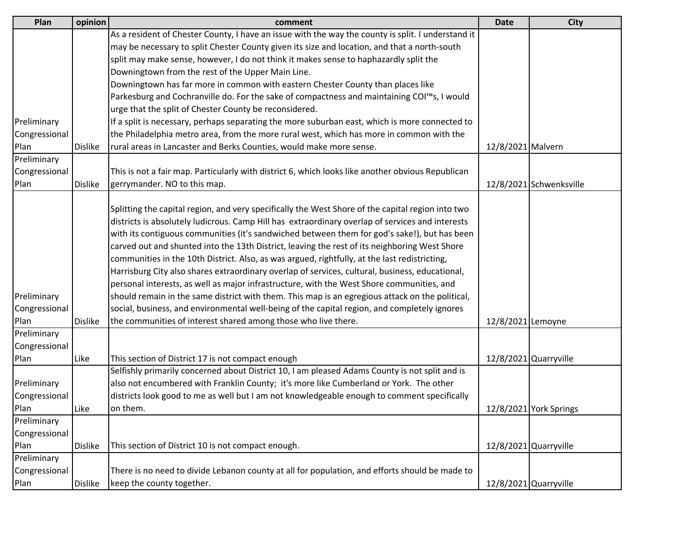| Plan          | opinion        | comment                                                                                            | <b>Date</b>       | <b>City</b>             |
|---------------|----------------|----------------------------------------------------------------------------------------------------|-------------------|-------------------------|
|               |                | As a resident of Chester County, I have an issue with the way the county is split. I understand it |                   |                         |
|               |                | may be necessary to split Chester County given its size and location, and that a north-south       |                   |                         |
|               |                | split may make sense, however, I do not think it makes sense to haphazardly split the              |                   |                         |
|               |                | Downingtown from the rest of the Upper Main Line.                                                  |                   |                         |
|               |                | Downingtown has far more in common with eastern Chester County than places like                    |                   |                         |
|               |                | Parkesburg and Cochranville do. For the sake of compactness and maintaining COI™s, I would         |                   |                         |
|               |                | urge that the split of Chester County be reconsidered.                                             |                   |                         |
| Preliminary   |                | If a split is necessary, perhaps separating the more suburban east, which is more connected to     |                   |                         |
| Congressional |                | the Philadelphia metro area, from the more rural west, which has more in common with the           |                   |                         |
| Plan          | <b>Dislike</b> | rural areas in Lancaster and Berks Counties, would make more sense.                                | 12/8/2021 Malvern |                         |
| Preliminary   |                |                                                                                                    |                   |                         |
| Congressional |                | This is not a fair map. Particularly with district 6, which looks like another obvious Republican  |                   |                         |
| Plan          | <b>Dislike</b> | gerrymander. NO to this map.                                                                       |                   | 12/8/2021 Schwenksville |
|               |                |                                                                                                    |                   |                         |
|               |                | Splitting the capital region, and very specifically the West Shore of the capital region into two  |                   |                         |
|               |                | districts is absolutely ludicrous. Camp Hill has extraordinary overlap of services and interests   |                   |                         |
|               |                | with its contiguous communities (it's sandwiched between them for god's sake!), but has been       |                   |                         |
|               |                | carved out and shunted into the 13th District, leaving the rest of its neighboring West Shore      |                   |                         |
|               |                | communities in the 10th District. Also, as was argued, rightfully, at the last redistricting,      |                   |                         |
|               |                | Harrisburg City also shares extraordinary overlap of services, cultural, business, educational,    |                   |                         |
|               |                | personal interests, as well as major infrastructure, with the West Shore communities, and          |                   |                         |
| Preliminary   |                | should remain in the same district with them. This map is an egregious attack on the political,    |                   |                         |
| Congressional |                | social, business, and environmental well-being of the capital region, and completely ignores       |                   |                         |
| Plan          | <b>Dislike</b> | the communities of interest shared among those who live there.                                     | 12/8/2021 Lemoyne |                         |
| Preliminary   |                |                                                                                                    |                   |                         |
| Congressional |                |                                                                                                    |                   |                         |
| Plan          | Like           | This section of District 17 is not compact enough                                                  |                   | 12/8/2021 Quarryville   |
|               |                | Selfishly primarily concerned about District 10, I am pleased Adams County is not split and is     |                   |                         |
| Preliminary   |                | also not encumbered with Franklin County; it's more like Cumberland or York. The other             |                   |                         |
| Congressional |                | districts look good to me as well but I am not knowledgeable enough to comment specifically        |                   |                         |
| Plan          | Like           | on them.                                                                                           |                   | 12/8/2021 York Springs  |
| Preliminary   |                |                                                                                                    |                   |                         |
| Congressional |                |                                                                                                    |                   |                         |
| Plan          | <b>Dislike</b> | This section of District 10 is not compact enough.                                                 |                   | 12/8/2021 Quarryville   |
| Preliminary   |                |                                                                                                    |                   |                         |
| Congressional |                | There is no need to divide Lebanon county at all for population, and efforts should be made to     |                   |                         |
| Plan          | <b>Dislike</b> | keep the county together.                                                                          |                   | 12/8/2021 Quarryville   |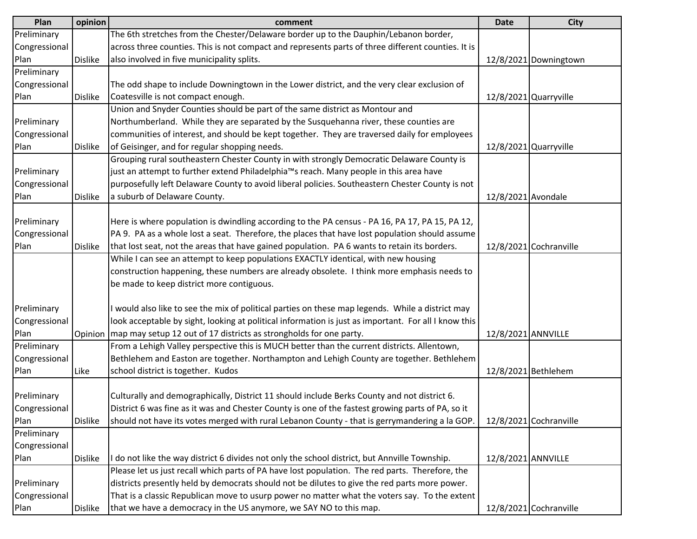| Plan          | opinion        | comment                                                                                              | <b>Date</b>         | <b>City</b>            |
|---------------|----------------|------------------------------------------------------------------------------------------------------|---------------------|------------------------|
| Preliminary   |                | The 6th stretches from the Chester/Delaware border up to the Dauphin/Lebanon border,                 |                     |                        |
| Congressional |                | across three counties. This is not compact and represents parts of three different counties. It is   |                     |                        |
| Plan          | <b>Dislike</b> | also involved in five municipality splits.                                                           |                     | 12/8/2021 Downingtown  |
| Preliminary   |                |                                                                                                      |                     |                        |
| Congressional |                | The odd shape to include Downingtown in the Lower district, and the very clear exclusion of          |                     |                        |
| Plan          | Dislike        | Coatesville is not compact enough.                                                                   |                     | 12/8/2021 Quarryville  |
|               |                | Union and Snyder Counties should be part of the same district as Montour and                         |                     |                        |
| Preliminary   |                | Northumberland. While they are separated by the Susquehanna river, these counties are                |                     |                        |
| Congressional |                | communities of interest, and should be kept together. They are traversed daily for employees         |                     |                        |
| Plan          | <b>Dislike</b> | of Geisinger, and for regular shopping needs.                                                        |                     | 12/8/2021 Quarryville  |
|               |                | Grouping rural southeastern Chester County in with strongly Democratic Delaware County is            |                     |                        |
| Preliminary   |                | just an attempt to further extend Philadelphia™s reach. Many people in this area have                |                     |                        |
| Congressional |                | purposefully left Delaware County to avoid liberal policies. Southeastern Chester County is not      |                     |                        |
| Plan          | Dislike        | a suburb of Delaware County.                                                                         | 12/8/2021 Avondale  |                        |
|               |                |                                                                                                      |                     |                        |
| Preliminary   |                | Here is where population is dwindling according to the PA census - PA 16, PA 17, PA 15, PA 12,       |                     |                        |
| Congressional |                | PA 9. PA as a whole lost a seat. Therefore, the places that have lost population should assume       |                     |                        |
| Plan          | <b>Dislike</b> | that lost seat, not the areas that have gained population. PA 6 wants to retain its borders.         |                     | 12/8/2021 Cochranville |
|               |                | While I can see an attempt to keep populations EXACTLY identical, with new housing                   |                     |                        |
|               |                | construction happening, these numbers are already obsolete. I think more emphasis needs to           |                     |                        |
|               |                | be made to keep district more contiguous.                                                            |                     |                        |
|               |                |                                                                                                      |                     |                        |
| Preliminary   |                | would also like to see the mix of political parties on these map legends. While a district may       |                     |                        |
| Congressional |                | look acceptable by sight, looking at political information is just as important. For all I know this |                     |                        |
| Plan          | Opinion        | map may setup 12 out of 17 districts as strongholds for one party.                                   | 12/8/2021 ANNVILLE  |                        |
| Preliminary   |                | From a Lehigh Valley perspective this is MUCH better than the current districts. Allentown,          |                     |                        |
| Congressional |                | Bethlehem and Easton are together. Northampton and Lehigh County are together. Bethlehem             |                     |                        |
| Plan          | Like           | school district is together. Kudos                                                                   | 12/8/2021 Bethlehem |                        |
|               |                |                                                                                                      |                     |                        |
| Preliminary   |                | Culturally and demographically, District 11 should include Berks County and not district 6.          |                     |                        |
| Congressional |                | District 6 was fine as it was and Chester County is one of the fastest growing parts of PA, so it    |                     |                        |
| Plan          | <b>Dislike</b> | should not have its votes merged with rural Lebanon County - that is gerrymandering a la GOP.        |                     | 12/8/2021 Cochranville |
| Preliminary   |                |                                                                                                      |                     |                        |
| Congressional |                |                                                                                                      |                     |                        |
| Plan          | <b>Dislike</b> | do not like the way district 6 divides not only the school district, but Annville Township.          | 12/8/2021 ANNVILLE  |                        |
|               |                | Please let us just recall which parts of PA have lost population. The red parts. Therefore, the      |                     |                        |
| Preliminary   |                | districts presently held by democrats should not be dilutes to give the red parts more power.        |                     |                        |
| Congressional |                | That is a classic Republican move to usurp power no matter what the voters say. To the extent        |                     |                        |
| Plan          | Dislike        | that we have a democracy in the US anymore, we SAY NO to this map.                                   |                     | 12/8/2021 Cochranville |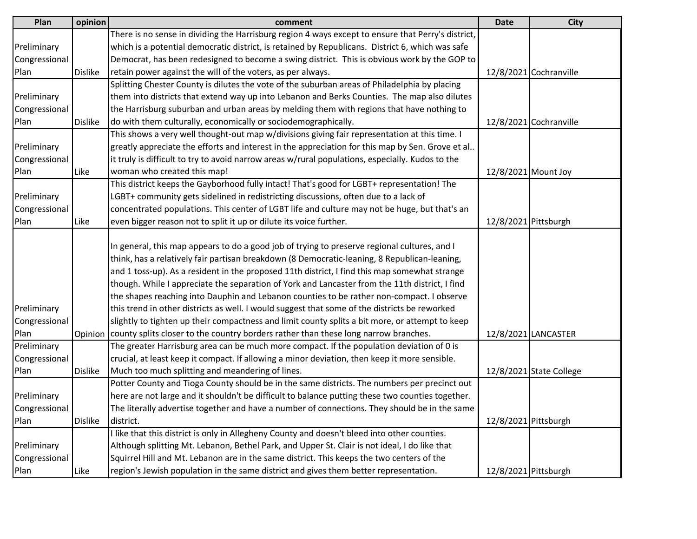| Plan          | opinion        | comment                                                                                            | <b>Date</b>          | City                    |
|---------------|----------------|----------------------------------------------------------------------------------------------------|----------------------|-------------------------|
|               |                | There is no sense in dividing the Harrisburg region 4 ways except to ensure that Perry's district, |                      |                         |
| Preliminary   |                | which is a potential democratic district, is retained by Republicans. District 6, which was safe   |                      |                         |
| Congressional |                | Democrat, has been redesigned to become a swing district. This is obvious work by the GOP to       |                      |                         |
| Plan          | <b>Dislike</b> | retain power against the will of the voters, as per always.                                        |                      | 12/8/2021 Cochranville  |
|               |                | Splitting Chester County is dilutes the vote of the suburban areas of Philadelphia by placing      |                      |                         |
| Preliminary   |                | them into districts that extend way up into Lebanon and Berks Counties. The map also dilutes       |                      |                         |
| Congressional |                | the Harrisburg suburban and urban areas by melding them with regions that have nothing to          |                      |                         |
| Plan          | <b>Dislike</b> | do with them culturally, economically or sociodemographically.                                     |                      | 12/8/2021 Cochranville  |
|               |                | This shows a very well thought-out map w/divisions giving fair representation at this time. I      |                      |                         |
| Preliminary   |                | greatly appreciate the efforts and interest in the appreciation for this map by Sen. Grove et al   |                      |                         |
| Congressional |                | it truly is difficult to try to avoid narrow areas w/rural populations, especially. Kudos to the   |                      |                         |
| Plan          | Like           | woman who created this map!                                                                        | 12/8/2021 Mount Joy  |                         |
|               |                | This district keeps the Gayborhood fully intact! That's good for LGBT+ representation! The         |                      |                         |
| Preliminary   |                | LGBT+ community gets sidelined in redistricting discussions, often due to a lack of                |                      |                         |
| Congressional |                | concentrated populations. This center of LGBT life and culture may not be huge, but that's an      |                      |                         |
| Plan          | Like           | even bigger reason not to split it up or dilute its voice further.                                 | 12/8/2021 Pittsburgh |                         |
|               |                |                                                                                                    |                      |                         |
|               |                | In general, this map appears to do a good job of trying to preserve regional cultures, and I       |                      |                         |
|               |                | think, has a relatively fair partisan breakdown (8 Democratic-leaning, 8 Republican-leaning,       |                      |                         |
|               |                | and 1 toss-up). As a resident in the proposed 11th district, I find this map somewhat strange      |                      |                         |
|               |                | though. While I appreciate the separation of York and Lancaster from the 11th district, I find     |                      |                         |
|               |                | the shapes reaching into Dauphin and Lebanon counties to be rather non-compact. I observe          |                      |                         |
| Preliminary   |                | this trend in other districts as well. I would suggest that some of the districts be reworked      |                      |                         |
| Congressional |                | slightly to tighten up their compactness and limit county splits a bit more, or attempt to keep    |                      |                         |
| Plan          | Opinion        | county splits closer to the country borders rather than these long narrow branches.                |                      | 12/8/2021 LANCASTER     |
| Preliminary   |                | The greater Harrisburg area can be much more compact. If the population deviation of 0 is          |                      |                         |
| Congressional |                | crucial, at least keep it compact. If allowing a minor deviation, then keep it more sensible.      |                      |                         |
| Plan          | <b>Dislike</b> | Much too much splitting and meandering of lines.                                                   |                      | 12/8/2021 State College |
|               |                | Potter County and Tioga County should be in the same districts. The numbers per precinct out       |                      |                         |
| Preliminary   |                | here are not large and it shouldn't be difficult to balance putting these two counties together.   |                      |                         |
| Congressional |                | The literally advertise together and have a number of connections. They should be in the same      |                      |                         |
| Plan          | <b>Dislike</b> | district.                                                                                          | 12/8/2021 Pittsburgh |                         |
|               |                | I like that this district is only in Allegheny County and doesn't bleed into other counties.       |                      |                         |
| Preliminary   |                | Although splitting Mt. Lebanon, Bethel Park, and Upper St. Clair is not ideal, I do like that      |                      |                         |
| Congressional |                | Squirrel Hill and Mt. Lebanon are in the same district. This keeps the two centers of the          |                      |                         |
| Plan          | Like           | region's Jewish population in the same district and gives them better representation.              | 12/8/2021 Pittsburgh |                         |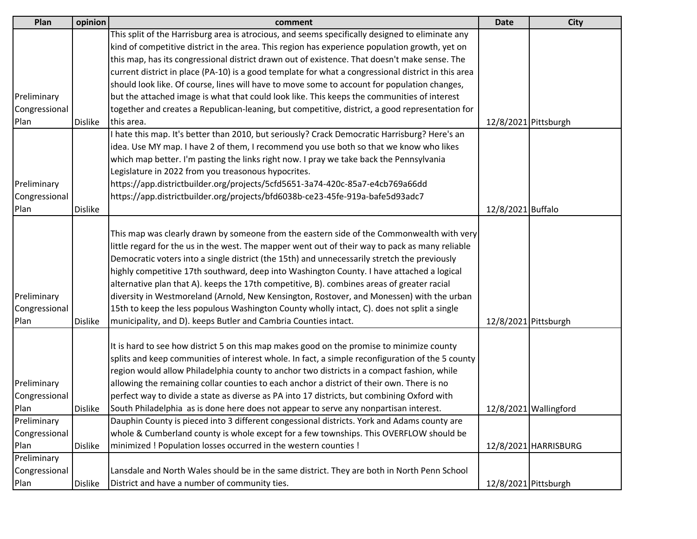| Plan          | opinion        | comment                                                                                             | <b>Date</b>          | <b>City</b>           |
|---------------|----------------|-----------------------------------------------------------------------------------------------------|----------------------|-----------------------|
|               |                | This split of the Harrisburg area is atrocious, and seems specifically designed to eliminate any    |                      |                       |
|               |                | kind of competitive district in the area. This region has experience population growth, yet on      |                      |                       |
|               |                | this map, has its congressional district drawn out of existence. That doesn't make sense. The       |                      |                       |
|               |                | current district in place (PA-10) is a good template for what a congressional district in this area |                      |                       |
|               |                | should look like. Of course, lines will have to move some to account for population changes,        |                      |                       |
| Preliminary   |                | but the attached image is what that could look like. This keeps the communities of interest         |                      |                       |
| Congressional |                | together and creates a Republican-leaning, but competitive, district, a good representation for     |                      |                       |
| Plan          | <b>Dislike</b> | this area.                                                                                          | 12/8/2021 Pittsburgh |                       |
|               |                | I hate this map. It's better than 2010, but seriously? Crack Democratic Harrisburg? Here's an       |                      |                       |
|               |                | idea. Use MY map. I have 2 of them, I recommend you use both so that we know who likes              |                      |                       |
|               |                | which map better. I'm pasting the links right now. I pray we take back the Pennsylvania             |                      |                       |
|               |                | Legislature in 2022 from you treasonous hypocrites.                                                 |                      |                       |
| Preliminary   |                | https://app.districtbuilder.org/projects/5cfd5651-3a74-420c-85a7-e4cb769a66dd                       |                      |                       |
| Congressional |                | https://app.districtbuilder.org/projects/bfd6038b-ce23-45fe-919a-bafe5d93adc7                       |                      |                       |
| Plan          | <b>Dislike</b> |                                                                                                     | 12/8/2021 Buffalo    |                       |
|               |                |                                                                                                     |                      |                       |
|               |                | This map was clearly drawn by someone from the eastern side of the Commonwealth with very           |                      |                       |
|               |                | little regard for the us in the west. The mapper went out of their way to pack as many reliable     |                      |                       |
|               |                | Democratic voters into a single district (the 15th) and unnecessarily stretch the previously        |                      |                       |
|               |                | highly competitive 17th southward, deep into Washington County. I have attached a logical           |                      |                       |
|               |                | alternative plan that A). keeps the 17th competitive, B). combines areas of greater racial          |                      |                       |
| Preliminary   |                | diversity in Westmoreland (Arnold, New Kensington, Rostover, and Monessen) with the urban           |                      |                       |
| Congressional |                | 15th to keep the less populous Washington County wholly intact, C). does not split a single         |                      |                       |
| Plan          | <b>Dislike</b> | municipality, and D). keeps Butler and Cambria Counties intact.                                     | 12/8/2021 Pittsburgh |                       |
|               |                |                                                                                                     |                      |                       |
|               |                | It is hard to see how district 5 on this map makes good on the promise to minimize county           |                      |                       |
|               |                | splits and keep communities of interest whole. In fact, a simple reconfiguration of the 5 county    |                      |                       |
|               |                | region would allow Philadelphia county to anchor two districts in a compact fashion, while          |                      |                       |
| Preliminary   |                | allowing the remaining collar counties to each anchor a district of their own. There is no          |                      |                       |
| Congressional |                | perfect way to divide a state as diverse as PA into 17 districts, but combining Oxford with         |                      |                       |
| Plan          | <b>Dislike</b> | South Philadelphia as is done here does not appear to serve any nonpartisan interest.               |                      | 12/8/2021 Wallingford |
| Preliminary   |                | Dauphin County is pieced into 3 different congessional districts. York and Adams county are         |                      |                       |
| Congressional |                | whole & Cumberland county is whole except for a few townships. This OVERFLOW should be              |                      |                       |
| Plan          | <b>Dislike</b> | minimized ! Population losses occurred in the western counties !                                    |                      | 12/8/2021 HARRISBURG  |
| Preliminary   |                |                                                                                                     |                      |                       |
| Congressional |                | Lansdale and North Wales should be in the same district. They are both in North Penn School         |                      |                       |
| Plan          | <b>Dislike</b> | District and have a number of community ties.                                                       | 12/8/2021 Pittsburgh |                       |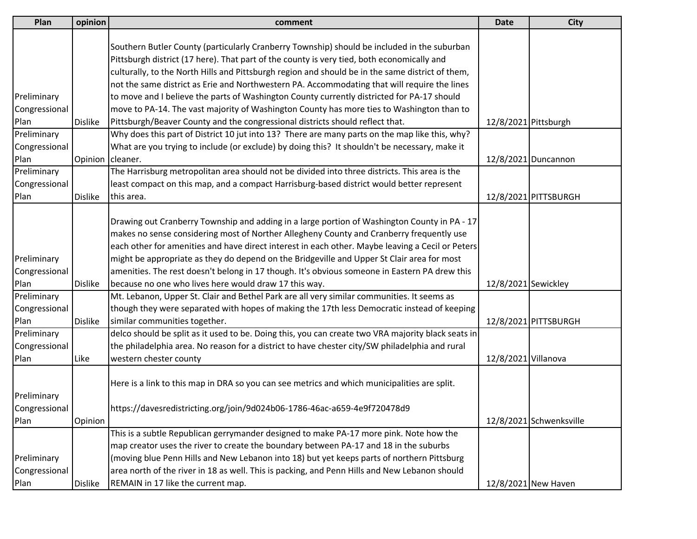| Plan          | opinion            | comment                                                                                            | <b>Date</b>          | <b>City</b>             |
|---------------|--------------------|----------------------------------------------------------------------------------------------------|----------------------|-------------------------|
|               |                    |                                                                                                    |                      |                         |
|               |                    | Southern Butler County (particularly Cranberry Township) should be included in the suburban        |                      |                         |
|               |                    | Pittsburgh district (17 here). That part of the county is very tied, both economically and         |                      |                         |
|               |                    | culturally, to the North Hills and Pittsburgh region and should be in the same district of them,   |                      |                         |
|               |                    | not the same district as Erie and Northwestern PA. Accommodating that will require the lines       |                      |                         |
| Preliminary   |                    | to move and I believe the parts of Washington County currently districted for PA-17 should         |                      |                         |
| Congressional |                    | move to PA-14. The vast majority of Washington County has more ties to Washington than to          |                      |                         |
| Plan          | <b>Dislike</b>     | Pittsburgh/Beaver County and the congressional districts should reflect that.                      | 12/8/2021 Pittsburgh |                         |
| Preliminary   |                    | Why does this part of District 10 jut into 13? There are many parts on the map like this, why?     |                      |                         |
| Congressional |                    | What are you trying to include (or exclude) by doing this? It shouldn't be necessary, make it      |                      |                         |
| Plan          | Opinion   cleaner. |                                                                                                    |                      | 12/8/2021 Duncannon     |
| Preliminary   |                    | The Harrisburg metropolitan area should not be divided into three districts. This area is the      |                      |                         |
| Congressional |                    | least compact on this map, and a compact Harrisburg-based district would better represent          |                      |                         |
| Plan          | <b>Dislike</b>     | this area.                                                                                         |                      | 12/8/2021 PITTSBURGH    |
|               |                    |                                                                                                    |                      |                         |
|               |                    | Drawing out Cranberry Township and adding in a large portion of Washington County in PA - 17       |                      |                         |
|               |                    | makes no sense considering most of Norther Allegheny County and Cranberry frequently use           |                      |                         |
|               |                    | each other for amenities and have direct interest in each other. Maybe leaving a Cecil or Peters   |                      |                         |
| Preliminary   |                    | might be appropriate as they do depend on the Bridgeville and Upper St Clair area for most         |                      |                         |
| Congressional |                    | amenities. The rest doesn't belong in 17 though. It's obvious someone in Eastern PA drew this      |                      |                         |
| Plan          | <b>Dislike</b>     | because no one who lives here would draw 17 this way.                                              | 12/8/2021 Sewickley  |                         |
| Preliminary   |                    | Mt. Lebanon, Upper St. Clair and Bethel Park are all very similar communities. It seems as         |                      |                         |
| Congressional |                    | though they were separated with hopes of making the 17th less Democratic instead of keeping        |                      |                         |
| Plan          | <b>Dislike</b>     | similar communities together.                                                                      |                      | 12/8/2021 PITTSBURGH    |
| Preliminary   |                    | delco should be split as it used to be. Doing this, you can create two VRA majority black seats in |                      |                         |
| Congressional |                    | the philadelphia area. No reason for a district to have chester city/SW philadelphia and rural     |                      |                         |
| Plan          | Like               | western chester county                                                                             | 12/8/2021 Villanova  |                         |
|               |                    |                                                                                                    |                      |                         |
|               |                    | Here is a link to this map in DRA so you can see metrics and which municipalities are split.       |                      |                         |
| Preliminary   |                    |                                                                                                    |                      |                         |
| Congressional |                    | https://davesredistricting.org/join/9d024b06-1786-46ac-a659-4e9f720478d9                           |                      |                         |
| Plan          | Opinion            |                                                                                                    |                      | 12/8/2021 Schwenksville |
|               |                    | This is a subtle Republican gerrymander designed to make PA-17 more pink. Note how the             |                      |                         |
|               |                    | map creator uses the river to create the boundary between PA-17 and 18 in the suburbs              |                      |                         |
| Preliminary   |                    | (moving blue Penn Hills and New Lebanon into 18) but yet keeps parts of northern Pittsburg         |                      |                         |
| Congressional |                    | area north of the river in 18 as well. This is packing, and Penn Hills and New Lebanon should      |                      |                         |
| Plan          | <b>Dislike</b>     | REMAIN in 17 like the current map.                                                                 |                      | 12/8/2021 New Haven     |